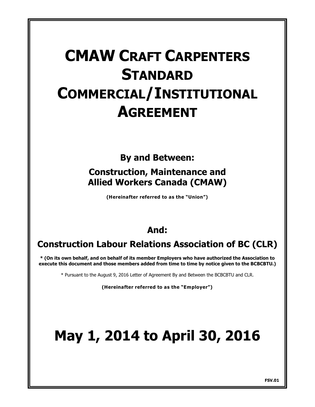## **CMAW CRAFT CARPENTERS STANDARD COMMERCIAL/INSTITUTIONAL AGREEMENT**

## **By and Between:**

## **Construction, Maintenance and Allied Workers Canada (CMAW)**

**(Hereinafter referred to as the "Union")**

## **And:**

## **Construction Labour Relations Association of BC (CLR)**

**\* (On its own behalf, and on behalf of its member Employers who have authorized the Association to execute this document and those members added from time to time by notice given to the BCBCBTU.)**

\* Pursuant to the August 9, 2016 Letter of Agreement By and Between the BCBCBTU and CLR.

**(Hereinafter referred to as the "Employer")**

# **May 1, 2014 to April 30, 2016**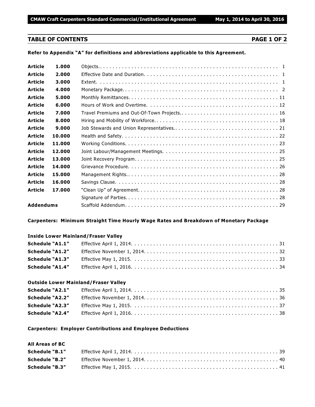#### **TABLE OF CONTENTS PAGE 1 OF 2**

**Refer to Appendix "A" for definitions and abbreviations applicable to this Agreement.**

| <b>Article</b> | 1.000  |  |
|----------------|--------|--|
| <b>Article</b> | 2.000  |  |
| <b>Article</b> | 3.000  |  |
| <b>Article</b> | 4.000  |  |
| <b>Article</b> | 5.000  |  |
| <b>Article</b> | 6.000  |  |
| <b>Article</b> | 7.000  |  |
| <b>Article</b> | 8.000  |  |
| <b>Article</b> | 9.000  |  |
| <b>Article</b> | 10.000 |  |
| <b>Article</b> | 11.000 |  |
| <b>Article</b> | 12.000 |  |
| <b>Article</b> | 13.000 |  |
| <b>Article</b> | 14.000 |  |
| <b>Article</b> | 15.000 |  |
| <b>Article</b> | 16.000 |  |
| Article        | 17.000 |  |
|                |        |  |
| Addendums      |        |  |

#### **Carpenters: Minimum Straight Time Hourly Wage Rates and Breakdown of Monetary Package**

#### **Inside Lower Mainland/Fraser Valley**

| <b>Schedule "A1.4"</b> |  |
|------------------------|--|

#### **Outside Lower Mainland/Fraser Valley**

| <b>Schedule "A2.4"</b> |  |
|------------------------|--|

#### **Carpenters: Employer Contributions and Employee Deductions**

#### **All Areas of BC**

| <b>Schedule "B.1"</b> |  |
|-----------------------|--|
| Schedule "B.2"        |  |
| <b>Schedule "B.3"</b> |  |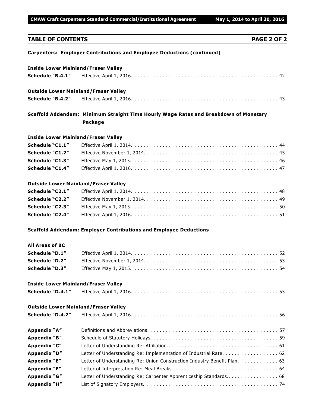**CMAW Craft Carpenters Standard Commercial/Institutional Agreement May 1, 2014 to April 30, 2016** 

## **TABLE OF CONTENTS PAGE 2 OF 2 Carpenters: Employer Contributions and Employee Deductions (continued) Inside Lower Mainland/Fraser Valley Schedule "B.4.1"** Effective April 1, 2016. . . . . . . . . . . . . . . . . . . . . . . . . . . . . . . . . . . . . . . . . . . . . . . 42 **Outside Lower Mainland/Fraser Valley Schedule "B.4.2"** Effective April 1, 2016. . . . . . . . . . . . . . . . . . . . . . . . . . . . . . . . . . . . . . . . . . . . . . . 43 **Scaffold Addendum: Minimum Straight Time Hourly Wage Rates and Breakdown of Monetary Package Inside Lower Mainland/Fraser Valley Schedule "C1.1"** Effective April 1, 2014. . . . . . . . . . . . . . . . . . . . . . . . . . . . . . . . . . . . . . . . . . . . . . . 44 **Schedule "C1.2"** Effective November 1, 2014. . . . . . . . . . . . . . . . . . . . . . . . . . . . . . . . . . . . . . . . . . . 45 **Schedule "C1.3"** Effective May 1, 2015. . . . . . . . . . . . . . . . . . . . . . . . . . . . . . . . . . . . . . . . . . . . . . . 46 **Schedule "C1.4"** Effective April 1, 2016. . . . . . . . . . . . . . . . . . . . . . . . . . . . . . . . . . . . . . . . . . . . . . . 47 **Outside Lower Mainland/Fraser Valley Schedule "C2.1"** Effective April 1, 2014. . . . . . . . . . . . . . . . . . . . . . . . . . . . . . . . . . . . . . . . . . . . . . . 48 **Schedule "C2.2"** Effective November 1, 2014. . . . . . . . . . . . . . . . . . . . . . . . . . . . . . . . . . . . . . . . . . . 49 **Schedule "C2.3"** Effective May 1, 2015. . . . . . . . . . . . . . . . . . . . . . . . . . . . . . . . . . . . . . . . . . . . . . . 50 **Schedule "C2.4"** Effective April 1, 2016. . . . . . . . . . . . . . . . . . . . . . . . . . . . . . . . . . . . . . . . . . . . . . . 51 **Scaffold Addendum: Employer Contributions and Employee Deductions All Areas of BC Schedule "D.1"** Effective April 1, 2014. . . . . . . . . . . . . . . . . . . . . . . . . . . . . . . . . . . . . . . . . . . . . . . 52 **Schedule "D.2"** Effective November 1, 2014. . . . . . . . . . . . . . . . . . . . . . . . . . . . . . . . . . . . . . . . . . . 53 **Schedule "D.3"** Effective May 1, 2015. . . . . . . . . . . . . . . . . . . . . . . . . . . . . . . . . . . . . . . . . . . . . . . 54 **Inside Lower Mainland/Fraser Valley**

### **Schedule "D.4.1"** Effective April 1, 2016. . . . . . . . . . . . . . . . . . . . . . . . . . . . . . . . . . . . . . . . . . . . . . . 55

### **Outside Lower Mainland/Fraser Valley**

| Schedule "D.4.2"    |                                                                          |
|---------------------|--------------------------------------------------------------------------|
| Appendix "A"        |                                                                          |
| Appendix "B"        |                                                                          |
| Appendix "C"        |                                                                          |
| Appendix "D"        | Letter of Understanding Re: Implementation of Industrial Rate. 62        |
| Appendix "E"        | Letter of Understanding Re: Union Construction Industry Benefit Plan. 63 |
| Appendix "F"        |                                                                          |
| Appendix "G"        | Letter of Understanding Re: Carpenter Apprenticeship Standards 68        |
| <b>Appendix "H"</b> |                                                                          |
|                     |                                                                          |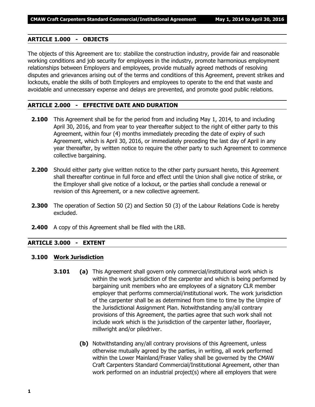#### **ARTICLE 1.000 - OBJECTS**

The objects of this Agreement are to: stabilize the construction industry, provide fair and reasonable working conditions and job security for employees in the industry, promote harmonious employment relationships between Employers and employees, provide mutually agreed methods of resolving disputes and grievances arising out of the terms and conditions of this Agreement, prevent strikes and lockouts, enable the skills of both Employers and employees to operate to the end that waste and avoidable and unnecessary expense and delays are prevented, and promote good public relations.

#### **ARTICLE 2.000 - EFFECTIVE DATE AND DURATION**

- **2.100** This Agreement shall be for the period from and including May 1, 2014, to and including April 30, 2016, and from year to year thereafter subject to the right of either party to this Agreement, within four (4) months immediately preceding the date of expiry of such Agreement, which is April 30, 2016, or immediately preceding the last day of April in any year thereafter, by written notice to require the other party to such Agreement to commence collective bargaining.
- **2.200** Should either party give written notice to the other party pursuant hereto, this Agreement shall thereafter continue in full force and effect until the Union shall give notice of strike, or the Employer shall give notice of a lockout, or the parties shall conclude a renewal or revision of this Agreement, or a new collective agreement.
- **2.300** The operation of Section 50 (2) and Section 50 (3) of the *Labour Relations Code* is hereby excluded.
- **2.400** A copy of this Agreement shall be filed with the LRB.

#### **ARTICLE 3.000 - EXTENT**

#### **3.100 Work Jurisdiction**

- **3.101 (a)** This Agreement shall govern only commercial/institutional work which is within the work jurisdiction of the carpenter and which is being performed by bargaining unit members who are employees of a signatory CLR member employer that performs commercial/institutional work. The work jurisdiction of the carpenter shall be as determined from time to time by the Umpire of the Jurisdictional Assignment Plan. Notwithstanding any/all contrary provisions of this Agreement, the parties agree that such work shall not include work which is the jurisdiction of the carpenter lather, floorlayer, millwright and/or piledriver.
	- **(b)** Notwithstanding any/all contrary provisions of this Agreement, unless otherwise mutually agreed by the parties, in writing, all work performed within the Lower Mainland/Fraser Valley shall be governed by the CMAW Craft Carpenters Standard Commercial/Institutional Agreement, other than work performed on an industrial project(s) where all employers that were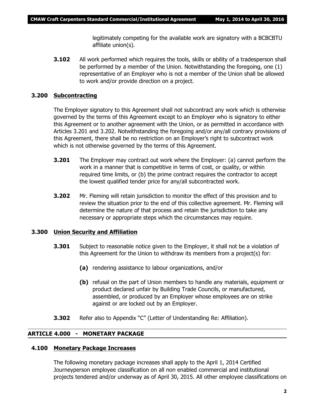legitimately competing for the available work are signatory with a BCBCBTU affiliate union(s).

**3.102** All work performed which requires the tools, skills or ability of a tradesperson shall be performed by a member of the Union. Notwithstanding the foregoing, one (1) representative of an Employer who is not a member of the Union shall be allowed to work and/or provide direction on a project.

#### **3.200 Subcontracting**

The Employer signatory to this Agreement shall not subcontract any work which is otherwise governed by the terms of this Agreement except to an Employer who is signatory to either this Agreement or to another agreement with the Union, or as permitted in accordance with Articles 3.201 and 3.202. Notwithstanding the foregoing and/or any/all contrary provisions of this Agreement, there shall be no restriction on an Employer's right to subcontract work which is not otherwise governed by the terms of this Agreement.

- **3.201** The Employer may contract out work where the Employer: (a) cannot perform the work in a manner that is competitive in terms of cost, or quality, or within required time limits, or (b) the prime contract requires the contractor to accept the lowest qualified tender price for any/all subcontracted work.
- **3.202** Mr. Fleming will retain jurisdiction to monitor the effect of this provision and to review the situation prior to the end of this collective agreement. Mr. Fleming will determine the nature of that process and retain the jurisdiction to take any necessary or appropriate steps which the circumstances may require.

#### **3.300 Union Security and Affiliation**

- **3.301** Subject to reasonable notice given to the Employer, it shall not be a violation of this Agreement for the Union to withdraw its members from a project(s) for:
	- **(a)** rendering assistance to labour organizations, and/or
	- **(b)** refusal on the part of Union members to handle any materials, equipment or product declared unfair by Building Trade Councils, or manufactured, assembled, or produced by an Employer whose employees are on strike against or are locked out by an Employer.
- **3.302** Refer also to Appendix "C" (Letter of Understanding Re: Affiliation).

#### **ARTICLE 4.000 - MONETARY PACKAGE**

#### **4.100 Monetary Package Increases**

The following monetary package increases shall apply to the April 1, 2014 Certified Journeyperson employee classification on all non enabled commercial and institutional projects tendered and/or underway as of April 30, 2015. All other employee classifications on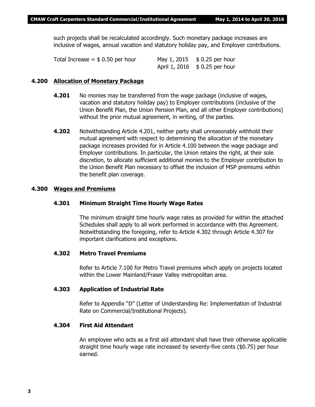such projects shall be recalculated accordingly. Such monetary package increases are inclusive of wages, annual vacation and statutory holiday pay, and Employer contributions.

| Total Increase $=$ \$ 0.50 per hour | May 1, 2015 \$ 0.25 per hour        |
|-------------------------------------|-------------------------------------|
|                                     | April 1, 2016 $\;$ \$ 0.25 per hour |

#### **4.200 Allocation of Monetary Package**

- **4.201** No monies may be transferred from the wage package (inclusive of wages, vacation and statutory holiday pay) to Employer contributions (inclusive of the Union Benefit Plan, the Union Pension Plan, and all other Employer contributions) without the prior mutual agreement, in writing, of the parties.
- **4.202** Notwithstanding Article 4.201, neither party shall unreasonably withhold their mutual agreement with respect to determining the allocation of the monetary package increases provided for in Article 4.100 between the wage package and Employer contributions. In particular, the Union retains the right, at their sole discretion, to allocate sufficient additional monies to the Employer contribution to the Union Benefit Plan necessary to offset the inclusion of MSP premiums within the benefit plan coverage.

#### **4.300 Wages and Premiums**

#### **4.301 Minimum Straight Time Hourly Wage Rates**

The minimum straight time hourly wage rates as provided for within the attached Schedules shall apply to all work performed in accordance with this Agreement. Notwithstanding the foregoing, refer to Article 4.302 through Article 4.307 for important clarifications and exceptions.

#### **4.302 Metro Travel Premiums**

Refer to Article 7.100 for Metro Travel premiums which apply on projects located within the Lower Mainland/Fraser Valley metropolitan area.

#### **4.303 Application of Industrial Rate**

Refer to Appendix "D" (Letter of Understanding Re: Implementation of Industrial Rate on Commercial/Institutional Projects).

#### **4.304 First Aid Attendant**

An employee who acts as a first aid attendant shall have their otherwise applicable straight time hourly wage rate increased by seventy-five cents (\$0.75) per hour earned.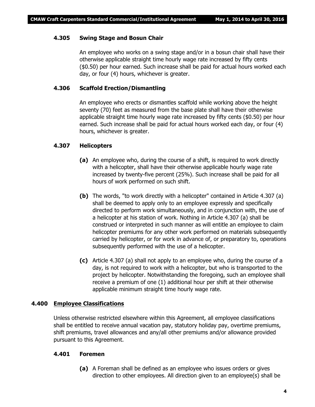#### **4.305 Swing Stage and Bosun Chair**

An employee who works on a swing stage and/or in a bosun chair shall have their otherwise applicable straight time hourly wage rate increased by fifty cents (\$0.50) per hour earned. Such increase shall be paid for actual hours worked each day, or four (4) hours, whichever is greater.

#### **4.306 Scaffold Erection/Dismantling**

An employee who erects or dismantles scaffold while working above the height seventy (70) feet as measured from the base plate shall have their otherwise applicable straight time hourly wage rate increased by fifty cents (\$0.50) per hour earned. Such increase shall be paid for actual hours worked each day, or four (4) hours, whichever is greater.

#### **4.307 Helicopters**

- **(a)** An employee who, during the course of a shift, is required to work directly with a helicopter, shall have their otherwise applicable hourly wage rate increased by twenty-five percent (25%). Such increase shall be paid for all hours of work performed on such shift.
- **(b)** The words, "to work directly with a helicopter" contained in Article 4.307 (a) shall be deemed to apply only to an employee expressly and specifically directed to perform work simultaneously, and in conjunction with, the use of a helicopter at his station of work. Nothing in Article 4.307 (a) shall be construed or interpreted in such manner as will entitle an employee to claim helicopter premiums for any other work performed on materials subsequently carried by helicopter, or for work in advance of, or preparatory to, operations subsequently performed with the use of a helicopter.
- **(c)** Article 4.307 (a) shall not apply to an employee who, during the course of a day, is not required to work with a helicopter, but who is transported to the project by helicopter. Notwithstanding the foregoing, such an employee shall receive a premium of one (1) additional hour per shift at their otherwise applicable minimum straight time hourly wage rate.

#### **4.400 Employee Classifications**

Unless otherwise restricted elsewhere within this Agreement, all employee classifications shall be entitled to receive annual vacation pay, statutory holiday pay, overtime premiums, shift premiums, travel allowances and any/all other premiums and/or allowance provided pursuant to this Agreement.

#### **4.401 Foremen**

**(a)** A Foreman shall be defined as an employee who issues orders or gives direction to other employees. All direction given to an employee(s) shall be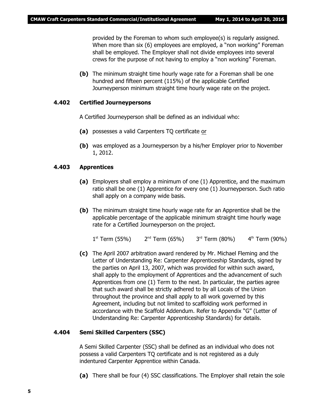provided by the Foreman to whom such employee(s) is regularly assigned. When more than six (6) employees are employed, a "non working" Foreman shall be employed. The Employer shall not divide employees into several crews for the purpose of not having to employ a "non working" Foreman.

**(b)** The minimum straight time hourly wage rate for a Foreman shall be one hundred and fifteen percent (115%) of the applicable Certified Journeyperson minimum straight time hourly wage rate on the project.

#### **4.402 Certified Journeypersons**

A Certified Journeyperson shall be defined as an individual who:

- **(a)** possesses a valid Carpenters TQ certificate or
- **(b)** was employed as a Journeyperson by a his/her Employer prior to November 1, 2012.

#### **4.403 Apprentices**

- **(a)** Employers shall employ a minimum of one (1) Apprentice, and the maximum ratio shall be one (1) Apprentice for every one (1) Journeyperson. Such ratio shall apply on a company wide basis.
- **(b)** The minimum straight time hourly wage rate for an Apprentice shall be the applicable percentage of the applicable minimum straight time hourly wage rate for a Certified Journeyperson on the project.

 $1^{\text{st}}$  Term (55%)  $2^{\text{nd}}$  Term (65%)  $3^{\text{rd}}$  Term (80%)  $4^{\text{th}}$  Term (90%)

**(c)** The April 2007 arbitration award rendered by Mr. Michael Fleming and the Letter of Understanding Re: Carpenter Apprenticeship Standards, signed by the parties on April 13, 2007, which was provided for within such award, shall apply to the employment of Apprentices and the advancement of such Apprentices from one (1) Term to the next. In particular, the parties agree that such award shall be strictly adhered to by all Locals of the Union throughout the province and shall apply to all work governed by this Agreement, including but not limited to scaffolding work performed in accordance with the Scaffold Addendum. Refer to Appendix "G" (Letter of Understanding Re: Carpenter Apprenticeship Standards) for details.

#### **4.404 Semi Skilled Carpenters (SSC)**

A Semi Skilled Carpenter (SSC) shall be defined as an individual who does not possess a valid Carpenters TQ certificate and is not registered as a duly indentured Carpenter Apprentice within Canada.

**(a)** There shall be four (4) SSC classifications. The Employer shall retain the sole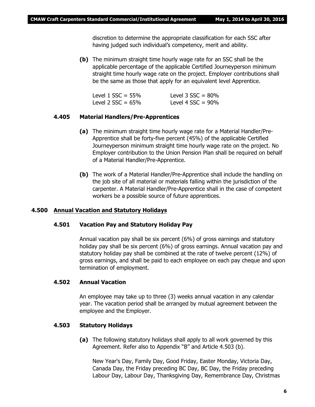discretion to determine the appropriate classification for each SSC after having judged such individual's competency, merit and ability.

**(b)** The minimum straight time hourly wage rate for an SSC shall be the applicable percentage of the applicable Certified Journeyperson minimum straight time hourly wage rate on the project. Employer contributions shall be the same as those that apply for an equivalent level Apprentice.

| Level $1$ SSC = 55% | Level $3$ SSC = $80\%$ |
|---------------------|------------------------|
| Level 2 $SSC = 65%$ | Level 4 $SSC = 90\%$   |

#### **4.405 Material Handlers/Pre-Apprentices**

- **(a)** The minimum straight time hourly wage rate for a Material Handler/Pre-Apprentice shall be forty-five percent (45%) of the applicable Certified Journeyperson minimum straight time hourly wage rate on the project. No Employer contribution to the Union Pension Plan shall be required on behalf of a Material Handler/Pre-Apprentice.
- **(b)** The work of a Material Handler/Pre-Apprentice shall include the handling on the job site of all material or materials falling within the jurisdiction of the carpenter. A Material Handler/Pre-Apprentice shall in the case of competent workers be a possible source of future apprentices.

#### **4.500 Annual Vacation and Statutory Holidays**

#### **4.501 Vacation Pay and Statutory Holiday Pay**

Annual vacation pay shall be six percent (6%) of gross earnings and statutory holiday pay shall be six percent (6%) of gross earnings. Annual vacation pay and statutory holiday pay shall be combined at the rate of twelve percent (12%) of gross earnings, and shall be paid to each employee on each pay cheque and upon termination of employment.

#### **4.502 Annual Vacation**

An employee may take up to three (3) weeks annual vacation in any calendar year. The vacation period shall be arranged by mutual agreement between the employee and the Employer.

#### **4.503 Statutory Holidays**

**(a)** The following statutory holidays shall apply to all work governed by this Agreement. Refer also to Appendix "B" and Article 4.503 (b).

New Year's Day, Family Day, Good Friday, Easter Monday, Victoria Day, Canada Day, the Friday preceding BC Day, BC Day, the Friday preceding Labour Day, Labour Day, Thanksgiving Day, Remembrance Day, Christmas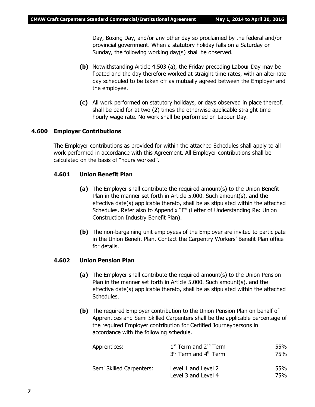Day, Boxing Day, and/or any other day so proclaimed by the federal and/or provincial government. When a statutory holiday falls on a Saturday or Sunday, the following working day(s) shall be observed.

- **(b)** Notwithstanding Article 4.503 (a), the Friday preceding Labour Day may be floated and the day therefore worked at straight time rates, with an alternate day scheduled to be taken off as mutually agreed between the Employer and the employee.
- **(c)** All work performed on statutory holidays, or days observed in place thereof, shall be paid for at two (2) times the otherwise applicable straight time hourly wage rate. No work shall be performed on Labour Day.

#### **4.600 Employer Contributions**

The Employer contributions as provided for within the attached Schedules shall apply to all work performed in accordance with this Agreement. All Employer contributions shall be calculated on the basis of "hours worked".

#### **4.601 Union Benefit Plan**

- **(a)** The Employer shall contribute the required amount(s) to the Union Benefit Plan in the manner set forth in Article 5.000. Such amount(s), and the effective date(s) applicable thereto, shall be as stipulated within the attached Schedules. Refer also to Appendix "E" (Letter of Understanding Re: Union Construction Industry Benefit Plan).
- **(b)** The non-bargaining unit employees of the Employer are invited to participate in the Union Benefit Plan. Contact the Carpentry Workers' Benefit Plan office for details.

#### **4.602 Union Pension Plan**

- **(a)** The Employer shall contribute the required amount(s) to the Union Pension Plan in the manner set forth in Article 5.000. Such amount(s), and the effective date(s) applicable thereto, shall be as stipulated within the attached Schedules.
- **(b)** The required Employer contribution to the Union Pension Plan on behalf of Apprentices and Semi Skilled Carpenters shall be the applicable percentage of the required Employer contribution for Certified Journeypersons in accordance with the following schedule.

| Apprentices:             | $1st$ Term and $2nd$ Term<br>$3rd$ Term and $4th$ Term | 55%<br>75% |
|--------------------------|--------------------------------------------------------|------------|
| Semi Skilled Carpenters: | Level 1 and Level 2<br>Level 3 and Level 4             | 55%<br>75% |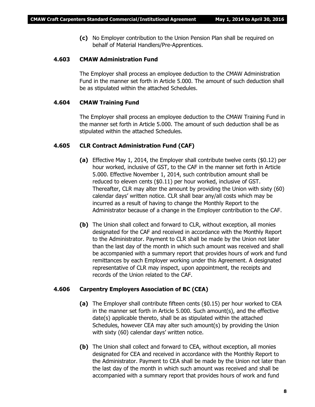**(c)** No Employer contribution to the Union Pension Plan shall be required on behalf of Material Handlers/Pre-Apprentices.

#### **4.603 CMAW Administration Fund**

The Employer shall process an employee deduction to the CMAW Administration Fund in the manner set forth in Article 5.000. The amount of such deduction shall be as stipulated within the attached Schedules.

#### **4.604 CMAW Training Fund**

The Employer shall process an employee deduction to the CMAW Training Fund in the manner set forth in Article 5.000. The amount of such deduction shall be as stipulated within the attached Schedules.

#### **4.605 CLR Contract Administration Fund (CAF)**

- **(a)** Effective May 1, 2014, the Employer shall contribute twelve cents (\$0.12) per hour worked, inclusive of GST, to the CAF in the manner set forth in Article 5.000. Effective November 1, 2014, such contribution amount shall be reduced to eleven cents (\$0.11) per hour worked, inclusive of GST. Thereafter, CLR may alter the amount by providing the Union with sixty (60) calendar days' written notice. CLR shall bear any/all costs which may be incurred as a result of having to change the Monthly Report to the Administrator because of a change in the Employer contribution to the CAF.
- **(b)** The Union shall collect and forward to CLR, without exception, all monies designated for the CAF and received in accordance with the Monthly Report to the Administrator. Payment to CLR shall be made by the Union not later than the last day of the month in which such amount was received and shall be accompanied with a summary report that provides hours of work and fund remittances by each Employer working under this Agreement. A designated representative of CLR may inspect, upon appointment, the receipts and records of the Union related to the CAF.

#### **4.606 Carpentry Employers Association of BC (CEA)**

- **(a)** The Employer shall contribute fifteen cents (\$0.15) per hour worked to CEA in the manner set forth in Article 5.000. Such amount(s), and the effective date(s) applicable thereto, shall be as stipulated within the attached Schedules, however CEA may alter such amount(s) by providing the Union with sixty (60) calendar days' written notice.
- **(b)** The Union shall collect and forward to CEA, without exception, all monies designated for CEA and received in accordance with the Monthly Report to the Administrator. Payment to CEA shall be made by the Union not later than the last day of the month in which such amount was received and shall be accompanied with a summary report that provides hours of work and fund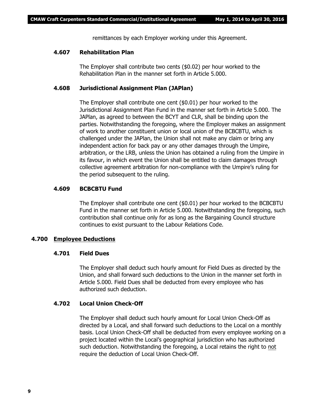remittances by each Employer working under this Agreement.

#### **4.607 Rehabilitation Plan**

The Employer shall contribute two cents (\$0.02) per hour worked to the Rehabilitation Plan in the manner set forth in Article 5.000.

#### **4.608 Jurisdictional Assignment Plan (JAPlan)**

The Employer shall contribute one cent (\$0.01) per hour worked to the Jurisdictional Assignment Plan Fund in the manner set forth in Article 5.000. The JAPlan, as agreed to between the BCYT and CLR, shall be binding upon the parties. Notwithstanding the foregoing, where the Employer makes an assignment of work to another constituent union or local union of the BCBCBTU, which is challenged under the JAPlan, the Union shall not make any claim or bring any independent action for back pay or any other damages through the Umpire, arbitration, or the LRB, unless the Union has obtained a ruling from the Umpire in its favour, in which event the Union shall be entitled to claim damages through collective agreement arbitration for non-compliance with the Umpire's ruling for the period subsequent to the ruling.

#### **4.609 BCBCBTU Fund**

The Employer shall contribute one cent (\$0.01) per hour worked to the BCBCBTU Fund in the manner set forth in Article 5.000. Notwithstanding the foregoing, such contribution shall continue only for as long as the Bargaining Council structure continues to exist pursuant to the *Labour Relations Code*.

#### **4.700 Employee Deductions**

#### **4.701 Field Dues**

The Employer shall deduct such hourly amount for Field Dues as directed by the Union, and shall forward such deductions to the Union in the manner set forth in Article 5.000. Field Dues shall be deducted from every employee who has authorized such deduction.

#### **4.702 Local Union Check-Off**

The Employer shall deduct such hourly amount for Local Union Check-Off as directed by a Local, and shall forward such deductions to the Local on a monthly basis. Local Union Check-Off shall be deducted from every employee working on a project located within the Local's geographical jurisdiction who has authorized such deduction. Notwithstanding the foregoing, a Local retains the right to not require the deduction of Local Union Check-Off.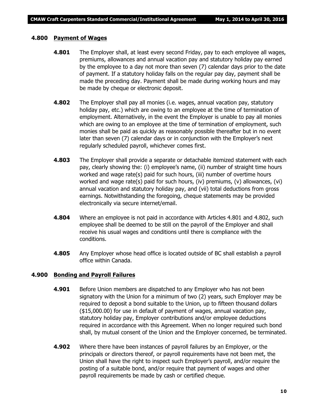#### **4.800 Payment of Wages**

- **4.801** The Employer shall, at least every second Friday, pay to each employee all wages, premiums, allowances and annual vacation pay and statutory holiday pay earned by the employee to a day not more than seven (7) calendar days prior to the date of payment. If a statutory holiday falls on the regular pay day, payment shall be made the preceding day. Payment shall be made during working hours and may be made by cheque or electronic deposit.
- **4.802** The Employer shall pay all monies (i.e. wages, annual vacation pay, statutory holiday pay, etc.) which are owing to an employee at the time of termination of employment. Alternatively, in the event the Employer is unable to pay all monies which are owing to an employee at the time of termination of employment, such monies shall be paid as quickly as reasonably possible thereafter but in no event later than seven (7) calendar days or in conjunction with the Employer's next regularly scheduled payroll, whichever comes first.
- **4.803** The Employer shall provide a separate or detachable itemized statement with each pay, clearly showing the: (i) employee's name, (ii) number of straight time hours worked and wage rate(s) paid for such hours, (iii) number of overtime hours worked and wage rate(s) paid for such hours, (iv) premiums, (v) allowances, (vi) annual vacation and statutory holiday pay, and (vii) total deductions from gross earnings. Notwithstanding the foregoing, cheque statements may be provided electronically via secure internet/email.
- **4.804** Where an employee is not paid in accordance with Articles 4.801 and 4.802, such employee shall be deemed to be still on the payroll of the Employer and shall receive his usual wages and conditions until there is compliance with the conditions.
- **4.805** Any Employer whose head office is located outside of BC shall establish a payroll office within Canada.

#### **4.900 Bonding and Payroll Failures**

- **4.901** Before Union members are dispatched to any Employer who has not been signatory with the Union for a minimum of two (2) years, such Employer may be required to deposit a bond suitable to the Union, up to fifteen thousand dollars (\$15,000.00) for use in default of payment of wages, annual vacation pay, statutory holiday pay, Employer contributions and/or employee deductions required in accordance with this Agreement. When no longer required such bond shall, by mutual consent of the Union and the Employer concerned, be terminated.
- **4.902** Where there have been instances of payroll failures by an Employer, or the principals or directors thereof, or payroll requirements have not been met, the Union shall have the right to inspect such Employer's payroll, and/or require the posting of a suitable bond, and/or require that payment of wages and other payroll requirements be made by cash or certified cheque.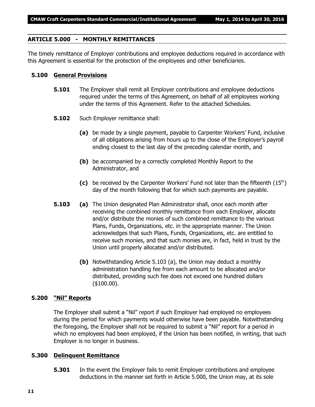#### **ARTICLE 5.000 - MONTHLY REMITTANCES**

The timely remittance of Employer contributions and employee deductions required in accordance with this Agreement is essential for the protection of the employees and other beneficiaries.

#### **5.100 General Provisions**

- **5.101** The Employer shall remit all Employer contributions and employee deductions required under the terms of this Agreement, on behalf of all employees working under the terms of this Agreement. Refer to the attached Schedules.
- **5.102** Such Employer remittance shall:
	- **(a)** be made by a single payment, payable to Carpenter Workers' Fund, inclusive of all obligations arising from hours up to the close of the Employer's payroll ending closest to the last day of the preceding calendar month, and
	- **(b)** be accompanied by a correctly completed Monthly Report to the Administrator, and
	- (c) be received by the Carpenter Workers' Fund not later than the fifteenth  $(15<sup>th</sup>)$ day of the month following that for which such payments are payable.
- **5.103 (a)** The Union designated Plan Administrator shall, once each month after receiving the combined monthly remittance from each Employer, allocate and/or distribute the monies of such combined remittance to the various Plans, Funds, Organizations, etc. in the appropriate manner. The Union acknowledges that such Plans, Funds, Organizations, etc. are entitled to receive such monies, and that such monies are, in fact, held in trust by the Union until properly allocated and/or distributed.
	- **(b)** Notwithstanding Article 5.103 (a), the Union may deduct a monthly administration handling fee from each amount to be allocated and/or distributed, providing such fee does not exceed one hundred dollars (\$100.00).

#### **5.200 "Nil" Reports**

The Employer shall submit a "Nil" report if such Employer had employed no employees during the period for which payments would otherwise have been payable. Notwithstanding the foregoing, the Employer shall not be required to submit a "Nil" report for a period in which no employees had been employed, if the Union has been notified, in writing, that such Employer is no longer in business.

#### **5.300 Delinquent Remittance**

**5.301** In the event the Employer fails to remit Employer contributions and employee deductions in the manner set forth in Article 5.000, the Union may, at its sole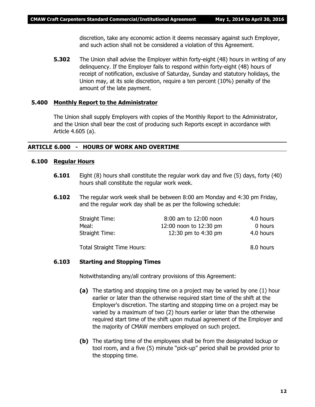discretion, take any economic action it deems necessary against such Employer, and such action shall not be considered a violation of this Agreement.

**5.302** The Union shall advise the Employer within forty-eight (48) hours in writing of any delinquency. If the Employer fails to respond within forty-eight (48) hours of receipt of notification, exclusive of Saturday, Sunday and statutory holidays, the Union may, at its sole discretion, require a ten percent (10%) penalty of the amount of the late payment.

#### **5.400 Monthly Report to the Administrator**

The Union shall supply Employers with copies of the Monthly Report to the Administrator, and the Union shall bear the cost of producing such Reports except in accordance with Article 4.605 (a).

#### **ARTICLE 6.000 - HOURS OF WORK AND OVERTIME**

#### **6.100 Regular Hours**

- **6.101** Eight (8) hours shall constitute the regular work day and five (5) days, forty (40) hours shall constitute the regular work week.
- **6.102** The regular work week shall be between 8:00 am Monday and 4:30 pm Friday, and the regular work day shall be as per the following schedule:

| Straight Time: | 8:00 am to 12:00 noon  | 4.0 hours |
|----------------|------------------------|-----------|
| Meal:          | 12:00 noon to 12:30 pm | 0 hours   |
| Straight Time: | 12:30 pm to 4:30 pm    | 4.0 hours |
|                |                        |           |

Total Straight Time Hours: 8.0 hours

#### **6.103 Starting and Stopping Times**

Notwithstanding any/all contrary provisions of this Agreement:

- **(a)** The starting and stopping time on a project may be varied by one (1) hour earlier or later than the otherwise required start time of the shift at the Employer's discretion. The starting and stopping time on a project may be varied by a maximum of two (2) hours earlier or later than the otherwise required start time of the shift upon mutual agreement of the Employer and the majority of CMAW members employed on such project.
- **(b)** The starting time of the employees shall be from the designated lockup or tool room, and a five (5) minute "pick-up" period shall be provided prior to the stopping time.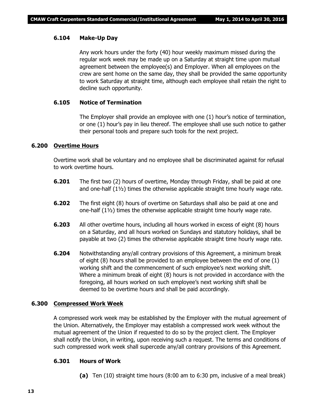#### **6.104 Make-Up Day**

Any work hours under the forty (40) hour weekly maximum missed during the regular work week may be made up on a Saturday at straight time upon mutual agreement between the employee(s) and Employer. When all employees on the crew are sent home on the same day, they shall be provided the same opportunity to work Saturday at straight time, although each employee shall retain the right to decline such opportunity.

#### **6.105 Notice of Termination**

The Employer shall provide an employee with one (1) hour's notice of termination, or one (1) hour's pay in lieu thereof. The employee shall use such notice to gather their personal tools and prepare such tools for the next project.

#### **6.200 Overtime Hours**

Overtime work shall be voluntary and no employee shall be discriminated against for refusal to work overtime hours.

- **6.201** The first two (2) hours of overtime, Monday through Friday, shall be paid at one and one-half (1½) times the otherwise applicable straight time hourly wage rate.
- **6.202** The first eight (8) hours of overtime on Saturdays shall also be paid at one and one-half  $(1\frac{1}{2})$  times the otherwise applicable straight time hourly wage rate.
- **6.203** All other overtime hours, including all hours worked in excess of eight (8) hours on a Saturday, and all hours worked on Sundays and statutory holidays, shall be payable at two (2) times the otherwise applicable straight time hourly wage rate.
- **6.204** Notwithstanding any/all contrary provisions of this Agreement, a minimum break of eight (8) hours shall be provided to an employee between the end of one (1) working shift and the commencement of such employee's next working shift. Where a minimum break of eight (8) hours is not provided in accordance with the foregoing, all hours worked on such employee's next working shift shall be deemed to be overtime hours and shall be paid accordingly.

#### **6.300 Compressed Work Week**

A compressed work week may be established by the Employer with the mutual agreement of the Union. Alternatively, the Employer may establish a compressed work week without the mutual agreement of the Union if requested to do so by the project client. The Employer shall notify the Union, in writing, upon receiving such a request. The terms and conditions of such compressed work week shall supercede any/all contrary provisions of this Agreement.

#### **6.301 Hours of Work**

**(a)** Ten (10) straight time hours (8:00 am to 6:30 pm, inclusive of a meal break)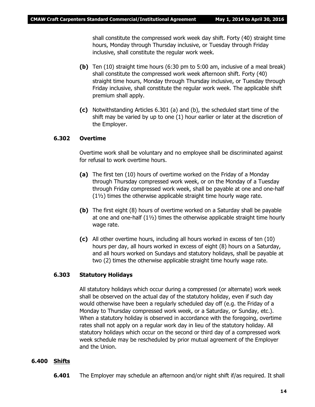shall constitute the compressed work week day shift. Forty (40) straight time hours, Monday through Thursday inclusive, or Tuesday through Friday inclusive, shall constitute the regular work week.

- **(b)** Ten (10) straight time hours (6:30 pm to 5:00 am, inclusive of a meal break) shall constitute the compressed work week afternoon shift. Forty (40) straight time hours, Monday through Thursday inclusive, or Tuesday through Friday inclusive, shall constitute the regular work week. The applicable shift premium shall apply.
- **(c)** Notwithstanding Articles 6.301 (a) and (b), the scheduled start time of the shift may be varied by up to one (1) hour earlier or later at the discretion of the Employer.

#### **6.302 Overtime**

Overtime work shall be voluntary and no employee shall be discriminated against for refusal to work overtime hours.

- **(a)** The first ten (10) hours of overtime worked on the Friday of a Monday through Thursday compressed work week, or on the Monday of a Tuesday through Friday compressed work week, shall be payable at one and one-half (1½) times the otherwise applicable straight time hourly wage rate.
- **(b)** The first eight (8) hours of overtime worked on a Saturday shall be payable at one and one-half (1½) times the otherwise applicable straight time hourly wage rate.
- **(c)** All other overtime hours, including all hours worked in excess of ten (10) hours per day, all hours worked in excess of eight (8) hours on a Saturday, and all hours worked on Sundays and statutory holidays, shall be payable at two (2) times the otherwise applicable straight time hourly wage rate.

#### **6.303 Statutory Holidays**

All statutory holidays which occur during a compressed (or alternate) work week shall be observed on the actual day of the statutory holiday, even if such day would otherwise have been a regularly scheduled day off (e.g. the Friday of a Monday to Thursday compressed work week, or a Saturday, or Sunday, etc.). When a statutory holiday is observed in accordance with the foregoing, overtime rates shall not apply on a regular work day in lieu of the statutory holiday. All statutory holidays which occur on the second or third day of a compressed work week schedule may be rescheduled by prior mutual agreement of the Employer and the Union.

#### **6.400 Shifts**

**6.401** The Employer may schedule an afternoon and/or night shift if/as required. It shall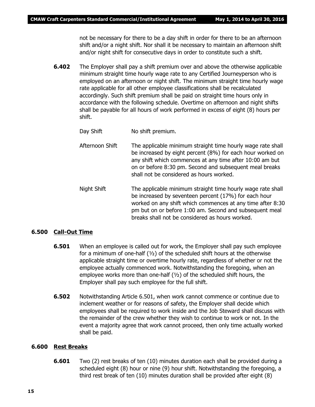not be necessary for there to be a day shift in order for there to be an afternoon shift and/or a night shift. Nor shall it be necessary to maintain an afternoon shift and/or night shift for consecutive days in order to constitute such a shift.

- **6.402** The Employer shall pay a shift premium over and above the otherwise applicable minimum straight time hourly wage rate to any Certified Journeyperson who is employed on an afternoon or night shift. The minimum straight time hourly wage rate applicable for all other employee classifications shall be recalculated accordingly. Such shift premium shall be paid on straight time hours only in accordance with the following schedule. Overtime on afternoon and night shifts shall be payable for all hours of work performed in excess of eight (8) hours per shift.
	- Day Shift No shift premium.
	- Afternoon Shift The applicable minimum straight time hourly wage rate shall be increased by eight percent (8%) for each hour worked on any shift which commences at any time after 10:00 am but on or before 8:30 pm. Second and subsequent meal breaks shall not be considered as hours worked.
	- Night Shift The applicable minimum straight time hourly wage rate shall be increased by seventeen percent (17%) for each hour worked on any shift which commences at any time after 8:30 pm but on or before 1:00 am. Second and subsequent meal breaks shall not be considered as hours worked.

#### **6.500 Call-Out Time**

- **6.501** When an employee is called out for work, the Employer shall pay such employee for a minimum of one-half  $(y_2)$  of the scheduled shift hours at the otherwise applicable straight time or overtime hourly rate, regardless of whether or not the employee actually commenced work. Notwithstanding the foregoing, when an employee works more than one-half (½) of the scheduled shift hours, the Employer shall pay such employee for the full shift.
- **6.502** Notwithstanding Article 6.501, when work cannot commence or continue due to inclement weather or for reasons of safety, the Employer shall decide which employees shall be required to work inside and the Job Steward shall discuss with the remainder of the crew whether they wish to continue to work or not. In the event a majority agree that work cannot proceed, then only time actually worked shall be paid.

#### **6.600 Rest Breaks**

**6.601** Two (2) rest breaks of ten (10) minutes duration each shall be provided during a scheduled eight (8) hour or nine (9) hour shift. Notwithstanding the foregoing, a third rest break of ten (10) minutes duration shall be provided after eight (8)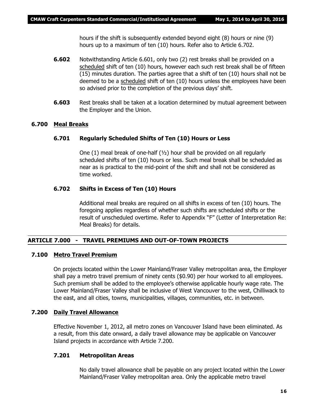hours if the shift is subsequently extended beyond eight (8) hours or nine (9) hours up to a maximum of ten (10) hours. Refer also to Article 6.702.

- **6.602** Notwithstanding Article 6.601, only two (2) rest breaks shall be provided on a scheduled shift of ten (10) hours, however each such rest break shall be of fifteen (15) minutes duration. The parties agree that a shift of ten (10) hours shall not be deemed to be a scheduled shift of ten (10) hours unless the employees have been so advised prior to the completion of the previous days' shift.
- **6.603** Rest breaks shall be taken at a location determined by mutual agreement between the Employer and the Union.

#### **6.700 Meal Breaks**

#### **6.701 Regularly Scheduled Shifts of Ten (10) Hours or Less**

One  $(1)$  meal break of one-half  $(y_2)$  hour shall be provided on all regularly scheduled shifts of ten (10) hours or less. Such meal break shall be scheduled as near as is practical to the mid-point of the shift and shall not be considered as time worked.

#### **6.702 Shifts in Excess of Ten (10) Hours**

Additional meal breaks are required on all shifts in excess of ten (10) hours. The foregoing applies regardless of whether such shifts are scheduled shifts or the result of unscheduled overtime. Refer to Appendix "F" (Letter of Interpretation Re: Meal Breaks) for details.

#### **ARTICLE 7.000 - TRAVEL PREMIUMS AND OUT-OF-TOWN PROJECTS**

#### **7.100 Metro Travel Premium**

On projects located within the Lower Mainland/Fraser Valley metropolitan area, the Employer shall pay a metro travel premium of ninety cents (\$0.90) per hour worked to all employees. Such premium shall be added to the employee's otherwise applicable hourly wage rate. The Lower Mainland/Fraser Valley shall be inclusive of West Vancouver to the west, Chilliwack to the east, and all cities, towns, municipalities, villages, communities, etc. in between.

#### **7.200 Daily Travel Allowance**

Effective November 1, 2012, all metro zones on Vancouver Island have been eliminated. As a result, from this date onward, a daily travel allowance may be applicable on Vancouver Island projects in accordance with Article 7.200.

#### **7.201 Metropolitan Areas**

No daily travel allowance shall be payable on any project located within the Lower Mainland/Fraser Valley metropolitan area. Only the applicable metro travel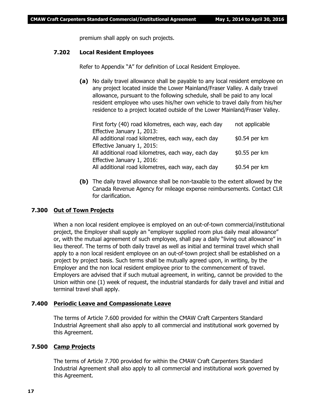premium shall apply on such projects.

#### **7.202 Local Resident Employees**

Refer to Appendix "A" for definition of Local Resident Employee.

**(a)** No daily travel allowance shall be payable to any local resident employee on any project located inside the Lower Mainland/Fraser Valley. A daily travel allowance, pursuant to the following schedule, shall be paid to any local resident employee who uses his/her own vehicle to travel daily from his/her residence to a project located outside of the Lower Mainland/Fraser Valley.

| First forty (40) road kilometres, each way, each day | not applicable |
|------------------------------------------------------|----------------|
| Effective January 1, 2013:                           |                |
| All additional road kilometres, each way, each day   | \$0.54 per km  |
| Effective January 1, 2015:                           |                |
| All additional road kilometres, each way, each day   | \$0.55 per km  |
| Effective January 1, 2016:                           |                |
| All additional road kilometres, each way, each day   | \$0.54 per km  |

**(b)** The daily travel allowance shall be non-taxable to the extent allowed by the Canada Revenue Agency for mileage expense reimbursements. Contact CLR for clarification.

#### **7.300 Out of Town Projects**

When a non local resident employee is employed on an out-of-town commercial/institutional project, the Employer shall supply an "employer supplied room plus daily meal allowance" or, with the mutual agreement of such employee, shall pay a daily "living out allowance" in lieu thereof. The terms of both daily travel as well as initial and terminal travel which shall apply to a non local resident employee on an out-of-town project shall be established on a project by project basis. Such terms shall be mutually agreed upon, in writing, by the Employer and the non local resident employee prior to the commencement of travel. Employers are advised that if such mutual agreement, in writing, cannot be provided to the Union within one (1) week of request, the industrial standards for daily travel and initial and terminal travel shall apply.

#### **7.400 Periodic Leave and Compassionate Leave**

The terms of Article 7.600 provided for within the CMAW Craft Carpenters Standard Industrial Agreement shall also apply to all commercial and institutional work governed by this Agreement.

#### **7.500 Camp Projects**

The terms of Article 7.700 provided for within the CMAW Craft Carpenters Standard Industrial Agreement shall also apply to all commercial and institutional work governed by this Agreement.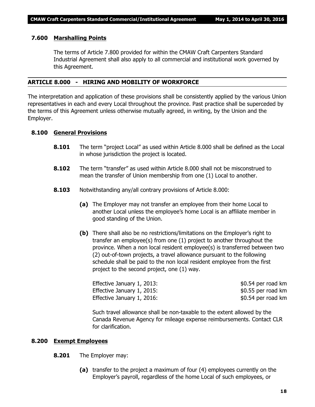#### **7.600 Marshalling Points**

The terms of Article 7.800 provided for within the CMAW Craft Carpenters Standard Industrial Agreement shall also apply to all commercial and institutional work governed by this Agreement.

#### **ARTICLE 8.000 - HIRING AND MOBILITY OF WORKFORCE**

The interpretation and application of these provisions shall be consistently applied by the various Union representatives in each and every Local throughout the province. Past practice shall be superceded by the terms of this Agreement unless otherwise mutually agreed, in writing, by the Union and the Employer.

#### **8.100 General Provisions**

- **8.101** The term "project Local" as used within Article 8.000 shall be defined as the Local in whose jurisdiction the project is located.
- **8.102** The term "transfer" as used within Article 8.000 shall not be misconstrued to mean the transfer of Union membership from one (1) Local to another.
- **8.103** Notwithstanding any/all contrary provisions of Article 8.000:
	- **(a)** The Employer may not transfer an employee from their home Local to another Local unless the employee's home Local is an affiliate member in good standing of the Union.
	- **(b)** There shall also be no restrictions/limitations on the Employer's right to transfer an employee(s) from one (1) project to another throughout the province. When a non local resident employee(s) is transferred between two (2) out-of-town projects, a travel allowance pursuant to the following schedule shall be paid to the non local resident employee from the first project to the second project, one (1) way.

Effective January 1, 2013:  $$0.54$  per road km Effective January 1, 2015: The same state of the set of the set of the set of the set of the set of the set of the set of the set of the set of the set of the set of the set of the set of the set of the set of the set of t Effective January 1, 2016:  $$0.54$  per road km

Such travel allowance shall be non-taxable to the extent allowed by the Canada Revenue Agency for mileage expense reimbursements. Contact CLR for clarification.

#### **8.200 Exempt Employees**

- **8.201** The Employer may:
	- **(a)** transfer to the project a maximum of four (4) employees currently on the Employer's payroll, regardless of the home Local of such employees, or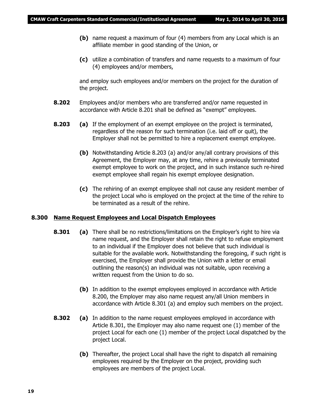- **(b)** name request a maximum of four (4) members from any Local which is an affiliate member in good standing of the Union, or
- **(c)** utilize a combination of transfers and name requests to a maximum of four (4) employees and/or members,

and employ such employees and/or members on the project for the duration of the project.

- **8.202** Employees and/or members who are transferred and/or name requested in accordance with Article 8.201 shall be defined as "exempt" employees.
- **8.203 (a)** If the employment of an exempt employee on the project is terminated, regardless of the reason for such termination (i.e. laid off or quit), the Employer shall not be permitted to hire a replacement exempt employee.
	- **(b)** Notwithstanding Article 8.203 (a) and/or any/all contrary provisions of this Agreement, the Employer may, at any time, rehire a previously terminated exempt employee to work on the project, and in such instance such re-hired exempt employee shall regain his exempt employee designation.
	- **(c)** The rehiring of an exempt employee shall not cause any resident member of the project Local who is employed on the project at the time of the rehire to be terminated as a result of the rehire.

#### **8.300 Name Request Employees and Local Dispatch Employees**

- **8.301 (a)** There shall be no restrictions/limitations on the Employer's right to hire via name request, and the Employer shall retain the right to refuse employment to an individual if the Employer does not believe that such individual is suitable for the available work. Notwithstanding the foregoing, if such right is exercised, the Employer shall provide the Union with a letter or email outlining the reason(s) an individual was not suitable, upon receiving a written request from the Union to do so.
	- **(b)** In addition to the exempt employees employed in accordance with Article 8.200, the Employer may also name request any/all Union members in accordance with Article 8.301 (a) and employ such members on the project.
- **8.302 (a)** In addition to the name request employees employed in accordance with Article 8.301, the Employer may also name request one (1) member of the project Local for each one (1) member of the project Local dispatched by the project Local.
	- **(b)** Thereafter, the project Local shall have the right to dispatch all remaining employees required by the Employer on the project, providing such employees are members of the project Local.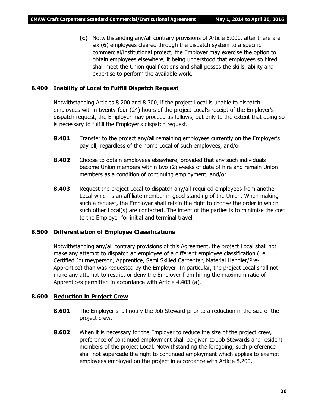**(c)** Notwithstanding any/all contrary provisions of Article 8.000, after there are six (6) employees cleared through the dispatch system to a specific commercial/institutional project, the Employer may exercise the option to obtain employees elsewhere, it being understood that employees so hired shall meet the Union qualifications and shall posses the skills, ability and expertise to perform the available work.

#### **8.400 Inability of Local to Fulfill Dispatch Request**

Notwithstanding Articles 8.200 and 8.300, if the project Local is unable to dispatch employees within twenty-four (24) hours of the project Local's receipt of the Employer's dispatch request, the Employer may proceed as follows, but only to the extent that doing so is necessary to fulfill the Employer's dispatch request.

- **8.401** Transfer to the project any/all remaining employees currently on the Employer's payroll, regardless of the home Local of such employees, and/or
- **8.402** Choose to obtain employees elsewhere, provided that any such individuals become Union members within two (2) weeks of date of hire and remain Union members as a condition of continuing employment, and/or
- **8.403** Request the project Local to dispatch any/all required employees from another Local which is an affiliate member in good standing of the Union. When making such a request, the Employer shall retain the right to choose the order in which such other Local(s) are contacted. The intent of the parties is to minimize the cost to the Employer for initial and terminal travel.

#### **8.500 Differentiation of Employee Classifications**

Notwithstanding any/all contrary provisions of this Agreement, the project Local shall not make any attempt to dispatch an employee of a different employee classification (i.e. Certified Journeyperson, Apprentice, Semi Skilled Carpenter, Material Handler/Pre-Apprentice) than was requested by the Employer. In particular, the project Local shall not make any attempt to restrict or deny the Employer from hiring the maximum ratio of Apprentices permitted in accordance with Article 4.403 (a).

#### **8.600 Reduction in Project Crew**

- **8.601** The Employer shall notify the Job Steward prior to a reduction in the size of the project crew.
- **8.602** When it is necessary for the Employer to reduce the size of the project crew, preference of continued employment shall be given to Job Stewards and resident members of the project Local. Notwithstanding the foregoing, such preference shall not supercede the right to continued employment which applies to exempt employees employed on the project in accordance with Article 8.200.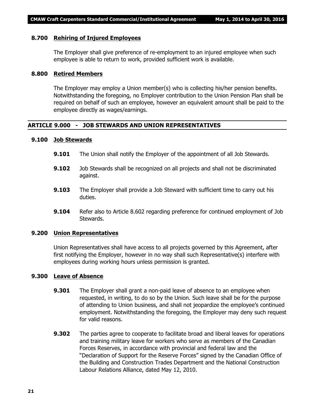#### **8.700 Rehiring of Injured Employees**

The Employer shall give preference of re-employment to an injured employee when such employee is able to return to work, provided sufficient work is available.

#### **8.800 Retired Members**

The Employer may employ a Union member(s) who is collecting his/her pension benefits. Notwithstanding the foregoing, no Employer contribution to the Union Pension Plan shall be required on behalf of such an employee, however an equivalent amount shall be paid to the employee directly as wages/earnings.

#### **ARTICLE 9.000 - JOB STEWARDS AND UNION REPRESENTATIVES**

#### **9.100 Job Stewards**

- **9.101** The Union shall notify the Employer of the appointment of all Job Stewards.
- **9.102** Job Stewards shall be recognized on all projects and shall not be discriminated against.
- **9.103** The Employer shall provide a Job Steward with sufficient time to carry out his duties.
- **9.104** Refer also to Article 8.602 regarding preference for continued employment of Job Stewards.

#### **9.200 Union Representatives**

Union Representatives shall have access to all projects governed by this Agreement, after first notifying the Employer, however in no way shall such Representative(s) interfere with employees during working hours unless permission is granted.

#### **9.300 Leave of Absence**

- **9.301** The Employer shall grant a non-paid leave of absence to an employee when requested, in writing, to do so by the Union. Such leave shall be for the purpose of attending to Union business, and shall not jeopardize the employee's continued employment. Notwithstanding the foregoing, the Employer may deny such request for valid reasons.
- **9.302** The parties agree to cooperate to facilitate broad and liberal leaves for operations and training military leave for workers who serve as members of the Canadian Forces Reserves, in accordance with provincial and federal law and the "Declaration of Support for the Reserve Forces" signed by the Canadian Office of the Building and Construction Trades Department and the National Construction Labour Relations Alliance, dated May 12, 2010.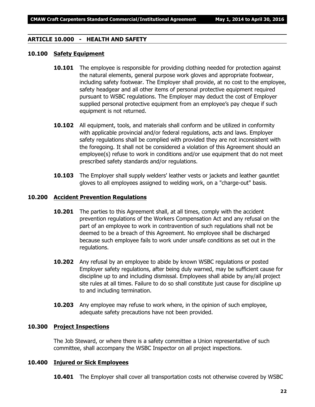#### **ARTICLE 10.000 - HEALTH AND SAFETY**

#### **10.100 Safety Equipment**

- **10.101** The employee is responsible for providing clothing needed for protection against the natural elements, general purpose work gloves and appropriate footwear, including safety footwear. The Employer shall provide, at no cost to the employee, safety headgear and all other items of personal protective equipment required pursuant to WSBC regulations. The Employer may deduct the cost of Employer supplied personal protective equipment from an employee's pay cheque if such equipment is not returned.
- **10.102** All equipment, tools, and materials shall conform and be utilized in conformity with applicable provincial and/or federal regulations, acts and laws. Employer safety regulations shall be complied with provided they are not inconsistent with the foregoing. It shall not be considered a violation of this Agreement should an employee(s) refuse to work in conditions and/or use equipment that do not meet prescribed safety standards and/or regulations.
- **10.103** The Employer shall supply welders' leather vests or jackets and leather gauntlet gloves to all employees assigned to welding work, on a "charge-out" basis.

#### **10.200 Accident Prevention Regulations**

- **10.201** The parties to this Agreement shall, at all times, comply with the accident prevention regulations of the *Workers Compensation Act* and any refusal on the part of an employee to work in contravention of such regulations shall not be deemed to be a breach of this Agreement. No employee shall be discharged because such employee fails to work under unsafe conditions as set out in the regulations.
- **10.202** Any refusal by an employee to abide by known WSBC regulations or posted Employer safety regulations, after being duly warned, may be sufficient cause for discipline up to and including dismissal. Employees shall abide by any/all project site rules at all times. Failure to do so shall constitute just cause for discipline up to and including termination.
- **10.203** Any employee may refuse to work where, in the opinion of such employee, adequate safety precautions have not been provided.

#### **10.300 Project Inspections**

The Job Steward, or where there is a safety committee a Union representative of such committee, shall accompany the WSBC Inspector on all project inspections.

#### **10.400 Injured or Sick Employees**

**10.401** The Employer shall cover all transportation costs not otherwise covered by WSBC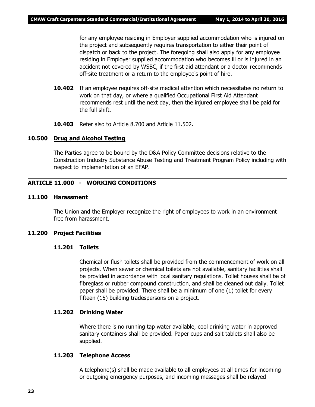for any employee residing in Employer supplied accommodation who is injured on the project and subsequently requires transportation to either their point of dispatch or back to the project. The foregoing shall also apply for any employee residing in Employer supplied accommodation who becomes ill or is injured in an accident not covered by WSBC, if the first aid attendant or a doctor recommends off-site treatment or a return to the employee's point of hire.

- **10.402** If an employee requires off-site medical attention which necessitates no return to work on that day, or where a qualified Occupational First Aid Attendant recommends rest until the next day, then the injured employee shall be paid for the full shift.
- **10.403** Refer also to Article 8.700 and Article 11.502.

#### **10.500 Drug and Alcohol Testing**

The Parties agree to be bound by the D&A Policy Committee decisions relative to the Construction Industry Substance Abuse Testing and Treatment Program Policy including with respect to implementation of an EFAP.

#### **ARTICLE 11.000 - WORKING CONDITIONS**

#### **11.100 Harassment**

The Union and the Employer recognize the right of employees to work in an environment free from harassment.

#### **11.200 Project Facilities**

#### **11.201 Toilets**

Chemical or flush toilets shall be provided from the commencement of work on all projects. When sewer or chemical toilets are not available, sanitary facilities shall be provided in accordance with local sanitary regulations. Toilet houses shall be of fibreglass or rubber compound construction, and shall be cleaned out daily. Toilet paper shall be provided. There shall be a minimum of one (1) toilet for every fifteen (15) building tradespersons on a project.

#### **11.202 Drinking Water**

Where there is no running tap water available, cool drinking water in approved sanitary containers shall be provided. Paper cups and salt tablets shall also be supplied.

#### **11.203 Telephone Access**

A telephone(s) shall be made available to all employees at all times for incoming or outgoing emergency purposes, and incoming messages shall be relayed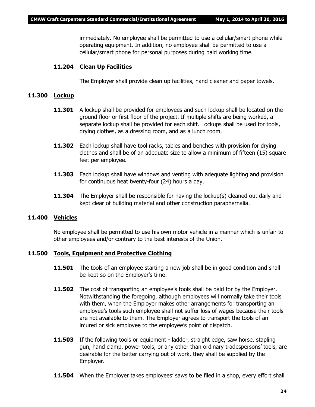immediately. No employee shall be permitted to use a cellular/smart phone while operating equipment. In addition, no employee shall be permitted to use a cellular/smart phone for personal purposes during paid working time.

#### **11.204 Clean Up Facilities**

The Employer shall provide clean up facilities, hand cleaner and paper towels.

#### **11.300 Lockup**

- **11.301** A lockup shall be provided for employees and such lockup shall be located on the ground floor or first floor of the project. If multiple shifts are being worked, a separate lockup shall be provided for each shift. Lockups shall be used for tools, drying clothes, as a dressing room, and as a lunch room.
- **11.302** Each lockup shall have tool racks, tables and benches with provision for drying clothes and shall be of an adequate size to allow a minimum of fifteen (15) square feet per employee.
- **11.303** Each lockup shall have windows and venting with adequate lighting and provision for continuous heat twenty-four (24) hours a day.
- **11.304** The Employer shall be responsible for having the lockup(s) cleaned out daily and kept clear of building material and other construction paraphernalia.

#### **11.400 Vehicles**

No employee shall be permitted to use his own motor vehicle in a manner which is unfair to other employees and/or contrary to the best interests of the Union.

#### **11.500 Tools, Equipment and Protective Clothing**

- **11.501** The tools of an employee starting a new job shall be in good condition and shall be kept so on the Employer's time.
- **11.502** The cost of transporting an employee's tools shall be paid for by the Employer. Notwithstanding the foregoing, although employees will normally take their tools with them, when the Employer makes other arrangements for transporting an employee's tools such employee shall not suffer loss of wages because their tools are not available to them. The Employer agrees to transport the tools of an injured or sick employee to the employee's point of dispatch.
- **11.503** If the following tools or equipment ladder, straight edge, saw horse, stapling gun, hand clamp, power tools, or any other than ordinary tradespersons' tools, are desirable for the better carrying out of work, they shall be supplied by the Employer.
- **11.504** When the Employer takes employees' saws to be filed in a shop, every effort shall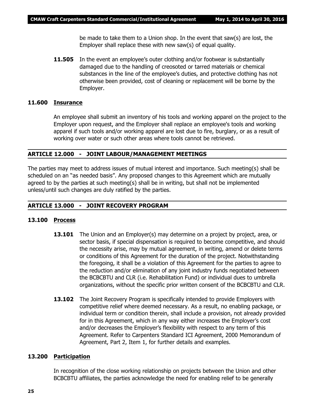be made to take them to a Union shop. In the event that saw(s) are lost, the Employer shall replace these with new saw(s) of equal quality.

**11.505** In the event an employee's outer clothing and/or footwear is substantially damaged due to the handling of creosoted or tarred materials or chemical substances in the line of the employee's duties, and protective clothing has not otherwise been provided, cost of cleaning or replacement will be borne by the Employer.

#### **11.600 Insurance**

An employee shall submit an inventory of his tools and working apparel on the project to the Employer upon request, and the Employer shall replace an employee's tools and working apparel if such tools and/or working apparel are lost due to fire, burglary, or as a result of working over water or such other areas where tools cannot be retrieved.

#### **ARTICLE 12.000 - JOINT LABOUR/MANAGEMENT MEETINGS**

The parties may meet to address issues of mutual interest and importance. Such meeting(s) shall be scheduled on an "as needed basis". Any proposed changes to this Agreement which are mutually agreed to by the parties at such meeting(s) shall be in writing, but shall not be implemented unless/until such changes are duly ratified by the parties.

#### **ARTICLE 13.000 - JOINT RECOVERY PROGRAM**

#### **13.100 Process**

- **13.101** The Union and an Employer(s) may determine on a project by project, area, or sector basis, if special dispensation is required to become competitive, and should the necessity arise, may by mutual agreement, in writing, amend or delete terms or conditions of this Agreement for the duration of the project. Notwithstanding the foregoing, it shall be a violation of this Agreement for the parties to agree to the reduction and/or elimination of any joint industry funds negotiated between the BCBCBTU and CLR (i.e. Rehabilitation Fund) or individual dues to umbrella organizations, without the specific prior written consent of the BCBCBTU and CLR.
- **13.102** The Joint Recovery Program is specifically intended to provide Employers with competitive relief where deemed necessary. As a result, no enabling package, or individual term or condition therein, shall include a provision, not already provided for in this Agreement, which in any way either increases the Employer's cost and/or decreases the Employer's flexibility with respect to any term of this Agreement. Refer to Carpenters Standard ICI Agreement, 2000 Memorandum of Agreement, Part 2, Item 1, for further details and examples.

#### **13.200 Participation**

In recognition of the close working relationship on projects between the Union and other BCBCBTU affiliates, the parties acknowledge the need for enabling relief to be generally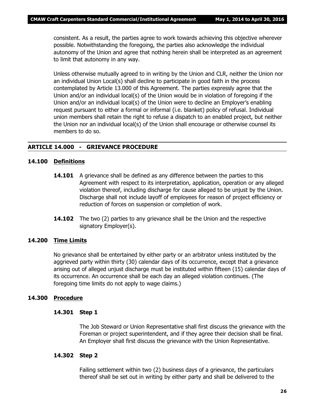consistent. As a result, the parties agree to work towards achieving this objective wherever possible. Notwithstanding the foregoing, the parties also acknowledge the individual autonomy of the Union and agree that nothing herein shall be interpreted as an agreement to limit that autonomy in any way.

Unless otherwise mutually agreed to in writing by the Union and CLR, neither the Union nor an individual Union Local(s) shall decline to participate in good faith in the process contemplated by Article 13.000 of this Agreement. The parties expressly agree that the Union and/or an individual local(s) of the Union would be in violation of foregoing if the Union and/or an individual local(s) of the Union were to decline an Employer's enabling request pursuant to either a formal or informal (i.e. blanket) policy of refusal. Individual union members shall retain the right to refuse a dispatch to an enabled project, but neither the Union nor an individual local(s) of the Union shall encourage or otherwise counsel its members to do so.

#### **ARTICLE 14.000 - GRIEVANCE PROCEDURE**

#### **14.100 Definitions**

- **14.101** A grievance shall be defined as any difference between the parties to this Agreement with respect to its interpretation, application, operation or any alleged violation thereof, including discharge for cause alleged to be unjust by the Union. Discharge shall not include layoff of employees for reason of project efficiency or reduction of forces on suspension or completion of work.
- **14.102** The two (2) parties to any grievance shall be the Union and the respective signatory Employer(s).

#### **14.200 Time Limits**

No grievance shall be entertained by either party or an arbitrator unless instituted by the aggrieved party within thirty (30) calendar days of its occurrence, except that a grievance arising out of alleged unjust discharge must be instituted within fifteen (15) calendar days of its occurrence. An occurrence shall be each day an alleged violation continues. (The foregoing time limits do not apply to wage claims.)

#### **14.300 Procedure**

#### **14.301 Step 1**

The Job Steward or Union Representative shall first discuss the grievance with the Foreman or project superintendent, and if they agree their decision shall be final. An Employer shall first discuss the grievance with the Union Representative.

#### **14.302 Step 2**

Failing settlement within two (2) business days of a grievance, the particulars thereof shall be set out in writing by either party and shall be delivered to the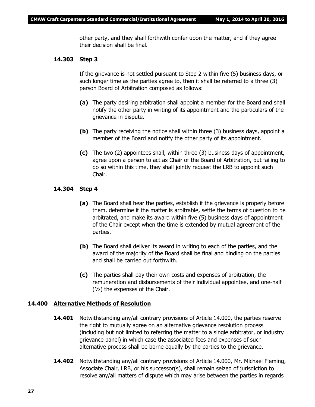other party, and they shall forthwith confer upon the matter, and if they agree their decision shall be final.

#### **14.303 Step 3**

If the grievance is not settled pursuant to Step 2 within five (5) business days, or such longer time as the parties agree to, then it shall be referred to a three (3) person Board of Arbitration composed as follows:

- **(a)** The party desiring arbitration shall appoint a member for the Board and shall notify the other party in writing of its appointment and the particulars of the grievance in dispute.
- **(b)** The party receiving the notice shall within three (3) business days, appoint a member of the Board and notify the other party of its appointment.
- **(c)** The two (2) appointees shall, within three (3) business days of appointment, agree upon a person to act as Chair of the Board of Arbitration, but failing to do so within this time, they shall jointly request the LRB to appoint such Chair.

#### **14.304 Step 4**

- **(a)** The Board shall hear the parties, establish if the grievance is properly before them, determine if the matter is arbitrable, settle the terms of question to be arbitrated, and make its award within five (5) business days of appointment of the Chair except when the time is extended by mutual agreement of the parties.
- **(b)** The Board shall deliver its award in writing to each of the parties, and the award of the majority of the Board shall be final and binding on the parties and shall be carried out forthwith.
- **(c)** The parties shall pay their own costs and expenses of arbitration, the remuneration and disbursements of their individual appointee, and one-half  $(y<sub>2</sub>)$  the expenses of the Chair.

#### **14.400 Alternative Methods of Resolution**

- **14.401** Notwithstanding any/all contrary provisions of Article 14.000, the parties reserve the right to mutually agree on an alternative grievance resolution process (including but not limited to referring the matter to a single arbitrator, or industry grievance panel) in which case the associated fees and expenses of such alternative process shall be borne equally by the parties to the grievance.
- **14.402** Notwithstanding any/all contrary provisions of Article 14.000, Mr. Michael Fleming, Associate Chair, LRB, or his successor(s), shall remain seized of jurisdiction to resolve any/all matters of dispute which may arise between the parties in regards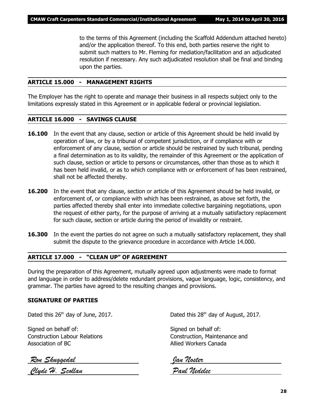to the terms of this Agreement (including the Scaffold Addendum attached hereto) and/or the application thereof. To this end, both parties reserve the right to submit such matters to Mr. Fleming for mediation/facilitation and an adjudicated resolution if necessary. Any such adjudicated resolution shall be final and binding upon the parties.

#### **ARTICLE 15.000 - MANAGEMENT RIGHTS**

The Employer has the right to operate and manage their business in all respects subject only to the limitations expressly stated in this Agreement or in applicable federal or provincial legislation.

#### **ARTICLE 16.000 - SAVINGS CLAUSE**

- **16.100** In the event that any clause, section or article of this Agreement should be held invalid by operation of law, or by a tribunal of competent jurisdiction, or if compliance with or enforcement of any clause, section or article should be restrained by such tribunal, pending a final determination as to its validity, the remainder of this Agreement or the application of such clause, section or article to persons or circumstances, other than those as to which it has been held invalid, or as to which compliance with or enforcement of has been restrained, shall not be affected thereby.
- **16.200** In the event that any clause, section or article of this Agreement should be held invalid, or enforcement of, or compliance with which has been restrained, as above set forth, the parties affected thereby shall enter into immediate collective bargaining negotiations, upon the request of either party, for the purpose of arriving at a mutually satisfactory replacement for such clause, section or article during the period of invalidity or restraint.
- **16.300** In the event the parties do not agree on such a mutually satisfactory replacement, they shall submit the dispute to the grievance procedure in accordance with Article 14.000.

#### **ARTICLE 17.000 - "CLEAN UP" OF AGREEMENT**

During the preparation of this Agreement, mutually agreed upon adjustments were made to format and language in order to address/delete redundant provisions, vague language, logic, consistency, and grammar. The parties have agreed to the resulting changes and provisions.

#### **SIGNATURE OF PARTIES**

Dated this  $26<sup>th</sup>$  day of June, 2017. Dated this  $28<sup>th</sup>$  day of August, 2017.

Signed on behalf of: Signed on behalf of: Association of BC Allied Workers Canada

Construction Labour Relations Construction, Maintenance and

 *Ron Skuggedal Jan Noster Clyde H. Scollan Paul Nedelec*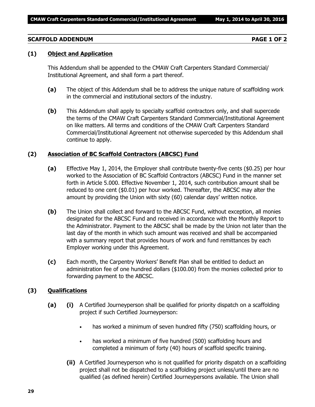#### **SCAFFOLD ADDENDUM PAGE 1 OF 2**

#### **(1) Object and Application**

This Addendum shall be appended to the CMAW Craft Carpenters Standard Commercial/ Institutional Agreement, and shall form a part thereof.

- **(a)** The object of this Addendum shall be to address the unique nature of scaffolding work in the commercial and institutional sectors of the industry.
- **(b)** This Addendum shall apply to specialty scaffold contractors only, and shall supercede the terms of the CMAW Craft Carpenters Standard Commercial/Institutional Agreement on like matters. All terms and conditions of the CMAW Craft Carpenters Standard Commercial/Institutional Agreement not otherwise superceded by this Addendum shall continue to apply.

#### **(2) Association of BC Scaffold Contractors (ABCSC) Fund**

- **(a)** Effective May 1, 2014, the Employer shall contribute twenty-five cents (\$0.25) per hour worked to the Association of BC Scaffold Contractors (ABCSC) Fund in the manner set forth in Article 5.000. Effective November 1, 2014, such contribution amount shall be reduced to one cent (\$0.01) per hour worked. Thereafter, the ABCSC may alter the amount by providing the Union with sixty (60) calendar days' written notice.
- **(b)** The Union shall collect and forward to the ABCSC Fund, without exception, all monies designated for the ABCSC Fund and received in accordance with the Monthly Report to the Administrator. Payment to the ABCSC shall be made by the Union not later than the last day of the month in which such amount was received and shall be accompanied with a summary report that provides hours of work and fund remittances by each Employer working under this Agreement.
- **(c)** Each month, the Carpentry Workers' Benefit Plan shall be entitled to deduct an administration fee of one hundred dollars (\$100.00) from the monies collected prior to forwarding payment to the ABCSC.

#### **(3) Qualifications**

- **(a) (i)** A Certified Journeyperson shall be qualified for priority dispatch on a scaffolding project if such Certified Journeyperson:
	- has worked a minimum of seven hundred fifty (750) scaffolding hours, or
	- has worked a minimum of five hundred (500) scaffolding hours and completed a minimum of forty (40) hours of scaffold specific training.
	- **(ii)** A Certified Journeyperson who is not qualified for priority dispatch on a scaffolding project shall not be dispatched to a scaffolding project unless/until there are no qualified (as defined herein) Certified Journeypersons available. The Union shall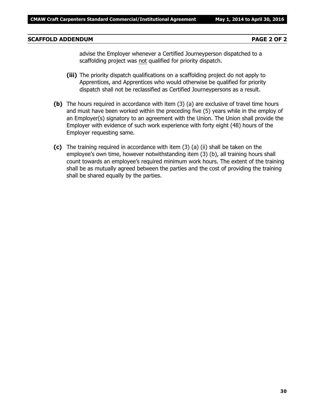#### **SCAFFOLD ADDENDUM PAGE 2 OF 2**

advise the Employer whenever a Certified Journeyperson dispatched to a scaffolding project was not qualified for priority dispatch.

- **(iii)** The priority dispatch qualifications on a scaffolding project do not apply to Apprentices, and Apprentices who would otherwise be qualified for priority dispatch shall not be reclassified as Certified Journeypersons as a result.
- **(b)** The hours required in accordance with item (3) (a) are exclusive of travel time hours and must have been worked within the preceding five (5) years while in the employ of an Employer(s) signatory to an agreement with the Union. The Union shall provide the Employer with evidence of such work experience with forty eight (48) hours of the Employer requesting same.
- **(c)** The training required in accordance with item (3) (a) (ii) shall be taken on the employee's own time, however notwithstanding item (3) (b), all training hours shall count towards an employee's required minimum work hours. The extent of the training shall be as mutually agreed between the parties and the cost of providing the training shall be shared equally by the parties.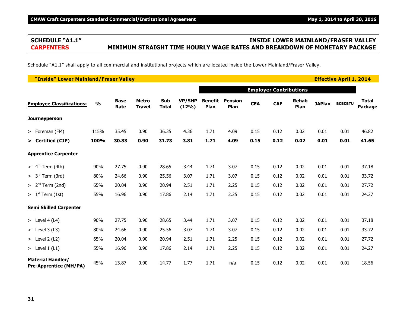### **SCHEDULE "A1.1" INSIDE LOWER MAINLAND/FRASER VALLEY CARPENTERS MINIMUM STRAIGHT TIME HOURLY WAGE RATES AND BREAKDOWN OF MONETARY PACKAGE**

Schedule "A1.1" shall apply to all commercial and institutional projects which are located inside the Lower Mainland/Fraser Valley.

| "Inside" Lower Mainland/Fraser Valley                     |               |                     |                               |                     |                        |                               | <b>Effective April 1, 2014</b> |            |            |                      |               |                |                                |
|-----------------------------------------------------------|---------------|---------------------|-------------------------------|---------------------|------------------------|-------------------------------|--------------------------------|------------|------------|----------------------|---------------|----------------|--------------------------------|
|                                                           |               |                     |                               |                     |                        | <b>Employer Contributions</b> |                                |            |            |                      |               |                |                                |
| <b>Employee Classifications:</b>                          | $\frac{0}{0}$ | <b>Base</b><br>Rate | <b>Metro</b><br><b>Travel</b> | Sub<br><b>Total</b> | <b>VP/SHP</b><br>(12%) | <b>Benefit</b><br>Plan        | <b>Pension</b><br>Plan         | <b>CEA</b> | <b>CAF</b> | <b>Rehab</b><br>Plan | <b>JAPlan</b> | <b>BCBCBTU</b> | <b>Total</b><br><b>Package</b> |
| <b>Journeyperson</b>                                      |               |                     |                               |                     |                        |                               |                                |            |            |                      |               |                |                                |
| > Foreman (FM)                                            | 115%          | 35.45               | 0.90                          | 36.35               | 4.36                   | 1.71                          | 4.09                           | 0.15       | 0.12       | 0.02                 | 0.01          | 0.01           | 46.82                          |
| > Certified (CJP)                                         | 100%          | 30.83               | 0.90                          | 31.73               | 3.81                   | 1.71                          | 4.09                           | 0.15       | 0.12       | 0.02                 | 0.01          | 0.01           | 41.65                          |
| <b>Apprentice Carpenter</b>                               |               |                     |                               |                     |                        |                               |                                |            |            |                      |               |                |                                |
| $> 4th$ Term (4th)                                        | 90%           | 27.75               | 0.90                          | 28.65               | 3.44                   | 1.71                          | 3.07                           | 0.15       | 0.12       | 0.02                 | 0.01          | 0.01           | 37.18                          |
| $> 3rd$ Term (3rd)                                        | 80%           | 24.66               | 0.90                          | 25.56               | 3.07                   | 1.71                          | 3.07                           | 0.15       | 0.12       | 0.02                 | 0.01          | 0.01           | 33.72                          |
| $> 2nd$ Term (2nd)                                        | 65%           | 20.04               | 0.90                          | 20.94               | 2.51                   | 1.71                          | 2.25                           | 0.15       | 0.12       | 0.02                 | 0.01          | 0.01           | 27.72                          |
| $> 1st$ Term (1st)                                        | 55%           | 16.96               | 0.90                          | 17.86               | 2.14                   | 1.71                          | 2.25                           | 0.15       | 0.12       | 0.02                 | 0.01          | 0.01           | 24.27                          |
| <b>Semi Skilled Carpenter</b>                             |               |                     |                               |                     |                        |                               |                                |            |            |                      |               |                |                                |
| > Level $4(L4)$                                           | 90%           | 27.75               | 0.90                          | 28.65               | 3.44                   | 1.71                          | 3.07                           | 0.15       | 0.12       | 0.02                 | 0.01          | 0.01           | 37.18                          |
| > Level $3(L3)$                                           | 80%           | 24.66               | 0.90                          | 25.56               | 3.07                   | 1.71                          | 3.07                           | 0.15       | 0.12       | 0.02                 | 0.01          | 0.01           | 33.72                          |
| $>$ Level 2 (L2)                                          | 65%           | 20.04               | 0.90                          | 20.94               | 2.51                   | 1.71                          | 2.25                           | 0.15       | 0.12       | 0.02                 | 0.01          | 0.01           | 27.72                          |
| > Level $1(L1)$                                           | 55%           | 16.96               | 0.90                          | 17.86               | 2.14                   | 1.71                          | 2.25                           | 0.15       | 0.12       | 0.02                 | 0.01          | 0.01           | 24.27                          |
| <b>Material Handler/</b><br><b>Pre-Apprentice (MH/PA)</b> | 45%           | 13.87               | 0.90                          | 14.77               | 1.77                   | 1.71                          | n/a                            | 0.15       | 0.12       | 0.02                 | 0.01          | 0.01           | 18.56                          |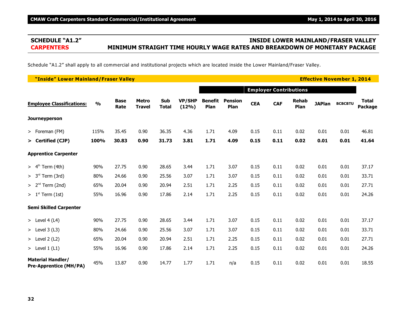### **SCHEDULE "A1.2" INSIDE LOWER MAINLAND/FRASER VALLEY CARPENTERS MINIMUM STRAIGHT TIME HOURLY WAGE RATES AND BREAKDOWN OF MONETARY PACKAGE**

Schedule "A1.2" shall apply to all commercial and institutional projects which are located inside the Lower Mainland/Fraser Valley.

| "Inside" Lower Mainland/Fraser Valley                     |               |                     |                               |                     |                        |                               | <b>Effective November 1, 2014</b> |            |            |                      |               |                |                                |
|-----------------------------------------------------------|---------------|---------------------|-------------------------------|---------------------|------------------------|-------------------------------|-----------------------------------|------------|------------|----------------------|---------------|----------------|--------------------------------|
|                                                           |               |                     |                               |                     |                        | <b>Employer Contributions</b> |                                   |            |            |                      |               |                |                                |
| <b>Employee Classifications:</b>                          | $\frac{0}{0}$ | <b>Base</b><br>Rate | <b>Metro</b><br><b>Travel</b> | Sub<br><b>Total</b> | <b>VP/SHP</b><br>(12%) | <b>Benefit</b><br>Plan        | <b>Pension</b><br>Plan            | <b>CEA</b> | <b>CAF</b> | <b>Rehab</b><br>Plan | <b>JAPlan</b> | <b>BCBCBTU</b> | <b>Total</b><br><b>Package</b> |
| <b>Journeyperson</b>                                      |               |                     |                               |                     |                        |                               |                                   |            |            |                      |               |                |                                |
| > Foreman (FM)                                            | 115%          | 35.45               | 0.90                          | 36.35               | 4.36                   | 1.71                          | 4.09                              | 0.15       | 0.11       | 0.02                 | 0.01          | 0.01           | 46.81                          |
| > Certified (CJP)                                         | 100%          | 30.83               | 0.90                          | 31.73               | 3.81                   | 1.71                          | 4.09                              | 0.15       | 0.11       | 0.02                 | 0.01          | 0.01           | 41.64                          |
| <b>Apprentice Carpenter</b>                               |               |                     |                               |                     |                        |                               |                                   |            |            |                      |               |                |                                |
| $> 4th$ Term (4th)                                        | 90%           | 27.75               | 0.90                          | 28.65               | 3.44                   | 1.71                          | 3.07                              | 0.15       | 0.11       | 0.02                 | 0.01          | 0.01           | 37.17                          |
| $> 3rd$ Term (3rd)                                        | 80%           | 24.66               | 0.90                          | 25.56               | 3.07                   | 1.71                          | 3.07                              | 0.15       | 0.11       | 0.02                 | 0.01          | 0.01           | 33.71                          |
| $> 2nd$ Term (2nd)                                        | 65%           | 20.04               | 0.90                          | 20.94               | 2.51                   | 1.71                          | 2.25                              | 0.15       | 0.11       | 0.02                 | 0.01          | 0.01           | 27.71                          |
| $> 1st$ Term (1st)                                        | 55%           | 16.96               | 0.90                          | 17.86               | 2.14                   | 1.71                          | 2.25                              | 0.15       | 0.11       | 0.02                 | 0.01          | 0.01           | 24.26                          |
| <b>Semi Skilled Carpenter</b>                             |               |                     |                               |                     |                        |                               |                                   |            |            |                      |               |                |                                |
| > Level $4(L4)$                                           | 90%           | 27.75               | 0.90                          | 28.65               | 3.44                   | 1.71                          | 3.07                              | 0.15       | 0.11       | 0.02                 | 0.01          | 0.01           | 37.17                          |
| > Level $3(L3)$                                           | 80%           | 24.66               | 0.90                          | 25.56               | 3.07                   | 1.71                          | 3.07                              | 0.15       | 0.11       | 0.02                 | 0.01          | 0.01           | 33.71                          |
| > Level $2(L2)$                                           | 65%           | 20.04               | 0.90                          | 20.94               | 2.51                   | 1.71                          | 2.25                              | 0.15       | 0.11       | 0.02                 | 0.01          | 0.01           | 27.71                          |
| > Level $1(L1)$                                           | 55%           | 16.96               | 0.90                          | 17.86               | 2.14                   | 1.71                          | 2.25                              | 0.15       | 0.11       | 0.02                 | 0.01          | 0.01           | 24.26                          |
| <b>Material Handler/</b><br><b>Pre-Apprentice (MH/PA)</b> | 45%           | 13.87               | 0.90                          | 14.77               | 1.77                   | 1.71                          | n/a                               | 0.15       | 0.11       | 0.02                 | 0.01          | 0.01           | 18.55                          |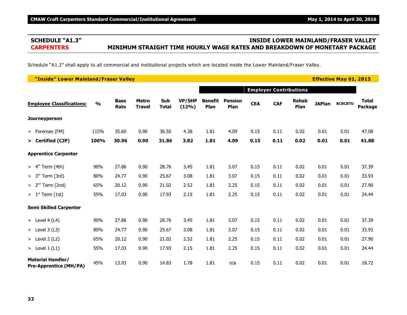### **SCHEDULE "A1.3" INSIDE LOWER MAINLAND/FRASER VALLEY CARPENTERS MINIMUM STRAIGHT TIME HOURLY WAGE RATES AND BREAKDOWN OF MONETARY PACKAGE**

Schedule "A1.3" shall apply to all commercial and institutional projects which are located inside the Lower Mainland/Fraser Valley.

| "Inside" Lower Mainland/Fraser Valley                     |               |                     |                               |                     |                        |                        | <b>Effective May 01, 2015</b> |                               |            |                      |               |                |                         |
|-----------------------------------------------------------|---------------|---------------------|-------------------------------|---------------------|------------------------|------------------------|-------------------------------|-------------------------------|------------|----------------------|---------------|----------------|-------------------------|
|                                                           |               |                     |                               |                     |                        |                        |                               | <b>Employer Contributions</b> |            |                      |               |                |                         |
| <b>Employee Classifications:</b>                          | $\frac{0}{0}$ | <b>Base</b><br>Rate | <b>Metro</b><br><b>Travel</b> | Sub<br><b>Total</b> | <b>VP/SHP</b><br>(12%) | <b>Benefit</b><br>Plan | <b>Pension</b><br>Plan        | <b>CEA</b>                    | <b>CAF</b> | <b>Rehab</b><br>Plan | <b>JAPlan</b> | <b>BCBCBTU</b> | <b>Total</b><br>Package |
| Journeyperson                                             |               |                     |                               |                     |                        |                        |                               |                               |            |                      |               |                |                         |
| > Foreman (FM)                                            | 115%          | 35.60               | 0.90                          | 36.50               | 4.38                   | 1.81                   | 4.09                          | 0.15                          | 0.11       | 0.02                 | 0.01          | 0.01           | 47.08                   |
| > Certified (CJP)                                         | 100%          | 30.96               | 0.90                          | 31.86               | 3.82                   | 1.81                   | 4.09                          | 0.15                          | 0.11       | 0.02                 | 0.01          | 0.01           | 41.88                   |
| <b>Apprentice Carpenter</b>                               |               |                     |                               |                     |                        |                        |                               |                               |            |                      |               |                |                         |
| $> 4th$ Term (4th)                                        | 90%           | 27.86               | 0.90                          | 28.76               | 3.45                   | 1.81                   | 3.07                          | 0.15                          | 0.11       | 0.02                 | 0.01          | 0.01           | 37.39                   |
| $> 3rd$ Term (3rd)                                        | 80%           | 24.77               | 0.90                          | 25.67               | 3.08                   | 1.81                   | 3.07                          | 0.15                          | 0.11       | 0.02                 | 0.01          | 0.01           | 33.93                   |
| > 2 <sup>nd</sup><br>Term (2nd)                           | 65%           | 20.12               | 0.90                          | 21.02               | 2.52                   | 1.81                   | 2.25                          | 0.15                          | 0.11       | 0.02                 | 0.01          | 0.01           | 27.90                   |
| $>1st$ Term (1st)                                         | 55%           | 17.03               | 0.90                          | 17.93               | 2.15                   | 1.81                   | 2.25                          | 0.15                          | 0.11       | 0.02                 | 0.01          | 0.01           | 24.44                   |
| <b>Semi Skilled Carpenter</b>                             |               |                     |                               |                     |                        |                        |                               |                               |            |                      |               |                |                         |
| > Level 4 (L4)                                            | 90%           | 27.86               | 0.90                          | 28.76               | 3.45                   | 1.81                   | 3.07                          | 0.15                          | 0.11       | 0.02                 | 0.01          | 0.01           | 37.39                   |
| $>$ Level 3 (L3)                                          | 80%           | 24.77               | 0.90                          | 25.67               | 3.08                   | 1.81                   | 3.07                          | 0.15                          | 0.11       | 0.02                 | 0.01          | 0.01           | 33.93                   |
| $>$ Level 2 (L2)                                          | 65%           | 20.12               | 0.90                          | 21.02               | 2.52                   | 1.81                   | 2.25                          | 0.15                          | 0.11       | 0.02                 | 0.01          | 0.01           | 27.90                   |
| > Level $1(L1)$                                           | 55%           | 17.03               | 0.90                          | 17.93               | 2.15                   | 1.81                   | 2.25                          | 0.15                          | 0.11       | 0.02                 | 0.01          | 0.01           | 24.44                   |
| <b>Material Handler/</b><br><b>Pre-Apprentice (MH/PA)</b> | 45%           | 13.93               | 0.90                          | 14.83               | 1.78                   | 1.81                   | n/a                           | 0.15                          | 0.11       | 0.02                 | 0.01          | 0.01           | 18.72                   |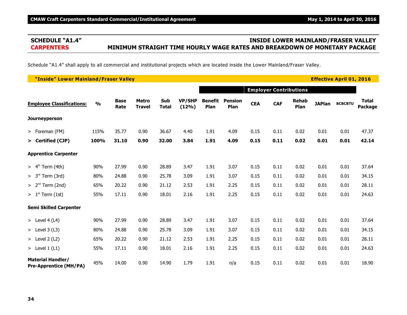# **SCHEDULE "A1.4" INSIDE LOWER MAINLAND/FRASER VALLEY CARPENTERS MINIMUM STRAIGHT TIME HOURLY WAGE RATES AND BREAKDOWN OF MONETARY PACKAGE**

Schedule "A1.4" shall apply to all commercial and institutional projects which are located inside the Lower Mainland/Fraser Valley.

| "Inside" Lower Mainland/Fraser Valley                     |               |                     |                               |                     |                        |                        |                        |            |                               |                      | <b>Effective April 01, 2016</b> |                |                         |
|-----------------------------------------------------------|---------------|---------------------|-------------------------------|---------------------|------------------------|------------------------|------------------------|------------|-------------------------------|----------------------|---------------------------------|----------------|-------------------------|
|                                                           |               |                     |                               |                     |                        |                        |                        |            | <b>Employer Contributions</b> |                      |                                 |                |                         |
| <b>Employee Classifications:</b>                          | $\frac{0}{0}$ | <b>Base</b><br>Rate | <b>Metro</b><br><b>Travel</b> | Sub<br><b>Total</b> | <b>VP/SHP</b><br>(12%) | <b>Benefit</b><br>Plan | <b>Pension</b><br>Plan | <b>CEA</b> | <b>CAF</b>                    | <b>Rehab</b><br>Plan | <b>JAPlan</b>                   | <b>BCBCBTU</b> | <b>Total</b><br>Package |
| Journeyperson                                             |               |                     |                               |                     |                        |                        |                        |            |                               |                      |                                 |                |                         |
| > Foreman (FM)                                            | 115%          | 35.77               | 0.90                          | 36.67               | 4.40                   | 1.91                   | 4.09                   | 0.15       | 0.11                          | 0.02                 | 0.01                            | 0.01           | 47.37                   |
| > Certified (CJP)                                         | 100%          | 31.10               | 0.90                          | 32.00               | 3.84                   | 1.91                   | 4.09                   | 0.15       | 0.11                          | 0.02                 | 0.01                            | 0.01           | 42.14                   |
| <b>Apprentice Carpenter</b>                               |               |                     |                               |                     |                        |                        |                        |            |                               |                      |                                 |                |                         |
| $> 4th$ Term (4th)                                        | 90%           | 27.99               | 0.90                          | 28.89               | 3.47                   | 1.91                   | 3.07                   | 0.15       | 0.11                          | 0.02                 | 0.01                            | 0.01           | 37.64                   |
| $> 3rd$ Term (3rd)                                        | 80%           | 24.88               | 0.90                          | 25.78               | 3.09                   | 1.91                   | 3.07                   | 0.15       | 0.11                          | 0.02                 | 0.01                            | 0.01           | 34.15                   |
| > 2 <sup>nd</sup><br>Term (2nd)                           | 65%           | 20.22               | 0.90                          | 21.12               | 2.53                   | 1.91                   | 2.25                   | 0.15       | 0.11                          | 0.02                 | 0.01                            | 0.01           | 28.11                   |
| $>1st$ Term (1st)                                         | 55%           | 17.11               | 0.90                          | 18.01               | 2.16                   | 1.91                   | 2.25                   | 0.15       | 0.11                          | 0.02                 | 0.01                            | 0.01           | 24.63                   |
| <b>Semi Skilled Carpenter</b>                             |               |                     |                               |                     |                        |                        |                        |            |                               |                      |                                 |                |                         |
| > Level 4 (L4)                                            | 90%           | 27.99               | 0.90                          | 28.89               | 3.47                   | 1.91                   | 3.07                   | 0.15       | 0.11                          | 0.02                 | 0.01                            | 0.01           | 37.64                   |
| $>$ Level 3 (L3)                                          | 80%           | 24.88               | 0.90                          | 25.78               | 3.09                   | 1.91                   | 3.07                   | 0.15       | 0.11                          | 0.02                 | 0.01                            | 0.01           | 34.15                   |
| $>$ Level 2 (L2)                                          | 65%           | 20.22               | 0.90                          | 21.12               | 2.53                   | 1.91                   | 2.25                   | 0.15       | 0.11                          | 0.02                 | 0.01                            | 0.01           | 28.11                   |
| > Level $1(L1)$                                           | 55%           | 17.11               | 0.90                          | 18.01               | 2.16                   | 1.91                   | 2.25                   | 0.15       | 0.11                          | 0.02                 | 0.01                            | 0.01           | 24.63                   |
| <b>Material Handler/</b><br><b>Pre-Apprentice (MH/PA)</b> | 45%           | 14.00               | 0.90                          | 14.90               | 1.79                   | 1.91                   | n/a                    | 0.15       | 0.11                          | 0.02                 | 0.01                            | 0.01           | 18.90                   |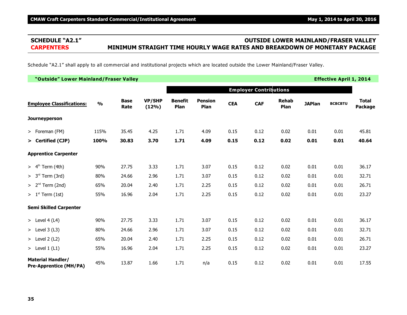# **SCHEDULE "A2.1" OUTSIDE LOWER MAINLAND/FRASER VALLEY CARPENTERS MINIMUM STRAIGHT TIME HOURLY WAGE RATES AND BREAKDOWN OF MONETARY PACKAGE**

Schedule "A2.1" shall apply to all commercial and institutional projects which are located outside the Lower Mainland/Fraser Valley.

| "Outside" Lower Mainland/Fraser Valley                    |               |                     |                        |                        |                        |            |                               |                      |               | <b>Effective April 1, 2014</b> |                                |
|-----------------------------------------------------------|---------------|---------------------|------------------------|------------------------|------------------------|------------|-------------------------------|----------------------|---------------|--------------------------------|--------------------------------|
|                                                           |               |                     |                        |                        |                        |            | <b>Employer Contributions</b> |                      |               |                                |                                |
| <b>Employee Classifications:</b>                          | $\frac{0}{0}$ | <b>Base</b><br>Rate | <b>VP/SHP</b><br>(12%) | <b>Benefit</b><br>Plan | <b>Pension</b><br>Plan | <b>CEA</b> | <b>CAF</b>                    | <b>Rehab</b><br>Plan | <b>JAPlan</b> | <b>BCBCBTU</b>                 | <b>Total</b><br><b>Package</b> |
| <b>Journeyperson</b>                                      |               |                     |                        |                        |                        |            |                               |                      |               |                                |                                |
| > Foreman (FM)                                            | 115%          | 35.45               | 4.25                   | 1.71                   | 4.09                   | 0.15       | 0.12                          | 0.02                 | 0.01          | 0.01                           | 45.81                          |
| > Certified (CJP)                                         | 100%          | 30.83               | 3.70                   | 1.71                   | 4.09                   | 0.15       | 0.12                          | 0.02                 | 0.01          | 0.01                           | 40.64                          |
| <b>Apprentice Carpenter</b>                               |               |                     |                        |                        |                        |            |                               |                      |               |                                |                                |
| $> 4th$ Term (4th)                                        | 90%           | 27.75               | 3.33                   | 1.71                   | 3.07                   | 0.15       | 0.12                          | 0.02                 | 0.01          | 0.01                           | 36.17                          |
| $> 3rd$ Term (3rd)                                        | 80%           | 24.66               | 2.96                   | 1.71                   | 3.07                   | 0.15       | 0.12                          | 0.02                 | 0.01          | 0.01                           | 32.71                          |
| $> 2nd$ Term (2nd)                                        | 65%           | 20.04               | 2.40                   | 1.71                   | 2.25                   | 0.15       | 0.12                          | 0.02                 | 0.01          | 0.01                           | 26.71                          |
| $> 1st$ Term (1st)                                        | 55%           | 16.96               | 2.04                   | 1.71                   | 2.25                   | 0.15       | 0.12                          | 0.02                 | 0.01          | 0.01                           | 23.27                          |
| <b>Semi Skilled Carpenter</b>                             |               |                     |                        |                        |                        |            |                               |                      |               |                                |                                |
| > Level 4 (L4)                                            | 90%           | 27.75               | 3.33                   | 1.71                   | 3.07                   | 0.15       | 0.12                          | 0.02                 | 0.01          | 0.01                           | 36.17                          |
| > Level $3(L3)$                                           | 80%           | 24.66               | 2.96                   | 1.71                   | 3.07                   | 0.15       | 0.12                          | 0.02                 | 0.01          | 0.01                           | 32.71                          |
| $>$ Level 2 (L2)                                          | 65%           | 20.04               | 2.40                   | 1.71                   | 2.25                   | 0.15       | 0.12                          | 0.02                 | 0.01          | 0.01                           | 26.71                          |
| > Level $1(L1)$                                           | 55%           | 16.96               | 2.04                   | 1.71                   | 2.25                   | 0.15       | 0.12                          | 0.02                 | 0.01          | 0.01                           | 23.27                          |
| <b>Material Handler/</b><br><b>Pre-Apprentice (MH/PA)</b> | 45%           | 13.87               | 1.66                   | 1.71                   | n/a                    | 0.15       | 0.12                          | 0.02                 | 0.01          | 0.01                           | 17.55                          |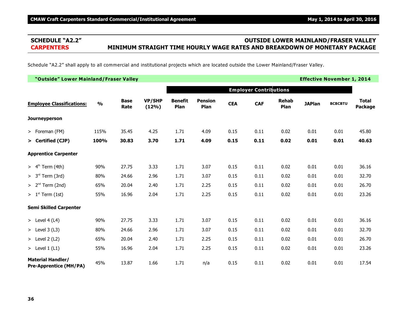# **SCHEDULE "A2.2" OUTSIDE LOWER MAINLAND/FRASER VALLEY CARPENTERS MINIMUM STRAIGHT TIME HOURLY WAGE RATES AND BREAKDOWN OF MONETARY PACKAGE**

Schedule "A2.2" shall apply to all commercial and institutional projects which are located outside the Lower Mainland/Fraser Valley.

| "Outside" Lower Mainland/Fraser Valley                    |               |                     |                        |                        |                        |            |                               |                      |               | <b>Effective November 1, 2014</b> |                         |
|-----------------------------------------------------------|---------------|---------------------|------------------------|------------------------|------------------------|------------|-------------------------------|----------------------|---------------|-----------------------------------|-------------------------|
|                                                           |               |                     |                        |                        |                        |            | <b>Employer Contributions</b> |                      |               |                                   |                         |
| <b>Employee Classifications:</b>                          | $\frac{0}{0}$ | <b>Base</b><br>Rate | <b>VP/SHP</b><br>(12%) | <b>Benefit</b><br>Plan | <b>Pension</b><br>Plan | <b>CEA</b> | <b>CAF</b>                    | <b>Rehab</b><br>Plan | <b>JAPlan</b> | <b>BCBCBTU</b>                    | <b>Total</b><br>Package |
| <b>Journeyperson</b>                                      |               |                     |                        |                        |                        |            |                               |                      |               |                                   |                         |
| > Foreman (FM)                                            | 115%          | 35.45               | 4.25                   | 1.71                   | 4.09                   | 0.15       | 0.11                          | 0.02                 | 0.01          | 0.01                              | 45.80                   |
| > Certified (CJP)                                         | 100%          | 30.83               | 3.70                   | 1.71                   | 4.09                   | 0.15       | 0.11                          | 0.02                 | 0.01          | 0.01                              | 40.63                   |
| <b>Apprentice Carpenter</b>                               |               |                     |                        |                        |                        |            |                               |                      |               |                                   |                         |
| $> 4th$ Term (4th)                                        | 90%           | 27.75               | 3.33                   | 1.71                   | 3.07                   | 0.15       | 0.11                          | 0.02                 | 0.01          | 0.01                              | 36.16                   |
| $> 3rd$ Term (3rd)                                        | 80%           | 24.66               | 2.96                   | 1.71                   | 3.07                   | 0.15       | 0.11                          | 0.02                 | 0.01          | 0.01                              | 32.70                   |
| $> 2nd$ Term (2nd)                                        | 65%           | 20.04               | 2.40                   | 1.71                   | 2.25                   | 0.15       | 0.11                          | 0.02                 | 0.01          | 0.01                              | 26.70                   |
| $> 1st$ Term (1st)                                        | 55%           | 16.96               | 2.04                   | 1.71                   | 2.25                   | 0.15       | 0.11                          | 0.02                 | 0.01          | 0.01                              | 23.26                   |
| <b>Semi Skilled Carpenter</b>                             |               |                     |                        |                        |                        |            |                               |                      |               |                                   |                         |
| > Level 4 (L4)                                            | 90%           | 27.75               | 3.33                   | 1.71                   | 3.07                   | 0.15       | 0.11                          | 0.02                 | 0.01          | 0.01                              | 36.16                   |
| $>$ Level 3 (L3)                                          | 80%           | 24.66               | 2.96                   | 1.71                   | 3.07                   | 0.15       | 0.11                          | 0.02                 | 0.01          | 0.01                              | 32.70                   |
| > Level $2(L2)$                                           | 65%           | 20.04               | 2.40                   | 1.71                   | 2.25                   | 0.15       | 0.11                          | 0.02                 | 0.01          | 0.01                              | 26.70                   |
| > Level $1(L1)$                                           | 55%           | 16.96               | 2.04                   | 1.71                   | 2.25                   | 0.15       | 0.11                          | 0.02                 | 0.01          | 0.01                              | 23.26                   |
| <b>Material Handler/</b><br><b>Pre-Apprentice (MH/PA)</b> | 45%           | 13.87               | 1.66                   | 1.71                   | n/a                    | 0.15       | 0.11                          | 0.02                 | 0.01          | 0.01                              | 17.54                   |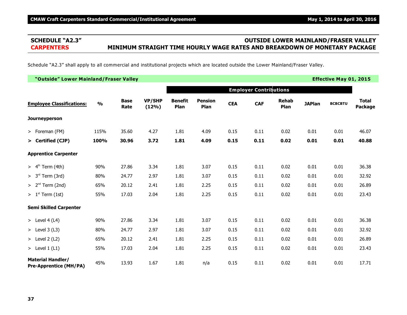# **SCHEDULE "A2.3" OUTSIDE LOWER MAINLAND/FRASER VALLEY CARPENTERS MINIMUM STRAIGHT TIME HOURLY WAGE RATES AND BREAKDOWN OF MONETARY PACKAGE**

Schedule "A2.3" shall apply to all commercial and institutional projects which are located outside the Lower Mainland/Fraser Valley.

| "Outside" Lower Mainland/Fraser Valley                    |               |                     |                        |                        |                        |            |                               |                      |               | <b>Effective May 01, 2015</b> |                                |
|-----------------------------------------------------------|---------------|---------------------|------------------------|------------------------|------------------------|------------|-------------------------------|----------------------|---------------|-------------------------------|--------------------------------|
|                                                           |               |                     |                        |                        |                        |            | <b>Employer Contributions</b> |                      |               |                               |                                |
| <b>Employee Classifications:</b>                          | $\frac{0}{0}$ | <b>Base</b><br>Rate | <b>VP/SHP</b><br>(12%) | <b>Benefit</b><br>Plan | <b>Pension</b><br>Plan | <b>CEA</b> | <b>CAF</b>                    | <b>Rehab</b><br>Plan | <b>JAPlan</b> | <b>BCBCBTU</b>                | <b>Total</b><br><b>Package</b> |
| <b>Journeyperson</b>                                      |               |                     |                        |                        |                        |            |                               |                      |               |                               |                                |
| > Foreman (FM)                                            | 115%          | 35.60               | 4.27                   | 1.81                   | 4.09                   | 0.15       | 0.11                          | 0.02                 | 0.01          | 0.01                          | 46.07                          |
| > Certified (CJP)                                         | 100%          | 30.96               | 3.72                   | 1.81                   | 4.09                   | 0.15       | 0.11                          | 0.02                 | 0.01          | 0.01                          | 40.88                          |
| <b>Apprentice Carpenter</b>                               |               |                     |                        |                        |                        |            |                               |                      |               |                               |                                |
| $> 4th$ Term (4th)                                        | 90%           | 27.86               | 3.34                   | 1.81                   | 3.07                   | 0.15       | 0.11                          | 0.02                 | 0.01          | 0.01                          | 36.38                          |
| $> 3rd$ Term (3rd)                                        | 80%           | 24.77               | 2.97                   | 1.81                   | 3.07                   | 0.15       | 0.11                          | 0.02                 | 0.01          | 0.01                          | 32.92                          |
| $> 2nd$ Term (2nd)                                        | 65%           | 20.12               | 2.41                   | 1.81                   | 2.25                   | 0.15       | 0.11                          | 0.02                 | 0.01          | 0.01                          | 26.89                          |
| $> 1st$ Term (1st)                                        | 55%           | 17.03               | 2.04                   | 1.81                   | 2.25                   | 0.15       | 0.11                          | 0.02                 | 0.01          | 0.01                          | 23.43                          |
| <b>Semi Skilled Carpenter</b>                             |               |                     |                        |                        |                        |            |                               |                      |               |                               |                                |
| > Level $4(L4)$                                           | 90%           | 27.86               | 3.34                   | 1.81                   | 3.07                   | 0.15       | 0.11                          | 0.02                 | 0.01          | 0.01                          | 36.38                          |
| > Level $3(L3)$                                           | 80%           | 24.77               | 2.97                   | 1.81                   | 3.07                   | 0.15       | 0.11                          | 0.02                 | 0.01          | 0.01                          | 32.92                          |
| > Level $2(L2)$                                           | 65%           | 20.12               | 2.41                   | 1.81                   | 2.25                   | 0.15       | 0.11                          | 0.02                 | 0.01          | 0.01                          | 26.89                          |
| > Level $1(L1)$                                           | 55%           | 17.03               | 2.04                   | 1.81                   | 2.25                   | 0.15       | 0.11                          | 0.02                 | 0.01          | 0.01                          | 23.43                          |
| <b>Material Handler/</b><br><b>Pre-Apprentice (MH/PA)</b> | 45%           | 13.93               | 1.67                   | 1.81                   | n/a                    | 0.15       | 0.11                          | 0.02                 | 0.01          | 0.01                          | 17.71                          |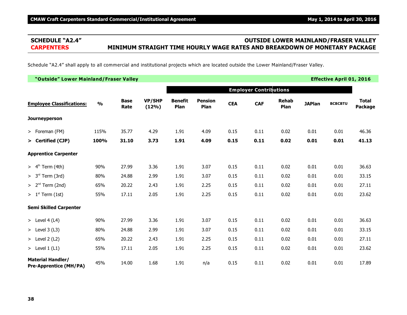# **SCHEDULE "A2.4" OUTSIDE LOWER MAINLAND/FRASER VALLEY CARPENTERS MINIMUM STRAIGHT TIME HOURLY WAGE RATES AND BREAKDOWN OF MONETARY PACKAGE**

Schedule "A2.4" shall apply to all commercial and institutional projects which are located outside the Lower Mainland/Fraser Valley.

| "Outside" Lower Mainland/Fraser Valley                    |               |                     |                        |                        |                        |            |                               |                      |               | <b>Effective April 01, 2016</b> |                                |
|-----------------------------------------------------------|---------------|---------------------|------------------------|------------------------|------------------------|------------|-------------------------------|----------------------|---------------|---------------------------------|--------------------------------|
|                                                           |               |                     |                        |                        |                        |            | <b>Employer Contributions</b> |                      |               |                                 |                                |
| <b>Employee Classifications:</b>                          | $\frac{0}{0}$ | <b>Base</b><br>Rate | <b>VP/SHP</b><br>(12%) | <b>Benefit</b><br>Plan | <b>Pension</b><br>Plan | <b>CEA</b> | <b>CAF</b>                    | <b>Rehab</b><br>Plan | <b>JAPlan</b> | <b>BCBCBTU</b>                  | <b>Total</b><br><b>Package</b> |
| <b>Journeyperson</b>                                      |               |                     |                        |                        |                        |            |                               |                      |               |                                 |                                |
| > Foreman (FM)                                            | 115%          | 35.77               | 4.29                   | 1.91                   | 4.09                   | 0.15       | 0.11                          | 0.02                 | 0.01          | 0.01                            | 46.36                          |
| > Certified (CJP)                                         | 100%          | 31.10               | 3.73                   | 1.91                   | 4.09                   | 0.15       | 0.11                          | 0.02                 | 0.01          | 0.01                            | 41.13                          |
| <b>Apprentice Carpenter</b>                               |               |                     |                        |                        |                        |            |                               |                      |               |                                 |                                |
| $> 4th$ Term (4th)                                        | 90%           | 27.99               | 3.36                   | 1.91                   | 3.07                   | 0.15       | 0.11                          | 0.02                 | 0.01          | 0.01                            | 36.63                          |
| $> 3rd$ Term (3rd)                                        | 80%           | 24.88               | 2.99                   | 1.91                   | 3.07                   | 0.15       | 0.11                          | 0.02                 | 0.01          | 0.01                            | 33.15                          |
| $> 2nd$ Term (2nd)                                        | 65%           | 20.22               | 2.43                   | 1.91                   | 2.25                   | 0.15       | 0.11                          | 0.02                 | 0.01          | 0.01                            | 27.11                          |
| $> 1st$ Term (1st)                                        | 55%           | 17.11               | 2.05                   | 1.91                   | 2.25                   | 0.15       | 0.11                          | 0.02                 | 0.01          | 0.01                            | 23.62                          |
| <b>Semi Skilled Carpenter</b>                             |               |                     |                        |                        |                        |            |                               |                      |               |                                 |                                |
| > Level 4 (L4)                                            | 90%           | 27.99               | 3.36                   | 1.91                   | 3.07                   | 0.15       | 0.11                          | 0.02                 | 0.01          | 0.01                            | 36.63                          |
| > Level $3(L3)$                                           | 80%           | 24.88               | 2.99                   | 1.91                   | 3.07                   | 0.15       | 0.11                          | 0.02                 | 0.01          | 0.01                            | 33.15                          |
| $>$ Level 2 (L2)                                          | 65%           | 20.22               | 2.43                   | 1.91                   | 2.25                   | 0.15       | 0.11                          | 0.02                 | 0.01          | 0.01                            | 27.11                          |
| > Level $1(L1)$                                           | 55%           | 17.11               | 2.05                   | 1.91                   | 2.25                   | 0.15       | 0.11                          | 0.02                 | 0.01          | 0.01                            | 23.62                          |
| <b>Material Handler/</b><br><b>Pre-Apprentice (MH/PA)</b> | 45%           | 14.00               | 1.68                   | 1.91                   | n/a                    | 0.15       | 0.11                          | 0.02                 | 0.01          | 0.01                            | 17.89                          |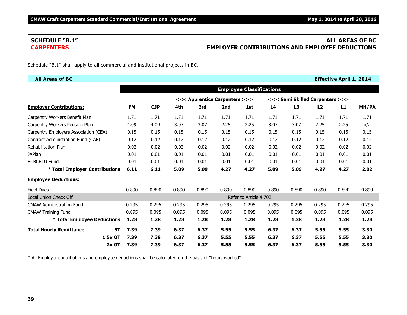# **SCHEDULE "B.1" ALL AREAS OF BC CARPENTERS EMPLOYER CONTRIBUTIONS AND EMPLOYEE DEDUCTIONS**

Schedule "B.1" shall apply to all commercial and institutional projects in BC.

| <b>All Areas of BC</b>                |           |           |            |       |                               |       |                                 |                |                |                                 | <b>Effective April 1, 2014</b> |       |
|---------------------------------------|-----------|-----------|------------|-------|-------------------------------|-------|---------------------------------|----------------|----------------|---------------------------------|--------------------------------|-------|
|                                       |           |           |            |       |                               |       | <b>Employee Classifications</b> |                |                |                                 |                                |       |
|                                       |           |           |            |       | <<< Apprentice Carpenters >>> |       |                                 |                |                | <<< Semi Skilled Carpenters >>> |                                |       |
| <b>Employer Contributions:</b>        |           | <b>FM</b> | <b>CJP</b> | 4th   | 3rd                           | 2nd   | 1st                             | L <sub>4</sub> | L <sub>3</sub> | L2                              | L1                             | MH/PA |
| Carpentry Workers Benefit Plan        |           | 1.71      | 1.71       | 1.71  | 1.71                          | 1.71  | 1.71                            | 1.71           | 1.71           | 1.71                            | 1.71                           | 1.71  |
| Carpentry Workers Pension Plan        |           | 4.09      | 4.09       | 3.07  | 3.07                          | 2.25  | 2.25                            | 3.07           | 3.07           | 2.25                            | 2.25                           | n/a   |
| Carpentry Employers Association (CEA) |           | 0.15      | 0.15       | 0.15  | 0.15                          | 0.15  | 0.15                            | 0.15           | 0.15           | 0.15                            | 0.15                           | 0.15  |
| Contract Administration Fund (CAF)    |           | 0.12      | 0.12       | 0.12  | 0.12                          | 0.12  | 0.12                            | 0.12           | 0.12           | 0.12                            | 0.12                           | 0.12  |
| Rehabilitation Plan                   |           | 0.02      | 0.02       | 0.02  | 0.02                          | 0.02  | 0.02                            | 0.02           | 0.02           | 0.02                            | 0.02                           | 0.02  |
| <b>JAPlan</b>                         |           | 0.01      | 0.01       | 0.01  | 0.01                          | 0.01  | 0.01                            | 0.01           | 0.01           | 0.01                            | 0.01                           | 0.01  |
| <b>BCBCBTU Fund</b>                   |           | 0.01      | 0.01       | 0.01  | 0.01                          | 0.01  | 0.01                            | 0.01           | 0.01           | 0.01                            | 0.01                           | 0.01  |
| * Total Employer Contributions        |           | 6.11      | 6.11       | 5.09  | 5.09                          | 4.27  | 4.27                            | 5.09           | 5.09           | 4.27                            | 4.27                           | 2.02  |
| <b>Employee Deductions:</b>           |           |           |            |       |                               |       |                                 |                |                |                                 |                                |       |
| <b>Field Dues</b>                     |           | 0.890     | 0.890      | 0.890 | 0.890                         | 0.890 | 0.890                           | 0.890          | 0.890          | 0.890                           | 0.890                          | 0.890 |
| Local Union Check Off                 |           |           |            |       |                               |       | Refer to Article 4.702          |                |                |                                 |                                |       |
| <b>CMAW Administration Fund</b>       |           | 0.295     | 0.295      | 0.295 | 0.295                         | 0.295 | 0.295                           | 0.295          | 0.295          | 0.295                           | 0.295                          | 0.295 |
| <b>CMAW Training Fund</b>             |           | 0.095     | 0.095      | 0.095 | 0.095                         | 0.095 | 0.095                           | 0.095          | 0.095          | 0.095                           | 0.095                          | 0.095 |
| * Total Employee Deductions           |           | 1.28      | 1.28       | 1.28  | 1.28                          | 1.28  | 1.28                            | 1.28           | 1.28           | 1.28                            | 1.28                           | 1.28  |
| <b>Total Hourly Remittance</b>        | <b>ST</b> | 7.39      | 7.39       | 6.37  | 6.37                          | 5.55  | 5.55                            | 6.37           | 6.37           | 5.55                            | 5.55                           | 3.30  |
|                                       | 1.5x OT   | 7.39      | 7.39       | 6.37  | 6.37                          | 5.55  | 5.55                            | 6.37           | 6.37           | 5.55                            | 5.55                           | 3.30  |
|                                       | $2x$ OT   | 7.39      | 7.39       | 6.37  | 6.37                          | 5.55  | 5.55                            | 6.37           | 6.37           | 5.55                            | 5.55                           | 3.30  |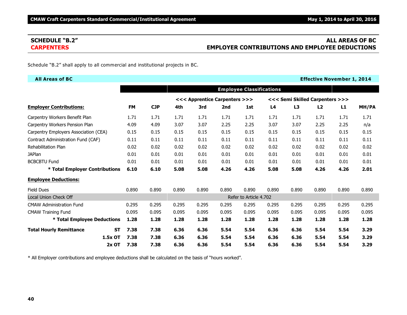# **SCHEDULE "B.2" ALL AREAS OF BC CARPENTERS EMPLOYER CONTRIBUTIONS AND EMPLOYEE DEDUCTIONS**

Schedule "B.2" shall apply to all commercial and institutional projects in BC.

| <b>All Areas of BC</b>                      |           |            |       |                               |       |                                 |                |       | <b>Effective November 1, 2014</b> |       |       |
|---------------------------------------------|-----------|------------|-------|-------------------------------|-------|---------------------------------|----------------|-------|-----------------------------------|-------|-------|
|                                             |           |            |       |                               |       | <b>Employee Classifications</b> |                |       |                                   |       |       |
|                                             |           |            |       | <<< Apprentice Carpenters >>> |       |                                 |                |       | <<< Semi Skilled Carpenters >>>   |       |       |
| <b>Employer Contributions:</b>              | <b>FM</b> | <b>CJP</b> | 4th   | 3rd                           | 2nd   | 1st                             | L <sub>4</sub> | L3    | L2                                | L1    | MH/PA |
| Carpentry Workers Benefit Plan              | 1.71      | 1.71       | 1.71  | 1.71                          | 1.71  | 1.71                            | 1.71           | 1.71  | 1.71                              | 1.71  | 1.71  |
| Carpentry Workers Pension Plan              | 4.09      | 4.09       | 3.07  | 3.07                          | 2.25  | 2.25                            | 3.07           | 3.07  | 2.25                              | 2.25  | n/a   |
| Carpentry Employers Association (CEA)       | 0.15      | 0.15       | 0.15  | 0.15                          | 0.15  | 0.15                            | 0.15           | 0.15  | 0.15                              | 0.15  | 0.15  |
| Contract Administration Fund (CAF)          | 0.11      | 0.11       | 0.11  | 0.11                          | 0.11  | 0.11                            | 0.11           | 0.11  | 0.11                              | 0.11  | 0.11  |
| <b>Rehabilitation Plan</b>                  | 0.02      | 0.02       | 0.02  | 0.02                          | 0.02  | 0.02                            | 0.02           | 0.02  | 0.02                              | 0.02  | 0.02  |
| <b>JAPlan</b>                               | 0.01      | 0.01       | 0.01  | 0.01                          | 0.01  | 0.01                            | 0.01           | 0.01  | 0.01                              | 0.01  | 0.01  |
| <b>BCBCBTU Fund</b>                         | 0.01      | 0.01       | 0.01  | 0.01                          | 0.01  | 0.01                            | 0.01           | 0.01  | 0.01                              | 0.01  | 0.01  |
| * Total Employer Contributions              | 6.10      | 6.10       | 5.08  | 5.08                          | 4.26  | 4.26                            | 5.08           | 5.08  | 4.26                              | 4.26  | 2.01  |
| <b>Employee Deductions:</b>                 |           |            |       |                               |       |                                 |                |       |                                   |       |       |
| <b>Field Dues</b>                           | 0.890     | 0.890      | 0.890 | 0.890                         | 0.890 | 0.890                           | 0.890          | 0.890 | 0.890                             | 0.890 | 0.890 |
| Local Union Check Off                       |           |            |       |                               |       | Refer to Article 4.702          |                |       |                                   |       |       |
| <b>CMAW Administration Fund</b>             | 0.295     | 0.295      | 0.295 | 0.295                         | 0.295 | 0.295                           | 0.295          | 0.295 | 0.295                             | 0.295 | 0.295 |
| <b>CMAW Training Fund</b>                   | 0.095     | 0.095      | 0.095 | 0.095                         | 0.095 | 0.095                           | 0.095          | 0.095 | 0.095                             | 0.095 | 0.095 |
| * Total Employee Deductions                 | 1.28      | 1.28       | 1.28  | 1.28                          | 1.28  | 1.28                            | 1.28           | 1.28  | 1.28                              | 1.28  | 1.28  |
| <b>Total Hourly Remittance</b><br><b>ST</b> | 7.38      | 7.38       | 6.36  | 6.36                          | 5.54  | 5.54                            | 6.36           | 6.36  | 5.54                              | 5.54  | 3.29  |
| 1.5x OT                                     | 7.38      | 7.38       | 6.36  | 6.36                          | 5.54  | 5.54                            | 6.36           | 6.36  | 5.54                              | 5.54  | 3.29  |
| 2x OT                                       | 7.38      | 7.38       | 6.36  | 6.36                          | 5.54  | 5.54                            | 6.36           | 6.36  | 5.54                              | 5.54  | 3.29  |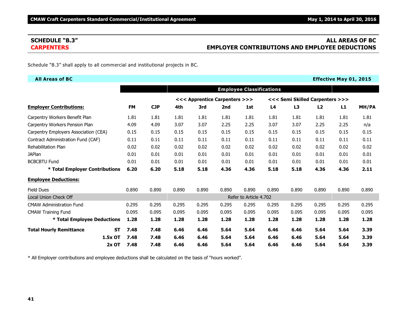# **SCHEDULE "B.3" ALL AREAS OF BC CARPENTERS EMPLOYER CONTRIBUTIONS AND EMPLOYEE DEDUCTIONS**

Schedule "B.3" shall apply to all commercial and institutional projects in BC.

| <b>All Areas of BC</b>                |                   |            |       |                               |       |                                 |                |                                 |       | <b>Effective May 01, 2015</b> |       |
|---------------------------------------|-------------------|------------|-------|-------------------------------|-------|---------------------------------|----------------|---------------------------------|-------|-------------------------------|-------|
|                                       |                   |            |       |                               |       | <b>Employee Classifications</b> |                |                                 |       |                               |       |
|                                       |                   |            |       | <<< Apprentice Carpenters >>> |       |                                 |                | <<< Semi Skilled Carpenters >>> |       |                               |       |
| <b>Employer Contributions:</b>        | <b>FM</b>         | <b>CJP</b> | 4th   | 3rd                           | 2nd   | 1st                             | L <sub>4</sub> | L3                              | L2    | L1                            | MH/PA |
| Carpentry Workers Benefit Plan        | 1.81              | 1.81       | 1.81  | 1.81                          | 1.81  | 1.81                            | 1.81           | 1.81                            | 1.81  | 1.81                          | 1.81  |
| Carpentry Workers Pension Plan        | 4.09              | 4.09       | 3.07  | 3.07                          | 2.25  | 2.25                            | 3.07           | 3.07                            | 2.25  | 2.25                          | n/a   |
| Carpentry Employers Association (CEA) | 0.15              | 0.15       | 0.15  | 0.15                          | 0.15  | 0.15                            | 0.15           | 0.15                            | 0.15  | 0.15                          | 0.15  |
| Contract Administration Fund (CAF)    | 0.11              | 0.11       | 0.11  | 0.11                          | 0.11  | 0.11                            | 0.11           | 0.11                            | 0.11  | 0.11                          | 0.11  |
| <b>Rehabilitation Plan</b>            | 0.02              | 0.02       | 0.02  | 0.02                          | 0.02  | 0.02                            | 0.02           | 0.02                            | 0.02  | 0.02                          | 0.02  |
| <b>JAPlan</b>                         | 0.01              | 0.01       | 0.01  | 0.01                          | 0.01  | 0.01                            | 0.01           | 0.01                            | 0.01  | 0.01                          | 0.01  |
| <b>BCBCBTU Fund</b>                   | 0.01              | 0.01       | 0.01  | 0.01                          | 0.01  | 0.01                            | 0.01           | 0.01                            | 0.01  | 0.01                          | 0.01  |
| * Total Employer Contributions        | 6.20              | 6.20       | 5.18  | 5.18                          | 4.36  | 4.36                            | 5.18           | 5.18                            | 4.36  | 4.36                          | 2.11  |
| <b>Employee Deductions:</b>           |                   |            |       |                               |       |                                 |                |                                 |       |                               |       |
| <b>Field Dues</b>                     | 0.890             | 0.890      | 0.890 | 0.890                         | 0.890 | 0.890                           | 0.890          | 0.890                           | 0.890 | 0.890                         | 0.890 |
| Local Union Check Off                 |                   |            |       |                               |       | Refer to Article 4.702          |                |                                 |       |                               |       |
| <b>CMAW Administration Fund</b>       | 0.295             | 0.295      | 0.295 | 0.295                         | 0.295 | 0.295                           | 0.295          | 0.295                           | 0.295 | 0.295                         | 0.295 |
| <b>CMAW Training Fund</b>             | 0.095             | 0.095      | 0.095 | 0.095                         | 0.095 | 0.095                           | 0.095          | 0.095                           | 0.095 | 0.095                         | 0.095 |
| * Total Employee Deductions           | 1.28              | 1.28       | 1.28  | 1.28                          | 1.28  | 1.28                            | 1.28           | 1.28                            | 1.28  | 1.28                          | 1.28  |
| <b>Total Hourly Remittance</b>        | 7.48<br><b>ST</b> | 7.48       | 6.46  | 6.46                          | 5.64  | 5.64                            | 6.46           | 6.46                            | 5.64  | 5.64                          | 3.39  |
| 1.5x OT                               | 7.48              | 7.48       | 6.46  | 6.46                          | 5.64  | 5.64                            | 6.46           | 6.46                            | 5.64  | 5.64                          | 3.39  |
|                                       | 2x OT<br>7.48     | 7.48       | 6.46  | 6.46                          | 5.64  | 5.64                            | 6.46           | 6.46                            | 5.64  | 5.64                          | 3.39  |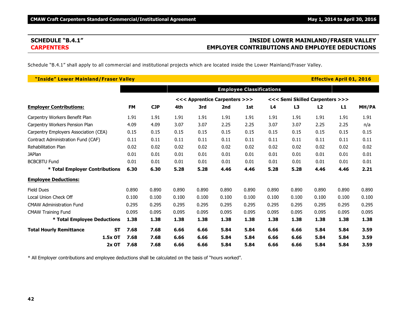# **SCHEDULE "B.4.1" INSIDE LOWER MAINLAND/FRASER VALLEY CARPENTERS EMPLOYER CONTRIBUTIONS AND EMPLOYEE DEDUCTIONS**

Schedule "B.4.1" shall apply to all commercial and institutional projects which are located inside the Lower Mainland/Fraser Valley.

| "Inside" Lower Mainland/Fraser Valley |           |           |            |       |                               |       |                                 |                |       |                                 | <b>Effective April 01, 2016</b> |       |
|---------------------------------------|-----------|-----------|------------|-------|-------------------------------|-------|---------------------------------|----------------|-------|---------------------------------|---------------------------------|-------|
|                                       |           |           |            |       |                               |       | <b>Employee Classifications</b> |                |       |                                 |                                 |       |
|                                       |           |           |            |       | <<< Apprentice Carpenters >>> |       |                                 |                |       | <<< Semi Skilled Carpenters >>> |                                 |       |
| <b>Employer Contributions:</b>        |           | <b>FM</b> | <b>CJP</b> | 4th   | 3rd                           | 2nd   | 1st                             | L <sub>4</sub> | L3    | L2                              | L1                              | MH/PA |
| Carpentry Workers Benefit Plan        |           | 1.91      | 1.91       | 1.91  | 1.91                          | 1.91  | 1.91                            | 1.91           | 1.91  | 1.91                            | 1.91                            | 1.91  |
| Carpentry Workers Pension Plan        |           | 4.09      | 4.09       | 3.07  | 3.07                          | 2.25  | 2.25                            | 3.07           | 3.07  | 2.25                            | 2.25                            | n/a   |
| Carpentry Employers Association (CEA) |           | 0.15      | 0.15       | 0.15  | 0.15                          | 0.15  | 0.15                            | 0.15           | 0.15  | 0.15                            | 0.15                            | 0.15  |
| Contract Administration Fund (CAF)    |           | 0.11      | 0.11       | 0.11  | 0.11                          | 0.11  | 0.11                            | 0.11           | 0.11  | 0.11                            | 0.11                            | 0.11  |
| <b>Rehabilitation Plan</b>            |           | 0.02      | 0.02       | 0.02  | 0.02                          | 0.02  | 0.02                            | 0.02           | 0.02  | 0.02                            | 0.02                            | 0.02  |
| <b>JAPlan</b>                         |           | 0.01      | 0.01       | 0.01  | 0.01                          | 0.01  | 0.01                            | 0.01           | 0.01  | 0.01                            | 0.01                            | 0.01  |
| <b>BCBCBTU Fund</b>                   |           | 0.01      | 0.01       | 0.01  | 0.01                          | 0.01  | 0.01                            | 0.01           | 0.01  | 0.01                            | 0.01                            | 0.01  |
| * Total Employer Contributions        |           | 6.30      | 6.30       | 5.28  | 5.28                          | 4.46  | 4.46                            | 5.28           | 5.28  | 4.46                            | 4.46                            | 2.21  |
| <b>Employee Deductions:</b>           |           |           |            |       |                               |       |                                 |                |       |                                 |                                 |       |
| <b>Field Dues</b>                     |           | 0.890     | 0.890      | 0.890 | 0.890                         | 0.890 | 0.890                           | 0.890          | 0.890 | 0.890                           | 0.890                           | 0.890 |
| Local Union Check Off                 |           | 0.100     | 0.100      | 0.100 | 0.100                         | 0.100 | 0.100                           | 0.100          | 0.100 | 0.100                           | 0.100                           | 0.100 |
| <b>CMAW Administration Fund</b>       |           | 0.295     | 0.295      | 0.295 | 0.295                         | 0.295 | 0.295                           | 0.295          | 0.295 | 0.295                           | 0.295                           | 0.295 |
| <b>CMAW Training Fund</b>             |           | 0.095     | 0.095      | 0.095 | 0.095                         | 0.095 | 0.095                           | 0.095          | 0.095 | 0.095                           | 0.095                           | 0.095 |
| * Total Employee Deductions           |           | 1.38      | 1.38       | 1.38  | 1.38                          | 1.38  | 1.38                            | 1.38           | 1.38  | 1.38                            | 1.38                            | 1.38  |
| <b>Total Hourly Remittance</b>        | <b>ST</b> | 7.68      | 7.68       | 6.66  | 6.66                          | 5.84  | 5.84                            | 6.66           | 6.66  | 5.84                            | 5.84                            | 3.59  |
|                                       | 1.5x OT   | 7.68      | 7.68       | 6.66  | 6.66                          | 5.84  | 5.84                            | 6.66           | 6.66  | 5.84                            | 5.84                            | 3.59  |
|                                       | $2x$ OT   | 7.68      | 7.68       | 6.66  | 6.66                          | 5.84  | 5.84                            | 6.66           | 6.66  | 5.84                            | 5.84                            | 3.59  |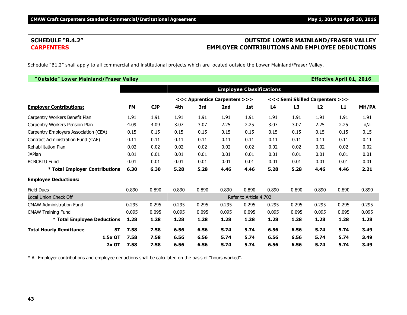# **SCHEDULE "B.4.2" OUTSIDE LOWER MAINLAND/FRASER VALLEY CARPENTERS EMPLOYER CONTRIBUTIONS AND EMPLOYEE DEDUCTIONS**

Schedule "B1.2" shall apply to all commercial and institutional projects which are located outside the Lower Mainland/Fraser Valley.

| "Outside" Lower Mainland/Fraser Valley      |           |            |       |                               |       |                                 |       |       |                                 | <b>Effective April 01, 2016</b> |       |
|---------------------------------------------|-----------|------------|-------|-------------------------------|-------|---------------------------------|-------|-------|---------------------------------|---------------------------------|-------|
|                                             |           |            |       |                               |       | <b>Employee Classifications</b> |       |       |                                 |                                 |       |
|                                             |           |            |       | <<< Apprentice Carpenters >>> |       |                                 |       |       | <<< Semi Skilled Carpenters >>> |                                 |       |
| <b>Employer Contributions:</b>              | <b>FM</b> | <b>CJP</b> | 4th   | 3rd                           | 2nd   | 1st                             | L4    | L3    | L2                              | L1                              | MH/PA |
| Carpentry Workers Benefit Plan              | 1.91      | 1.91       | 1.91  | 1.91                          | 1.91  | 1.91                            | 1.91  | 1.91  | 1.91                            | 1.91                            | 1.91  |
| Carpentry Workers Pension Plan              | 4.09      | 4.09       | 3.07  | 3.07                          | 2.25  | 2.25                            | 3.07  | 3.07  | 2.25                            | 2.25                            | n/a   |
| Carpentry Employers Association (CEA)       | 0.15      | 0.15       | 0.15  | 0.15                          | 0.15  | 0.15                            | 0.15  | 0.15  | 0.15                            | 0.15                            | 0.15  |
| Contract Administration Fund (CAF)          | 0.11      | 0.11       | 0.11  | 0.11                          | 0.11  | 0.11                            | 0.11  | 0.11  | 0.11                            | 0.11                            | 0.11  |
| <b>Rehabilitation Plan</b>                  | 0.02      | 0.02       | 0.02  | 0.02                          | 0.02  | 0.02                            | 0.02  | 0.02  | 0.02                            | 0.02                            | 0.02  |
| <b>JAPlan</b>                               | 0.01      | 0.01       | 0.01  | 0.01                          | 0.01  | 0.01                            | 0.01  | 0.01  | 0.01                            | 0.01                            | 0.01  |
| <b>BCBCBTU Fund</b>                         | 0.01      | 0.01       | 0.01  | 0.01                          | 0.01  | 0.01                            | 0.01  | 0.01  | 0.01                            | 0.01                            | 0.01  |
| * Total Employer Contributions              | 6.30      | 6.30       | 5.28  | 5.28                          | 4.46  | 4.46                            | 5.28  | 5.28  | 4.46                            | 4.46                            | 2.21  |
| <b>Employee Deductions:</b>                 |           |            |       |                               |       |                                 |       |       |                                 |                                 |       |
| <b>Field Dues</b>                           | 0.890     | 0.890      | 0.890 | 0.890                         | 0.890 | 0.890                           | 0.890 | 0.890 | 0.890                           | 0.890                           | 0.890 |
| <b>Local Union Check Off</b>                |           |            |       |                               |       | Refer to Article 4.702          |       |       |                                 |                                 |       |
| <b>CMAW Administration Fund</b>             | 0.295     | 0.295      | 0.295 | 0.295                         | 0.295 | 0.295                           | 0.295 | 0.295 | 0.295                           | 0.295                           | 0.295 |
| <b>CMAW Training Fund</b>                   | 0.095     | 0.095      | 0.095 | 0.095                         | 0.095 | 0.095                           | 0.095 | 0.095 | 0.095                           | 0.095                           | 0.095 |
| * Total Employee Deductions                 | 1.28      | 1.28       | 1.28  | 1.28                          | 1.28  | 1.28                            | 1.28  | 1.28  | 1.28                            | 1.28                            | 1.28  |
| <b>Total Hourly Remittance</b><br><b>ST</b> | 7.58      | 7.58       | 6.56  | 6.56                          | 5.74  | 5.74                            | 6.56  | 6.56  | 5.74                            | 5.74                            | 3.49  |
| 1.5x OT                                     | 7.58      | 7.58       | 6.56  | 6.56                          | 5.74  | 5.74                            | 6.56  | 6.56  | 5.74                            | 5.74                            | 3.49  |
| 2x OT                                       | 7.58      | 7.58       | 6.56  | 6.56                          | 5.74  | 5.74                            | 6.56  | 6.56  | 5.74                            | 5.74                            | 3.49  |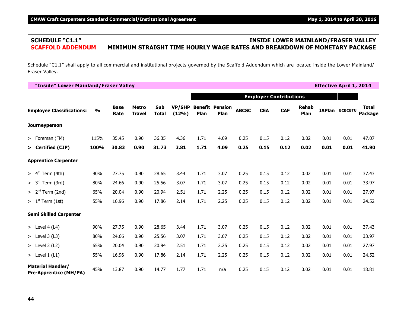# **SCHEDULE "C1.1" INSIDE LOWER MAINLAND/FRASER VALLEY SCAFFOLD ADDENDUM MINIMUM STRAIGHT TIME HOURLY WAGE RATES AND BREAKDOWN OF MONETARY PACKAGE**

Schedule "C1.1" shall apply to all commercial and institutional projects governed by the Scaffold Addendum which are located inside the Lower Mainland/ Fraser Valley.

**"Inside" Lower Mainland/Fraser Valley Effective April 1, 2014 Employer Contributions Employee Classifications: % Base Rate Metro Travel Sub Total VP/SHP Benefit Pension (12%) Plan Plan ABCSC CEA CAF Rehab Plan JAPlan BCBCBTU Total Package Journeyperson** > Foreman (FM) 115% 35.45 0.90 36.35 4.36 1.71 4.09 0.25 0.15 0.12 0.02 0.01 0.01 47.07 **> Certified (CJP) 100% 30.83 0.90 31.73 3.81 1.71 4.09 0.25 0.15 0.12 0.02 0.01 0.01 41.90 Apprentice Carpenter** > 4<sup>th</sup> Term (4th) 90% 27.75 0.90 28.65 3.44 1.71 3.07 0.25 0.15 0.12 0.02 0.01 0.01 37.43 > 3<sup>rd</sup> Term (3rd) 80% 24.66 0.90 25.56 3.07 1.71 3.07 0.25 0.15 0.12 0.02 0.01 0.01 33.97 > 2<sup>nd</sup> Term (2nd) 65% 20.04 0.90 20.94 2.51 1.71 2.25 0.25 0.15 0.12 0.02 0.01 0.01 27.97 > 1 Term (1st) 55% 16.96 0.90 17.86 2.14 1.71 2.25 0.25 0.15 0.12 0.02 0.01 0.01 24.52 st **Semi Skilled Carpenter** > Level 4 (L4) 90% 27.75 0.90 28.65 3.44 1.71 3.07 0.25 0.15 0.12 0.02 0.01 0.01 37.43 > Level 3 (L3) 80% 24.66 0.90 25.56 3.07 1.71 3.07 0.25 0.15 0.12 0.02 0.01 0.01 33.97 > Level 2 (L2) 65% 20.04 0.90 20.94 2.51 1.71 2.25 0.25 0.15 0.12 0.02 0.01 0.01 27.97 > Level 1 (L1) 55% 16.96 0.90 17.86 2.14 1.71 2.25 0.25 0.15 0.12 0.02 0.01 0.01 24.52 **Material Handler/ Pre-Apprentice (MH/PA)** 45% 13.87 0.90 14.77 1.77 1.71 n/a 0.25 0.15 0.12 0.02 0.01 0.01 18.81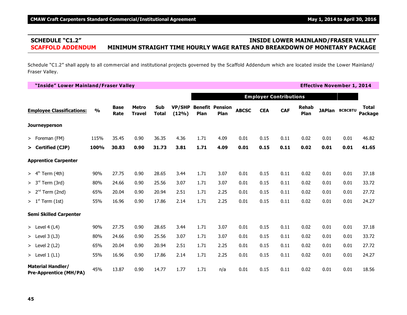# **SCHEDULE "C1.2" INSIDE LOWER MAINLAND/FRASER VALLEY SCAFFOLD ADDENDUM MINIMUM STRAIGHT TIME HOURLY WAGE RATES AND BREAKDOWN OF MONETARY PACKAGE**

Schedule "C1.2" shall apply to all commercial and institutional projects governed by the Scaffold Addendum which are located inside the Lower Mainland/ Fraser Valley.

**"Inside" Lower Mainland/Fraser Valley Effective November 1, 2014 Employer Contributions Employee Classifications: % Base Rate Metro Travel Sub Total VP/SHP Benefit Pension (12%) Plan Plan ABCSC CEA CAF Rehab Plan JAPlan BCBCBTU Total Package Journeyperson** > Foreman (FM) 115% 35.45 0.90 36.35 4.36 1.71 4.09 0.01 0.15 0.11 0.02 0.01 0.01 46.82 **> Certified (CJP) 100% 30.83 0.90 31.73 3.81 1.71 4.09 0.01 0.15 0.11 0.02 0.01 0.01 41.65 Apprentice Carpenter** > 4<sup>th</sup> Term (4th) 90% 27.75 0.90 28.65 3.44 1.71 3.07 0.01 0.15 0.11 0.02 0.01 0.01 37.18 > 3<sup>rd</sup> Term (3rd) 80% 24.66 0.90 25.56 3.07 1.71 3.07 0.01 0.15 0.11 0.02 0.01 0.01 33.72 > 2<sup>nd</sup> Term (2nd) 65% 20.04 0.90 20.94 2.51 1.71 2.25 0.01 0.15 0.11 0.02 0.01 0.01 27.72 > 1 Term (1st) 55% 16.96 0.90 17.86 2.14 1.71 2.25 0.01 0.15 0.11 0.02 0.01 0.01 24.27 st **Semi Skilled Carpenter** > Level 4 (L4) 90% 27.75 0.90 28.65 3.44 1.71 3.07 0.01 0.15 0.11 0.02 0.01 0.01 37.18 > Level 3 (L3) 80% 24.66 0.90 25.56 3.07 1.71 3.07 0.01 0.15 0.11 0.02 0.01 0.01 33.72 > Level 2 (L2) 65% 20.04 0.90 20.94 2.51 1.71 2.25 0.01 0.15 0.11 0.02 0.01 0.01 27.72 > Level 1 (L1) 55% 16.96 0.90 17.86 2.14 1.71 2.25 0.01 0.15 0.11 0.02 0.01 0.01 24.27 **Material Handler/ Pre-Apprentice (MH/PA)** 45% 13.87 0.90 14.77 1.77 1.71 n/a 0.01 0.15 0.11 0.02 0.01 0.01 18.56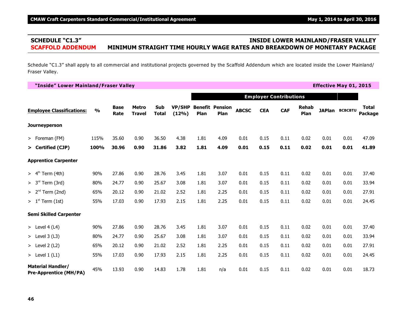# **SCHEDULE "C1.3" INSIDE LOWER MAINLAND/FRASER VALLEY SCAFFOLD ADDENDUM MINIMUM STRAIGHT TIME HOURLY WAGE RATES AND BREAKDOWN OF MONETARY PACKAGE**

Schedule "C1.3" shall apply to all commercial and institutional projects governed by the Scaffold Addendum which are located inside the Lower Mainland/ Fraser Valley.

**"Inside" Lower Mainland/Fraser Valley Effective May 01, 2015 Employer Contributions Employee Classifications: % Base Rate Metro Travel Sub Total VP/SHP Benefit Pension (12%) Plan Plan ABCSC CEA CAF Rehab Plan JAPlan BCBCBTU Total Package Journeyperson** > Foreman (FM) 115% 35.60 0.90 36.50 4.38 1.81 4.09 0.01 0.15 0.11 0.02 0.01 0.01 47.09 **> Certified (CJP) 100% 30.96 0.90 31.86 3.82 1.81 4.09 0.01 0.15 0.11 0.02 0.01 0.01 41.89 Apprentice Carpenter** > 4<sup>th</sup> Term (4th) 90% 27.86 0.90 28.76 3.45 1.81 3.07 0.01 0.15 0.11 0.02 0.01 0.01 37.40 > 3<sup>rd</sup> Term (3rd) 80% 24.77 0.90 25.67 3.08 1.81 3.07 0.01 0.15 0.11 0.02 0.01 0.01 33.94 > 2<sup>nd</sup> Term (2nd) 65% 20.12 0.90 21.02 2.52 1.81 2.25 0.01 0.15 0.11 0.02 0.01 0.01 27.91 > 1 Term (1st) 55% 17.03 0.90 17.93 2.15 1.81 2.25 0.01 0.15 0.11 0.02 0.01 0.01 24.45 st **Semi Skilled Carpenter** > Level 4 (L4) 90% 27.86 0.90 28.76 3.45 1.81 3.07 0.01 0.15 0.11 0.02 0.01 0.01 37.40 > Level 3 (L3) 80% 24.77 0.90 25.67 3.08 1.81 3.07 0.01 0.15 0.11 0.02 0.01 0.01 33.94 > Level 2 (L2) 65% 20.12 0.90 21.02 2.52 1.81 2.25 0.01 0.15 0.11 0.02 0.01 0.01 27.91 > Level 1 (L1) 55% 17.03 0.90 17.93 2.15 1.81 2.25 0.01 0.15 0.11 0.02 0.01 0.01 24.45 **Material Handler/ Pre-Apprentice (MH/PA)** 45% 13.93 0.90 14.83 1.78 1.81 n/a 0.01 0.15 0.11 0.02 0.01 0.01 18.73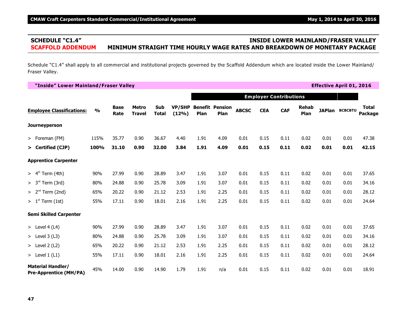# **SCHEDULE "C1.4" INSIDE LOWER MAINLAND/FRASER VALLEY SCAFFOLD ADDENDUM MINIMUM STRAIGHT TIME HOURLY WAGE RATES AND BREAKDOWN OF MONETARY PACKAGE**

Schedule "C1.4" shall apply to all commercial and institutional projects governed by the Scaffold Addendum which are located inside the Lower Mainland/ Fraser Valley.

**"Inside" Lower Mainland/Fraser Valley Effective April 01, 2016 Employer Contributions Employee Classifications: % Base Rate Metro Travel Sub Total VP/SHP Benefit Pension (12%) Plan Plan ABCSC CEA CAF Rehab Plan JAPlan BCBCBTU Total Package Journeyperson** > Foreman (FM) 115% 35.77 0.90 36.67 4.40 1.91 4.09 0.01 0.15 0.11 0.02 0.01 0.01 47.38 **> Certified (CJP) 100% 31.10 0.90 32.00 3.84 1.91 4.09 0.01 0.15 0.11 0.02 0.01 0.01 42.15 Apprentice Carpenter** > 4<sup>th</sup> Term (4th) 90% 27.99 0.90 28.89 3.47 1.91 3.07 0.01 0.15 0.11 0.02 0.01 0.01 37.65 > 3<sup>rd</sup> Term (3rd) 80% 24.88 0.90 25.78 3.09 1.91 3.07 0.01 0.15 0.11 0.02 0.01 0.01 34.16 > 2<sup>nd</sup> Term (2nd) 65% 20.22 0.90 21.12 2.53 1.91 2.25 0.01 0.15 0.11 0.02 0.01 0.01 28.12 > 1 Term (1st) 55% 17.11 0.90 18.01 2.16 1.91 2.25 0.01 0.15 0.11 0.02 0.01 0.01 24.64 st **Semi Skilled Carpenter** > Level 4 (L4) 90% 27.99 0.90 28.89 3.47 1.91 3.07 0.01 0.15 0.11 0.02 0.01 0.01 37.65 > Level 3 (L3) 80% 24.88 0.90 25.78 3.09 1.91 3.07 0.01 0.15 0.11 0.02 0.01 0.01 34.16 > Level 2 (L2) 65% 20.22 0.90 21.12 2.53 1.91 2.25 0.01 0.15 0.11 0.02 0.01 0.01 28.12 > Level 1 (L1) 55% 17.11 0.90 18.01 2.16 1.91 2.25 0.01 0.15 0.11 0.02 0.01 0.01 24.64 **Material Handler/ Pre-Apprentice (MH/PA)** 45% 14.00 0.90 14.90 1.79 1.91 n/a 0.01 0.15 0.11 0.02 0.01 0.01 18.91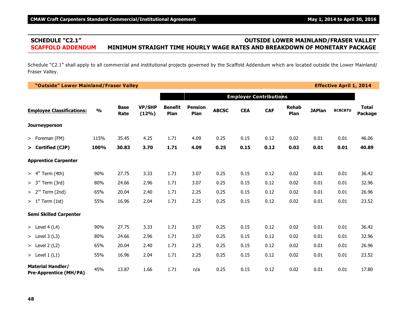# **SCHEDULE "C2.1" OUTSIDE LOWER MAINLAND/FRASER VALLEY SCAFFOLD ADDENDUM MINIMUM STRAIGHT TIME HOURLY WAGE RATES AND BREAKDOWN OF MONETARY PACKAGE**

Schedule "C2.1" shall apply to all commercial and institutional projects governed by the Scaffold Addendum which are located outside the Lower Mainland/ Fraser Valley.

**"Outside" Lower Mainland/Fraser Valley Effective April 1, 2014 Employer Contributions Employee Classifications: % Base Rate VP/SHP (12%) Benefit Plan Pension Plan ABCSC CEA CAF Rehab Plan JAPlan BCBCBTU Total Package Journeyperson** > Foreman (FM) 115% 35.45 4.25 1.71 4.09 0.25 0.15 0.12 0.02 0.01 0.01 46.06 **> Certified (CJP) 100% 30.83 3.70 1.71 4.09 0.25 0.15 0.12 0.02 0.01 0.01 40.89 Apprentice Carpenter** > 4 Term (4th) 90% 27.75 3.33 1.71 3.07 0.25 0.15 0.12 0.02 0.01 0.01 36.42 th > 3<sup>rd</sup> Term (3rd) 80% 24.66 2.96 1.71 3.07 0.25 0.15 0.12 0.02 0.01 0.01 32.96 > 2<sup>nd</sup> Term (2nd) 65% 20.04 2.40 1.71 2.25 0.25 0.15 0.12 0.02 0.01 0.01 26.96 > 1 Term (1st) 55% 16.96 2.04 1.71 2.25 0.25 0.15 0.12 0.02 0.01 0.01 23.52 st **Semi Skilled Carpenter** > Level 4 (L4) 90% 27.75 3.33 1.71 3.07 0.25 0.15 0.12 0.02 0.01 0.01 36.42 > Level 3 (L3) 80% 24.66 2.96 1.71 3.07 0.25 0.15 0.12 0.02 0.01 0.01 32.96 > Level 2 (L2) 65% 20.04 2.40 1.71 2.25 0.25 0.15 0.12 0.02 0.01 0.01 26.96 > Level 1 (L1) 55% 16.96 2.04 1.71 2.25 0.25 0.15 0.12 0.02 0.01 0.01 23.52 **Material Handler/ Pre-Apprentice (MH/PA)** 45% 13.87 1.66 1.71 n/a 0.25 0.15 0.12 0.02 0.01 0.01 17.80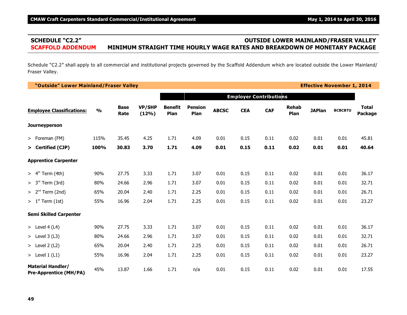# **SCHEDULE "C2.2" OUTSIDE LOWER MAINLAND/FRASER VALLEY SCAFFOLD ADDENDUM MINIMUM STRAIGHT TIME HOURLY WAGE RATES AND BREAKDOWN OF MONETARY PACKAGE**

Schedule "C2.2" shall apply to all commercial and institutional projects governed by the Scaffold Addendum which are located outside the Lower Mainland/ Fraser Valley.

**"Outside" Lower Mainland/Fraser Valley Effective November 1, 2014 Employer Contributions Employee Classifications: % Base Rate VP/SHP (12%) Benefit Plan Pension Plan ABCSC CEA CAF Rehab Plan JAPlan BCBCBTU Total Package Journeyperson** > Foreman (FM) 115% 35.45 4.25 1.71 4.09 0.01 0.15 0.11 0.02 0.01 0.01 45.81 **> Certified (CJP) 100% 30.83 3.70 1.71 4.09 0.01 0.15 0.11 0.02 0.01 0.01 40.64 Apprentice Carpenter** > 4 Term (4th) 90% 27.75 3.33 1.71 3.07 0.01 0.15 0.11 0.02 0.01 0.01 36.17 th > 3<sup>rd</sup> Term (3rd) 80% 24.66 2.96 1.71 3.07 0.01 0.15 0.11 0.02 0.01 0.01 32.71 > 2<sup>nd</sup> Term (2nd) 65% 20.04 2.40 1.71 2.25 0.01 0.15 0.11 0.02 0.01 0.01 26.71 > 1 Term (1st) 55% 16.96 2.04 1.71 2.25 0.01 0.15 0.11 0.02 0.01 0.01 23.27 st **Semi Skilled Carpenter** > Level 4 (L4) 90% 27.75 3.33 1.71 3.07 0.01 0.15 0.11 0.02 0.01 0.01 36.17 > Level 3 (L3) 80% 24.66 2.96 1.71 3.07 0.01 0.15 0.11 0.02 0.01 0.01 32.71 > Level 2 (L2) 65% 20.04 2.40 1.71 2.25 0.01 0.15 0.11 0.02 0.01 0.01 26.71 > Level 1 (L1) 55% 16.96 2.04 1.71 2.25 0.01 0.15 0.11 0.02 0.01 0.01 23.27 **Material Handler/ Pre-Apprentice (MH/PA)** 45% 13.87 1.66 1.71 n/a 0.01 0.15 0.11 0.02 0.01 0.01 17.55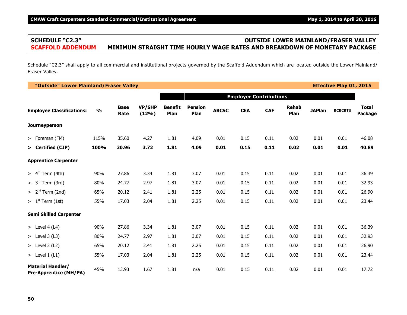# **SCHEDULE "C2.3" OUTSIDE LOWER MAINLAND/FRASER VALLEY SCAFFOLD ADDENDUM MINIMUM STRAIGHT TIME HOURLY WAGE RATES AND BREAKDOWN OF MONETARY PACKAGE**

Schedule "C2.3" shall apply to all commercial and institutional projects governed by the Scaffold Addendum which are located outside the Lower Mainland/ Fraser Valley.

**"Outside" Lower Mainland/Fraser Valley Effective May 01, 2015**

|                                                           |               |                     |                        |                        |                        |              | <b>Employer Contributions</b> |            |                      |               |                |                                |
|-----------------------------------------------------------|---------------|---------------------|------------------------|------------------------|------------------------|--------------|-------------------------------|------------|----------------------|---------------|----------------|--------------------------------|
| <b>Employee Classifications:</b>                          | $\frac{0}{0}$ | <b>Base</b><br>Rate | <b>VP/SHP</b><br>(12%) | <b>Benefit</b><br>Plan | <b>Pension</b><br>Plan | <b>ABCSC</b> | <b>CEA</b>                    | <b>CAF</b> | <b>Rehab</b><br>Plan | <b>JAPlan</b> | <b>BCBCBTU</b> | <b>Total</b><br><b>Package</b> |
| Journeyperson                                             |               |                     |                        |                        |                        |              |                               |            |                      |               |                |                                |
| > Foreman (FM)                                            | 115%          | 35.60               | 4.27                   | 1.81                   | 4.09                   | 0.01         | 0.15                          | 0.11       | 0.02                 | 0.01          | 0.01           | 46.08                          |
| > Certified (CJP)                                         | 100%          | 30.96               | 3.72                   | 1.81                   | 4.09                   | 0.01         | 0.15                          | 0.11       | 0.02                 | 0.01          | 0.01           | 40.89                          |
| <b>Apprentice Carpenter</b>                               |               |                     |                        |                        |                        |              |                               |            |                      |               |                |                                |
| Term (4th)<br>> 4 <sup>th</sup>                           | 90%           | 27.86               | 3.34                   | 1.81                   | 3.07                   | 0.01         | 0.15                          | 0.11       | 0.02                 | 0.01          | 0.01           | 36.39                          |
| > 3 <sup>rd</sup><br>Term (3rd)                           | 80%           | 24.77               | 2.97                   | 1.81                   | 3.07                   | 0.01         | 0.15                          | 0.11       | 0.02                 | 0.01          | 0.01           | 32.93                          |
| > 2 <sup>nd</sup><br>Term (2nd)                           | 65%           | 20.12               | 2.41                   | 1.81                   | 2.25                   | 0.01         | 0.15                          | 0.11       | 0.02                 | 0.01          | 0.01           | 26.90                          |
| $> 1st$ Term (1st)                                        | 55%           | 17.03               | 2.04                   | 1.81                   | 2.25                   | 0.01         | 0.15                          | 0.11       | 0.02                 | 0.01          | 0.01           | 23.44                          |
| <b>Semi Skilled Carpenter</b>                             |               |                     |                        |                        |                        |              |                               |            |                      |               |                |                                |
| > Level $4(L4)$                                           | 90%           | 27.86               | 3.34                   | 1.81                   | 3.07                   | 0.01         | 0.15                          | 0.11       | 0.02                 | 0.01          | 0.01           | 36.39                          |
| > Level $3(L3)$                                           | 80%           | 24.77               | 2.97                   | 1.81                   | 3.07                   | 0.01         | 0.15                          | 0.11       | 0.02                 | 0.01          | 0.01           | 32.93                          |
| $>$ Level 2 (L2)                                          | 65%           | 20.12               | 2.41                   | 1.81                   | 2.25                   | 0.01         | 0.15                          | 0.11       | 0.02                 | 0.01          | 0.01           | 26.90                          |
| > Level $1(L1)$                                           | 55%           | 17.03               | 2.04                   | 1.81                   | 2.25                   | 0.01         | 0.15                          | 0.11       | 0.02                 | 0.01          | 0.01           | 23.44                          |
| <b>Material Handler/</b><br><b>Pre-Apprentice (MH/PA)</b> | 45%           | 13.93               | 1.67                   | 1.81                   | n/a                    | 0.01         | 0.15                          | 0.11       | 0.02                 | 0.01          | 0.01           | 17.72                          |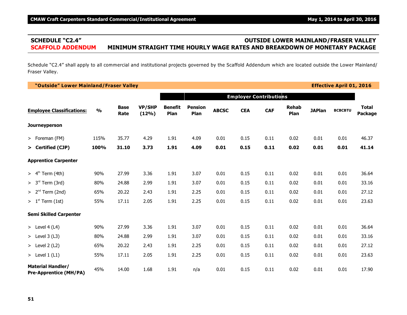# **SCHEDULE "C2.4" OUTSIDE LOWER MAINLAND/FRASER VALLEY SCAFFOLD ADDENDUM MINIMUM STRAIGHT TIME HOURLY WAGE RATES AND BREAKDOWN OF MONETARY PACKAGE**

Schedule "C2.4" shall apply to all commercial and institutional projects governed by the Scaffold Addendum which are located outside the Lower Mainland/ Fraser Valley.

**"Outside" Lower Mainland/Fraser Valley Effective April 01, 2016**

|                                                           |               |                     |                        |                        |                        |              |            | <b>Employer Contributions</b> |                      |               |                |                         |
|-----------------------------------------------------------|---------------|---------------------|------------------------|------------------------|------------------------|--------------|------------|-------------------------------|----------------------|---------------|----------------|-------------------------|
| <b>Employee Classifications:</b>                          | $\frac{0}{0}$ | <b>Base</b><br>Rate | <b>VP/SHP</b><br>(12%) | <b>Benefit</b><br>Plan | <b>Pension</b><br>Plan | <b>ABCSC</b> | <b>CEA</b> | <b>CAF</b>                    | <b>Rehab</b><br>Plan | <b>JAPlan</b> | <b>BCBCBTU</b> | <b>Total</b><br>Package |
| Journeyperson                                             |               |                     |                        |                        |                        |              |            |                               |                      |               |                |                         |
| > Foreman (FM)                                            | 115%          | 35.77               | 4.29                   | 1.91                   | 4.09                   | 0.01         | 0.15       | 0.11                          | 0.02                 | 0.01          | 0.01           | 46.37                   |
| > Certified (CJP)                                         | 100%          | 31.10               | 3.73                   | 1.91                   | 4.09                   | 0.01         | 0.15       | 0.11                          | 0.02                 | 0.01          | 0.01           | 41.14                   |
| <b>Apprentice Carpenter</b>                               |               |                     |                        |                        |                        |              |            |                               |                      |               |                |                         |
| > 4 <sup>th</sup><br>Term (4th)                           | 90%           | 27.99               | 3.36                   | 1.91                   | 3.07                   | 0.01         | 0.15       | 0.11                          | 0.02                 | 0.01          | 0.01           | 36.64                   |
| > 3 <sup>rd</sup><br>Term (3rd)                           | 80%           | 24.88               | 2.99                   | 1.91                   | 3.07                   | 0.01         | 0.15       | 0.11                          | 0.02                 | 0.01          | 0.01           | 33.16                   |
| $> 2nd$ Term (2nd)                                        | 65%           | 20.22               | 2.43                   | 1.91                   | 2.25                   | 0.01         | 0.15       | 0.11                          | 0.02                 | 0.01          | 0.01           | 27.12                   |
| $> 1st$ Term (1st)                                        | 55%           | 17.11               | 2.05                   | 1.91                   | 2.25                   | 0.01         | 0.15       | 0.11                          | 0.02                 | 0.01          | 0.01           | 23.63                   |
| <b>Semi Skilled Carpenter</b>                             |               |                     |                        |                        |                        |              |            |                               |                      |               |                |                         |
| > Level 4 (L4)                                            | 90%           | 27.99               | 3.36                   | 1.91                   | 3.07                   | 0.01         | 0.15       | 0.11                          | 0.02                 | 0.01          | 0.01           | 36.64                   |
| $>$ Level 3 (L3)                                          | 80%           | 24.88               | 2.99                   | 1.91                   | 3.07                   | 0.01         | 0.15       | 0.11                          | 0.02                 | 0.01          | 0.01           | 33.16                   |
| $>$ Level 2 (L2)                                          | 65%           | 20.22               | 2.43                   | 1.91                   | 2.25                   | 0.01         | 0.15       | 0.11                          | 0.02                 | 0.01          | 0.01           | 27.12                   |
| $>$ Level 1 (L1)                                          | 55%           | 17.11               | 2.05                   | 1.91                   | 2.25                   | 0.01         | 0.15       | 0.11                          | 0.02                 | 0.01          | 0.01           | 23.63                   |
| <b>Material Handler/</b><br><b>Pre-Apprentice (MH/PA)</b> | 45%           | 14.00               | 1.68                   | 1.91                   | n/a                    | 0.01         | 0.15       | 0.11                          | 0.02                 | 0.01          | 0.01           | 17.90                   |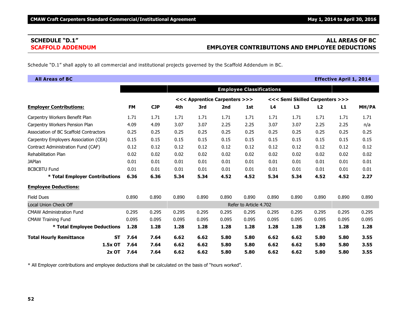# **SCHEDULE "D.1" ALL AREAS OF BC SCAFFOLD ADDENDUM EMPLOYER CONTRIBUTIONS AND EMPLOYEE DEDUCTIONS**

Schedule "D.1" shall apply to all commercial and institutional projects governed by the Scaffold Addendum in BC.

| <b>All Areas of BC</b>                 |           |                                                                  |            |       |       |       |                        |       |       |       | <b>Effective April 1, 2014</b> |       |
|----------------------------------------|-----------|------------------------------------------------------------------|------------|-------|-------|-------|------------------------|-------|-------|-------|--------------------------------|-------|
|                                        |           | <b>Employee Classifications</b>                                  |            |       |       |       |                        |       |       |       |                                |       |
|                                        |           | <<< Apprentice Carpenters >>><br><<< Semi Skilled Carpenters >>> |            |       |       |       |                        |       |       |       |                                |       |
| <b>Employer Contributions:</b>         |           | <b>FM</b>                                                        | <b>CJP</b> | 4th   | 3rd   | 2nd   | 1st                    | L4    | L3    | L2    | L1                             | MH/PA |
| Carpentry Workers Benefit Plan         |           | 1.71                                                             | 1.71       | 1.71  | 1.71  | 1.71  | 1.71                   | 1.71  | 1.71  | 1.71  | 1.71                           | 1.71  |
| Carpentry Workers Pension Plan         |           | 4.09                                                             | 4.09       | 3.07  | 3.07  | 2.25  | 2.25                   | 3.07  | 3.07  | 2.25  | 2.25                           | n/a   |
| Association of BC Scaffold Contractors |           | 0.25                                                             | 0.25       | 0.25  | 0.25  | 0.25  | 0.25                   | 0.25  | 0.25  | 0.25  | 0.25                           | 0.25  |
| Carpentry Employers Association (CEA)  |           | 0.15                                                             | 0.15       | 0.15  | 0.15  | 0.15  | 0.15                   | 0.15  | 0.15  | 0.15  | 0.15                           | 0.15  |
| Contract Administration Fund (CAF)     |           | 0.12                                                             | 0.12       | 0.12  | 0.12  | 0.12  | 0.12                   | 0.12  | 0.12  | 0.12  | 0.12                           | 0.12  |
| Rehabilitation Plan                    |           | 0.02                                                             | 0.02       | 0.02  | 0.02  | 0.02  | 0.02                   | 0.02  | 0.02  | 0.02  | 0.02                           | 0.02  |
| <b>JAPlan</b>                          |           | 0.01                                                             | 0.01       | 0.01  | 0.01  | 0.01  | 0.01                   | 0.01  | 0.01  | 0.01  | 0.01                           | 0.01  |
| <b>BCBCBTU Fund</b>                    |           | 0.01                                                             | 0.01       | 0.01  | 0.01  | 0.01  | 0.01                   | 0.01  | 0.01  | 0.01  | 0.01                           | 0.01  |
| * Total Employer Contributions         |           | 6.36                                                             | 6.36       | 5.34  | 5.34  | 4.52  | 4.52                   | 5.34  | 5.34  | 4.52  | 4.52                           | 2.27  |
| <b>Employee Deductions:</b>            |           |                                                                  |            |       |       |       |                        |       |       |       |                                |       |
| <b>Field Dues</b>                      |           | 0.890                                                            | 0.890      | 0.890 | 0.890 | 0.890 | 0.890                  | 0.890 | 0.890 | 0.890 | 0.890                          | 0.890 |
| <b>Local Union Check Off</b>           |           |                                                                  |            |       |       |       | Refer to Article 4.702 |       |       |       |                                |       |
| <b>CMAW Administration Fund</b>        |           | 0.295                                                            | 0.295      | 0.295 | 0.295 | 0.295 | 0.295                  | 0.295 | 0.295 | 0.295 | 0.295                          | 0.295 |
| <b>CMAW Training Fund</b>              |           | 0.095                                                            | 0.095      | 0.095 | 0.095 | 0.095 | 0.095                  | 0.095 | 0.095 | 0.095 | 0.095                          | 0.095 |
| * Total Employee Deductions            |           | 1.28                                                             | 1.28       | 1.28  | 1.28  | 1.28  | 1.28                   | 1.28  | 1.28  | 1.28  | 1.28                           | 1.28  |
| <b>Total Hourly Remittance</b>         | <b>ST</b> | 7.64                                                             | 7.64       | 6.62  | 6.62  | 5.80  | 5.80                   | 6.62  | 6.62  | 5.80  | 5.80                           | 3.55  |
|                                        | 1.5x OT   | 7.64                                                             | 7.64       | 6.62  | 6.62  | 5.80  | 5.80                   | 6.62  | 6.62  | 5.80  | 5.80                           | 3.55  |
|                                        | $2x$ OT   | 7.64                                                             | 7.64       | 6.62  | 6.62  | 5.80  | 5.80                   | 6.62  | 6.62  | 5.80  | 5.80                           | 3.55  |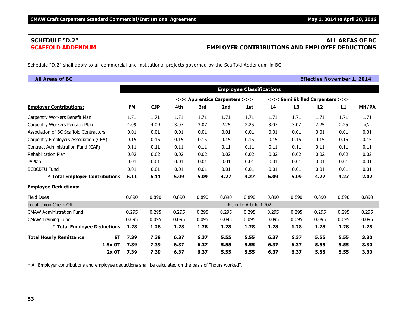# **SCHEDULE "D.2" ALL AREAS OF BC SCAFFOLD ADDENDUM EMPLOYER CONTRIBUTIONS AND EMPLOYEE DEDUCTIONS**

Schedule "D.2" shall apply to all commercial and institutional projects governed by the Scaffold Addendum in BC.

| <b>All Areas of BC</b>                 |           |                                                                  |            |       |       |                                 |                        |       |       | <b>Effective November 1, 2014</b> |       |       |
|----------------------------------------|-----------|------------------------------------------------------------------|------------|-------|-------|---------------------------------|------------------------|-------|-------|-----------------------------------|-------|-------|
|                                        |           |                                                                  |            |       |       | <b>Employee Classifications</b> |                        |       |       |                                   |       |       |
|                                        |           | <<< Semi Skilled Carpenters >>><br><<< Apprentice Carpenters >>> |            |       |       |                                 |                        |       |       |                                   |       |       |
| <b>Employer Contributions:</b>         |           | <b>FM</b>                                                        | <b>CJP</b> | 4th   | 3rd   | 2nd                             | 1st                    | L4    | L3    | L2                                | L1    | MH/PA |
| Carpentry Workers Benefit Plan         |           | 1.71                                                             | 1.71       | 1.71  | 1.71  | 1.71                            | 1.71                   | 1.71  | 1.71  | 1.71                              | 1.71  | 1.71  |
| Carpentry Workers Pension Plan         |           | 4.09                                                             | 4.09       | 3.07  | 3.07  | 2.25                            | 2.25                   | 3.07  | 3.07  | 2.25                              | 2.25  | n/a   |
| Association of BC Scaffold Contractors |           | 0.01                                                             | 0.01       | 0.01  | 0.01  | 0.01                            | 0.01                   | 0.01  | 0.01  | 0.01                              | 0.01  | 0.01  |
| Carpentry Employers Association (CEA)  |           | 0.15                                                             | 0.15       | 0.15  | 0.15  | 0.15                            | 0.15                   | 0.15  | 0.15  | 0.15                              | 0.15  | 0.15  |
| Contract Administration Fund (CAF)     |           | 0.11                                                             | 0.11       | 0.11  | 0.11  | 0.11                            | 0.11                   | 0.11  | 0.11  | 0.11                              | 0.11  | 0.11  |
| Rehabilitation Plan                    |           | 0.02                                                             | 0.02       | 0.02  | 0.02  | 0.02                            | 0.02                   | 0.02  | 0.02  | 0.02                              | 0.02  | 0.02  |
| <b>JAPlan</b>                          |           | 0.01                                                             | 0.01       | 0.01  | 0.01  | 0.01                            | 0.01                   | 0.01  | 0.01  | 0.01                              | 0.01  | 0.01  |
| <b>BCBCBTU Fund</b>                    |           | 0.01                                                             | 0.01       | 0.01  | 0.01  | 0.01                            | 0.01                   | 0.01  | 0.01  | 0.01                              | 0.01  | 0.01  |
| * Total Employer Contributions         |           | 6.11                                                             | 6.11       | 5.09  | 5.09  | 4.27                            | 4.27                   | 5.09  | 5.09  | 4.27                              | 4.27  | 2.02  |
| <b>Employee Deductions:</b>            |           |                                                                  |            |       |       |                                 |                        |       |       |                                   |       |       |
| <b>Field Dues</b>                      |           | 0.890                                                            | 0.890      | 0.890 | 0.890 | 0.890                           | 0.890                  | 0.890 | 0.890 | 0.890                             | 0.890 | 0.890 |
| <b>Local Union Check Off</b>           |           |                                                                  |            |       |       |                                 | Refer to Article 4.702 |       |       |                                   |       |       |
| <b>CMAW Administration Fund</b>        |           | 0.295                                                            | 0.295      | 0.295 | 0.295 | 0.295                           | 0.295                  | 0.295 | 0.295 | 0.295                             | 0.295 | 0.295 |
| <b>CMAW Training Fund</b>              |           | 0.095                                                            | 0.095      | 0.095 | 0.095 | 0.095                           | 0.095                  | 0.095 | 0.095 | 0.095                             | 0.095 | 0.095 |
| * Total Employee Deductions            |           | 1.28                                                             | 1.28       | 1.28  | 1.28  | 1.28                            | 1.28                   | 1.28  | 1.28  | 1.28                              | 1.28  | 1.28  |
| <b>Total Hourly Remittance</b>         | <b>ST</b> | 7.39                                                             | 7.39       | 6.37  | 6.37  | 5.55                            | 5.55                   | 6.37  | 6.37  | 5.55                              | 5.55  | 3.30  |
|                                        | 1.5x OT   | 7.39                                                             | 7.39       | 6.37  | 6.37  | 5.55                            | 5.55                   | 6.37  | 6.37  | 5.55                              | 5.55  | 3.30  |
|                                        | $2x$ OT   | 7.39                                                             | 7.39       | 6.37  | 6.37  | 5.55                            | 5.55                   | 6.37  | 6.37  | 5.55                              | 5.55  | 3.30  |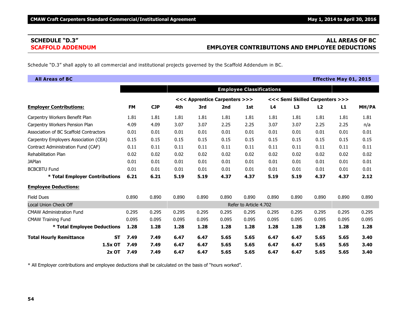# **SCHEDULE "D.3" ALL AREAS OF BC SCAFFOLD ADDENDUM EMPLOYER CONTRIBUTIONS AND EMPLOYEE DEDUCTIONS**

Schedule "D.3" shall apply to all commercial and institutional projects governed by the Scaffold Addendum in BC.

| <b>All Areas of BC</b>                 |           |                                 |            |       |                               |       |                        |       |       |                                 | <b>Effective May 01, 2015</b> |       |
|----------------------------------------|-----------|---------------------------------|------------|-------|-------------------------------|-------|------------------------|-------|-------|---------------------------------|-------------------------------|-------|
|                                        |           | <b>Employee Classifications</b> |            |       |                               |       |                        |       |       |                                 |                               |       |
|                                        |           |                                 |            |       | <<< Apprentice Carpenters >>> |       |                        |       |       | <<< Semi Skilled Carpenters >>> |                               |       |
| <b>Employer Contributions:</b>         |           | <b>FM</b>                       | <b>CJP</b> | 4th   | 3rd                           | 2nd   | 1st                    | L4    | L3    | L2                              | L1                            | MH/PA |
| Carpentry Workers Benefit Plan         |           | 1.81                            | 1.81       | 1.81  | 1.81                          | 1.81  | 1.81                   | 1.81  | 1.81  | 1.81                            | 1.81                          | 1.81  |
| Carpentry Workers Pension Plan         |           | 4.09                            | 4.09       | 3.07  | 3.07                          | 2.25  | 2.25                   | 3.07  | 3.07  | 2.25                            | 2.25                          | n/a   |
| Association of BC Scaffold Contractors |           | 0.01                            | 0.01       | 0.01  | 0.01                          | 0.01  | 0.01                   | 0.01  | 0.01  | 0.01                            | 0.01                          | 0.01  |
| Carpentry Employers Association (CEA)  |           | 0.15                            | 0.15       | 0.15  | 0.15                          | 0.15  | 0.15                   | 0.15  | 0.15  | 0.15                            | 0.15                          | 0.15  |
| Contract Administration Fund (CAF)     |           | 0.11                            | 0.11       | 0.11  | 0.11                          | 0.11  | 0.11                   | 0.11  | 0.11  | 0.11                            | 0.11                          | 0.11  |
| <b>Rehabilitation Plan</b>             |           | 0.02                            | 0.02       | 0.02  | 0.02                          | 0.02  | 0.02                   | 0.02  | 0.02  | 0.02                            | 0.02                          | 0.02  |
| <b>JAPlan</b>                          |           | 0.01                            | 0.01       | 0.01  | 0.01                          | 0.01  | 0.01                   | 0.01  | 0.01  | 0.01                            | 0.01                          | 0.01  |
| <b>BCBCBTU Fund</b>                    |           | 0.01                            | 0.01       | 0.01  | 0.01                          | 0.01  | 0.01                   | 0.01  | 0.01  | 0.01                            | 0.01                          | 0.01  |
| * Total Employer Contributions         |           | 6.21                            | 6.21       | 5.19  | 5.19                          | 4.37  | 4.37                   | 5.19  | 5.19  | 4.37                            | 4.37                          | 2.12  |
| <b>Employee Deductions:</b>            |           |                                 |            |       |                               |       |                        |       |       |                                 |                               |       |
| <b>Field Dues</b>                      |           | 0.890                           | 0.890      | 0.890 | 0.890                         | 0.890 | 0.890                  | 0.890 | 0.890 | 0.890                           | 0.890                         | 0.890 |
| <b>Local Union Check Off</b>           |           |                                 |            |       |                               |       | Refer to Article 4.702 |       |       |                                 |                               |       |
| <b>CMAW Administration Fund</b>        |           | 0.295                           | 0.295      | 0.295 | 0.295                         | 0.295 | 0.295                  | 0.295 | 0.295 | 0.295                           | 0.295                         | 0.295 |
| <b>CMAW Training Fund</b>              |           | 0.095                           | 0.095      | 0.095 | 0.095                         | 0.095 | 0.095                  | 0.095 | 0.095 | 0.095                           | 0.095                         | 0.095 |
| * Total Employee Deductions            |           | 1.28                            | 1.28       | 1.28  | 1.28                          | 1.28  | 1.28                   | 1.28  | 1.28  | 1.28                            | 1.28                          | 1.28  |
| <b>Total Hourly Remittance</b>         | <b>ST</b> | 7.49                            | 7.49       | 6.47  | 6.47                          | 5.65  | 5.65                   | 6.47  | 6.47  | 5.65                            | 5.65                          | 3.40  |
|                                        | 1.5x OT   | 7.49                            | 7.49       | 6.47  | 6.47                          | 5.65  | 5.65                   | 6.47  | 6.47  | 5.65                            | 5.65                          | 3.40  |
|                                        | 2x OT     | 7.49                            | 7.49       | 6.47  | 6.47                          | 5.65  | 5.65                   | 6.47  | 6.47  | 5.65                            | 5.65                          | 3.40  |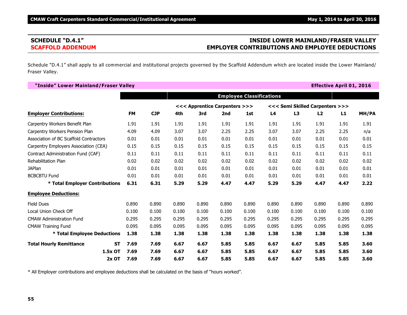# **SCHEDULE "D.4.1" INSIDE LOWER MAINLAND/FRASER VALLEY SCAFFOLD ADDENDUM EMPLOYER CONTRIBUTIONS AND EMPLOYEE DEDUCTIONS**

Schedule "D.4.1" shall apply to all commercial and institutional projects governed by the Scaffold Addendum which are located inside the Lower Mainland/ Fraser Valley.

| "Inside" Lower Mainland/Fraser Valley  |           |           |            |                               |       |       |                                 |                                 |       |       | <b>Effective April 01, 2016</b> |       |
|----------------------------------------|-----------|-----------|------------|-------------------------------|-------|-------|---------------------------------|---------------------------------|-------|-------|---------------------------------|-------|
|                                        |           |           |            |                               |       |       | <b>Employee Classifications</b> |                                 |       |       |                                 |       |
|                                        |           |           |            | <<< Apprentice Carpenters >>> |       |       |                                 | <<< Semi Skilled Carpenters >>> |       |       |                                 |       |
| <b>Employer Contributions:</b>         |           | <b>FM</b> | <b>CJP</b> | 4th                           | 3rd   | 2nd   | 1st                             | L <sub>4</sub>                  | L3    | L2    | L1                              | MH/PA |
| Carpentry Workers Benefit Plan         |           | 1.91      | 1.91       | 1.91                          | 1.91  | 1.91  | 1.91                            | 1.91                            | 1.91  | 1.91  | 1.91                            | 1.91  |
| Carpentry Workers Pension Plan         |           | 4.09      | 4.09       | 3.07                          | 3.07  | 2.25  | 2.25                            | 3.07                            | 3.07  | 2.25  | 2.25                            | n/a   |
| Association of BC Scaffold Contractors |           | 0.01      | 0.01       | 0.01                          | 0.01  | 0.01  | 0.01                            | 0.01                            | 0.01  | 0.01  | 0.01                            | 0.01  |
| Carpentry Employers Association (CEA)  |           | 0.15      | 0.15       | 0.15                          | 0.15  | 0.15  | 0.15                            | 0.15                            | 0.15  | 0.15  | 0.15                            | 0.15  |
| Contract Administration Fund (CAF)     |           | 0.11      | 0.11       | 0.11                          | 0.11  | 0.11  | 0.11                            | 0.11                            | 0.11  | 0.11  | 0.11                            | 0.11  |
| Rehabilitation Plan                    |           | 0.02      | 0.02       | 0.02                          | 0.02  | 0.02  | 0.02                            | 0.02                            | 0.02  | 0.02  | 0.02                            | 0.02  |
| <b>JAPlan</b>                          |           | 0.01      | 0.01       | 0.01                          | 0.01  | 0.01  | 0.01                            | 0.01                            | 0.01  | 0.01  | 0.01                            | 0.01  |
| <b>BCBCBTU Fund</b>                    |           | 0.01      | 0.01       | 0.01                          | 0.01  | 0.01  | 0.01                            | 0.01                            | 0.01  | 0.01  | 0.01                            | 0.01  |
| * Total Employer Contributions         |           | 6.31      | 6.31       | 5.29                          | 5.29  | 4.47  | 4.47                            | 5.29                            | 5.29  | 4.47  | 4.47                            | 2.22  |
| <b>Employee Deductions:</b>            |           |           |            |                               |       |       |                                 |                                 |       |       |                                 |       |
| <b>Field Dues</b>                      |           | 0.890     | 0.890      | 0.890                         | 0.890 | 0.890 | 0.890                           | 0.890                           | 0.890 | 0.890 | 0.890                           | 0.890 |
| Local Union Check Off                  |           | 0.100     | 0.100      | 0.100                         | 0.100 | 0.100 | 0.100                           | 0.100                           | 0.100 | 0.100 | 0.100                           | 0.100 |
| <b>CMAW Administration Fund</b>        |           | 0.295     | 0.295      | 0.295                         | 0.295 | 0.295 | 0.295                           | 0.295                           | 0.295 | 0.295 | 0.295                           | 0.295 |
| <b>CMAW Training Fund</b>              |           | 0.095     | 0.095      | 0.095                         | 0.095 | 0.095 | 0.095                           | 0.095                           | 0.095 | 0.095 | 0.095                           | 0.095 |
| * Total Employee Deductions            |           | 1.38      | 1.38       | 1.38                          | 1.38  | 1.38  | 1.38                            | 1.38                            | 1.38  | 1.38  | 1.38                            | 1.38  |
| <b>Total Hourly Remittance</b>         | <b>ST</b> | 7.69      | 7.69       | 6.67                          | 6.67  | 5.85  | 5.85                            | 6.67                            | 6.67  | 5.85  | 5.85                            | 3.60  |
|                                        | $1.5x$ OT | 7.69      | 7.69       | 6.67                          | 6.67  | 5.85  | 5.85                            | 6.67                            | 6.67  | 5.85  | 5.85                            | 3.60  |
|                                        | $2x$ OT   | 7.69      | 7.69       | 6.67                          | 6.67  | 5.85  | 5.85                            | 6.67                            | 6.67  | 5.85  | 5.85                            | 3.60  |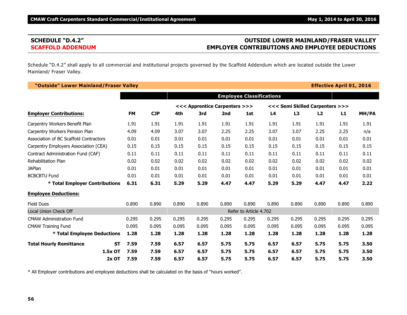# **SCHEDULE "D.4.2" OUTSIDE LOWER MAINLAND/FRASER VALLEY SCAFFOLD ADDENDUM EMPLOYER CONTRIBUTIONS AND EMPLOYEE DEDUCTIONS**

Schedule "D.4.2" shall apply to all commercial and institutional projects governed by the Scaffold Addendum which are located outside the Lower Mainland/ Fraser Valley.

| "Outside" Lower Mainland/Fraser Valley |                   |            |       |                                 |       |                        |                |       |                                 | <b>Effective April 01, 2016</b> |       |
|----------------------------------------|-------------------|------------|-------|---------------------------------|-------|------------------------|----------------|-------|---------------------------------|---------------------------------|-------|
|                                        |                   |            |       | <b>Employee Classifications</b> |       |                        |                |       |                                 |                                 |       |
|                                        |                   |            |       | <<< Apprentice Carpenters >>>   |       |                        |                |       | <<< Semi Skilled Carpenters >>> |                                 |       |
| <b>Employer Contributions:</b>         | <b>FM</b>         | <b>CJP</b> | 4th   | 3rd                             | 2nd   | 1st                    | L <sub>4</sub> | L3    | L2                              | L1                              | MH/PA |
| Carpentry Workers Benefit Plan         | 1.91              | 1.91       | 1.91  | 1.91                            | 1.91  | 1.91                   | 1.91           | 1.91  | 1.91                            | 1.91                            | 1.91  |
| Carpentry Workers Pension Plan         | 4.09              | 4.09       | 3.07  | 3.07                            | 2.25  | 2.25                   | 3.07           | 3.07  | 2.25                            | 2.25                            | n/a   |
| Association of BC Scaffold Contractors | 0.01              | 0.01       | 0.01  | 0.01                            | 0.01  | 0.01                   | 0.01           | 0.01  | 0.01                            | 0.01                            | 0.01  |
| Carpentry Employers Association (CEA)  | 0.15              | 0.15       | 0.15  | 0.15                            | 0.15  | 0.15                   | 0.15           | 0.15  | 0.15                            | 0.15                            | 0.15  |
| Contract Administration Fund (CAF)     | 0.11              | 0.11       | 0.11  | 0.11                            | 0.11  | 0.11                   | 0.11           | 0.11  | 0.11                            | 0.11                            | 0.11  |
| <b>Rehabilitation Plan</b>             | 0.02              | 0.02       | 0.02  | 0.02                            | 0.02  | 0.02                   | 0.02           | 0.02  | 0.02                            | 0.02                            | 0.02  |
| <b>JAPlan</b>                          | 0.01              | 0.01       | 0.01  | 0.01                            | 0.01  | 0.01                   | 0.01           | 0.01  | 0.01                            | 0.01                            | 0.01  |
| <b>BCBCBTU Fund</b>                    | 0.01              | 0.01       | 0.01  | 0.01                            | 0.01  | 0.01                   | 0.01           | 0.01  | 0.01                            | 0.01                            | 0.01  |
| * Total Employer Contributions         | 6.31              | 6.31       | 5.29  | 5.29                            | 4.47  | 4.47                   | 5.29           | 5.29  | 4.47                            | 4.47                            | 2.22  |
| <b>Employee Deductions:</b>            |                   |            |       |                                 |       |                        |                |       |                                 |                                 |       |
| <b>Field Dues</b>                      | 0.890             | 0.890      | 0.890 | 0.890                           | 0.890 | 0.890                  | 0.890          | 0.890 | 0.890                           | 0.890                           | 0.890 |
| Local Union Check Off                  |                   |            |       |                                 |       | Refer to Article 4.702 |                |       |                                 |                                 |       |
| <b>CMAW Administration Fund</b>        | 0.295             | 0.295      | 0.295 | 0.295                           | 0.295 | 0.295                  | 0.295          | 0.295 | 0.295                           | 0.295                           | 0.295 |
| <b>CMAW Training Fund</b>              | 0.095             | 0.095      | 0.095 | 0.095                           | 0.095 | 0.095                  | 0.095          | 0.095 | 0.095                           | 0.095                           | 0.095 |
| * Total Employee Deductions            | 1.28              | 1.28       | 1.28  | 1.28                            | 1.28  | 1.28                   | 1.28           | 1.28  | 1.28                            | 1.28                            | 1.28  |
| <b>Total Hourly Remittance</b>         | 7.59<br><b>ST</b> | 7.59       | 6.57  | 6.57                            | 5.75  | 5.75                   | 6.57           | 6.57  | 5.75                            | 5.75                            | 3.50  |
| 1.5x OT                                | 7.59              | 7.59       | 6.57  | 6.57                            | 5.75  | 5.75                   | 6.57           | 6.57  | 5.75                            | 5.75                            | 3.50  |
|                                        | $2x$ OT<br>7.59   | 7.59       | 6.57  | 6.57                            | 5.75  | 5.75                   | 6.57           | 6.57  | 5.75                            | 5.75                            | 3.50  |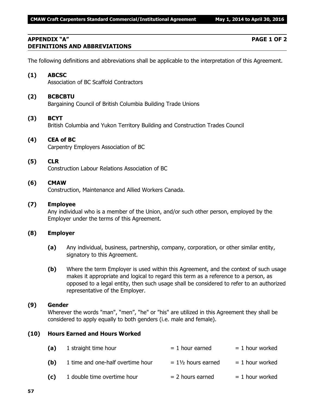## **APPENDIX "A" PAGE 1 OF 2 DEFINITIONS AND ABBREVIATIONS**

The following definitions and abbreviations shall be applicable to the interpretation of this Agreement.

# **(1) ABCSC**

Association of BC Scaffold Contractors

# **(2) BCBCBTU**

Bargaining Council of British Columbia Building Trade Unions

## **(3) BCYT**

British Columbia and Yukon Territory Building and Construction Trades Council

# **(4) CEA of BC**

Carpentry Employers Association of BC

### **(5) CLR**

Construction Labour Relations Association of BC

# **(6) CMAW**

Construction, Maintenance and Allied Workers Canada.

### **(7) Employee**

Any individual who is a member of the Union, and/or such other person, employed by the Employer under the terms of this Agreement.

## **(8) Employer**

- **(a)** Any individual, business, partnership, company, corporation, or other similar entity, signatory to this Agreement.
- **(b)** Where the term Employer is used within this Agreement, and the context of such usage makes it appropriate and logical to regard this term as a reference to a person, as opposed to a legal entity, then such usage shall be considered to refer to an authorized representative of the Employer.

# **(9) Gender**

Wherever the words "man", "men", "he" or "his" are utilized in this Agreement they shall be considered to apply equally to both genders (i.e. male and female).

## **(10) Hours Earned and Hours Worked**

| (a) | 1 straight time hour              | $= 1$ hour earned             | $= 1$ hour worked |
|-----|-----------------------------------|-------------------------------|-------------------|
| (b) | 1 time and one-half overtime hour | $= 1\frac{1}{2}$ hours earned | $= 1$ hour worked |
| (c) | 1 double time overtime hour       | $= 2$ hours earned            | $= 1$ hour worked |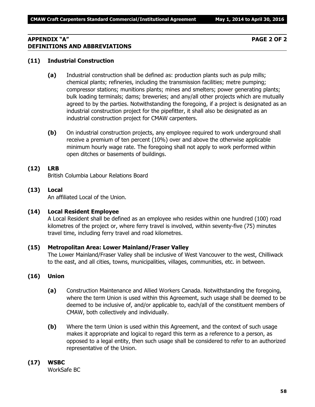## **APPENDIX "A" PAGE 2 OF 2 DEFINITIONS AND ABBREVIATIONS**

### **(11) Industrial Construction**

- **(a)** Industrial construction shall be defined as: production plants such as pulp mills; chemical plants; refineries, including the transmission facilities; metre pumping; compressor stations; munitions plants; mines and smelters; power generating plants; bulk loading terminals; dams; breweries; and any/all other projects which are mutually agreed to by the parties. Notwithstanding the foregoing, if a project is designated as an industrial construction project for the pipefitter, it shall also be designated as an industrial construction project for CMAW carpenters.
- **(b)** On industrial construction projects, any employee required to work underground shall receive a premium of ten percent (10%) over and above the otherwise applicable minimum hourly wage rate. The foregoing shall not apply to work performed within open ditches or basements of buildings.

# **(12) LRB**

British Columbia Labour Relations Board

**(13) Local** An affiliated Local of the Union.

### **(14) Local Resident Employee**

A Local Resident shall be defined as an employee who resides within one hundred (100) road kilometres of the project or, where ferry travel is involved, within seventy-five (75) minutes travel time, including ferry travel and road kilometres.

### **(15) Metropolitan Area: Lower Mainland/Fraser Valley**

The Lower Mainland/Fraser Valley shall be inclusive of West Vancouver to the west, Chilliwack to the east, and all cities, towns, municipalities, villages, communities, etc. in between.

### **(16) Union**

- **(a)** Construction Maintenance and Allied Workers Canada. Notwithstanding the foregoing, where the term Union is used within this Agreement, such usage shall be deemed to be deemed to be inclusive of, and/or applicable to, each/all of the constituent members of CMAW, both collectively and individually.
- **(b)** Where the term Union is used within this Agreement, and the context of such usage makes it appropriate and logical to regard this term as a reference to a person, as opposed to a legal entity, then such usage shall be considered to refer to an authorized representative of the Union.

### **(17) WSBC**

WorkSafe BC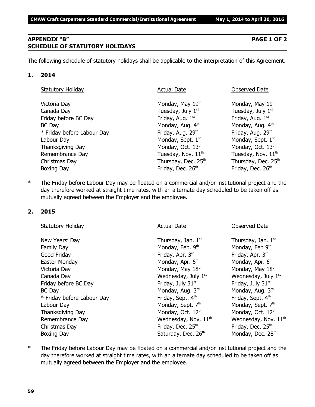## **APPENDIX "B" PAGE 1 OF 2 SCHEDULE OF STATUTORY HOLIDAYS**

The following schedule of statutory holidays shall be applicable to the interpretation of this Agreement.

### **1. 2014**

| <b>Statutory Holiday</b>   | <b>Actual Date</b>             | Observed Date                  |
|----------------------------|--------------------------------|--------------------------------|
| Victoria Day               | Monday, May 19th               | Monday, May 19th               |
| Canada Day                 | Tuesday, July 1st              | Tuesday, July 1st              |
| Friday before BC Day       | Friday, Aug. 1st               | Friday, Aug. 1st               |
| <b>BC</b> Day              | Monday, Aug. 4th               | Monday, Aug. 4th               |
| * Friday before Labour Day | Friday, Aug. 29th              | Friday, Aug. 29th              |
| Labour Day                 | Monday, Sept. 1st              | Monday, Sept. 1st              |
| Thanksgiving Day           | Monday, Oct. 13th              | Monday, Oct. 13 <sup>th</sup>  |
| Remembrance Day            | Tuesday, Nov. 11 <sup>th</sup> | Tuesday, Nov. 11 <sup>th</sup> |
| Christmas Day              | Thursday, Dec. 25th            | Thursday, Dec. 25th            |
| Boxing Day                 | Friday, Dec. 26th              | Friday, Dec. 26 <sup>th</sup>  |

\* The Friday before Labour Day may be floated on a commercial and/or institutional project and the day therefore worked at straight time rates, with an alternate day scheduled to be taken off as mutually agreed between the Employer and the employee.

## **2. 2015**

| <b>Statutory Holiday</b>   | <b>Actual Date</b>            | <b>Observed Date</b>             |
|----------------------------|-------------------------------|----------------------------------|
| New Years' Day             | Thursday, Jan. 1st            | Thursday, Jan. 1st               |
| Family Day                 | Monday, Feb. 9th              | Monday, Feb 9th                  |
| Good Friday                | Friday, Apr. 3rd              | Friday, Apr. 3rd                 |
| Easter Monday              | Monday, Apr. 6 <sup>th</sup>  | Monday, Apr. 6 <sup>th</sup>     |
| Victoria Day               | Monday, May 18th              | Monday, May 18th                 |
| Canada Day                 | Wednesday, July $1st$         | Wednesday, July $1st$            |
| Friday before BC Day       | Friday, July 31st             | Friday, July 31 <sup>st</sup>    |
| BC Day                     | Monday, Aug. 3rd              | Monday, Aug. 3rd                 |
| * Friday before Labour Day | Friday, Sept. 4th             | Friday, Sept. 4th                |
| Labour Day                 | Monday, Sept. 7th             | Monday, Sept. 7th                |
| Thanksgiving Day           | Monday, Oct. 12th             | Monday, Oct. 12th                |
| Remembrance Day            | Wednesday, Nov. $11^{th}$     | Wednesday, Nov. 11 <sup>th</sup> |
| Christmas Day              | Friday, Dec. 25 <sup>th</sup> | Friday, Dec. 25th                |
| Boxing Day                 | Saturday, Dec. 26th           | Monday, Dec. 28th                |

\* The Friday before Labour Day may be floated on a commercial and/or institutional project and the day therefore worked at straight time rates, with an alternate day scheduled to be taken off as mutually agreed between the Employer and the employee.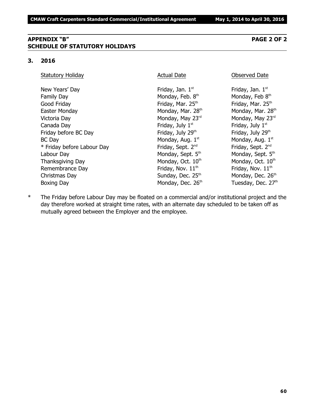## **APPENDIX "B" PAGE 2 OF 2 SCHEDULE OF STATUTORY HOLIDAYS**

#### **3. 2016**

Statutory Holiday **Actual Date Conserved Date** Observed Date

New Years' Day  $Friday$ , Jan.  $1<sup>st</sup>$ Family Day **Monday, Feb. 8th** Good Friday **Friday**, Mar. 25<sup>th</sup> Friday, Mar. 25<sup>th</sup> Friday, Mar. 25<sup>th</sup> Easter Monday **Monday, Mar. 28<sup>th</sup> Monday, Mar. 28**<sup>th</sup> Monday, Mar. 28<sup>th</sup> Victoria Day **Monday, May 23<sup>rd</sup>** Monday, May 23<sup>rd</sup> Monday, May 23<sup>rd</sup> Canada Day **Friday, July 1<sup>st</sup>** Friday, July 1<sup>st</sup> Friday, July 1<sup>st</sup> Friday before BC Day **Friday, July 29<sup>th</sup>** Friday, July 29<sup>th</sup> Friday, July 29<sup>th</sup>  $BC$  Day Monday, Aug.  $1<sup>st</sup>$  $*$  Friday before Labour Day Friday, Sept.  $2^{nd}$ Labour Day Monday, Sept. 5<sup>th</sup> Monday, Sept. 5<sup>th</sup> Monday, Sept. 5<sup>th</sup> Thanksgiving Day  $M$ onday, Oct.  $10<sup>th</sup>$  Monday, Oct.  $10<sup>th</sup>$ Remembrance Day **Friday, Nov.** 11<sup>th</sup> Friday, Nov. 11<sup>th</sup> Friday, Nov. 11<sup>th</sup> Christmas Day  $S$ unday, Dec. 25<sup>th</sup> Monday, Dec. 26<sup>th</sup> Boxing Day **Monday, Dec. 26<sup>th</sup> Tuesday, Dec. 27<sup>th</sup>** 

Friday, Jan.  $1<sup>st</sup>$ Monday, Feb 8th Monday, Aug. 1st Friday, Sept. 2<sup>nd</sup>

\* The Friday before Labour Day may be floated on a commercial and/or institutional project and the day therefore worked at straight time rates, with an alternate day scheduled to be taken off as mutually agreed between the Employer and the employee.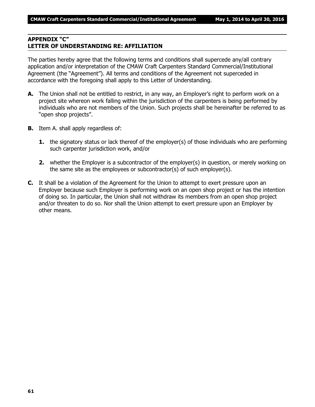## **APPENDIX "C" LETTER OF UNDERSTANDING RE: AFFILIATION**

The parties hereby agree that the following terms and conditions shall supercede any/all contrary application and/or interpretation of the CMAW Craft Carpenters Standard Commercial/Institutional Agreement (the "Agreement"). All terms and conditions of the Agreement not superceded in accordance with the foregoing shall apply to this Letter of Understanding.

- **A.** The Union shall not be entitled to restrict, in any way, an Employer's right to perform work on a project site whereon work falling within the jurisdiction of the carpenters is being performed by individuals who are not members of the Union. Such projects shall be hereinafter be referred to as "open shop projects".
- **B.** Item A. shall apply regardless of:
	- **1.** the signatory status or lack thereof of the employer(s) of those individuals who are performing such carpenter jurisdiction work, and/or
	- **2.** whether the Employer is a subcontractor of the employer(s) in question, or merely working on the same site as the employees or subcontractor(s) of such employer(s).
- **C.** It shall be a violation of the Agreement for the Union to attempt to exert pressure upon an Employer because such Employer is performing work on an open shop project or has the intention of doing so. In particular, the Union shall not withdraw its members from an open shop project and/or threaten to do so. Nor shall the Union attempt to exert pressure upon an Employer by other means.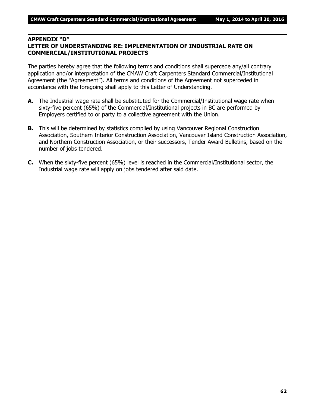# **APPENDIX "D"**

# **LETTER OF UNDERSTANDING RE: IMPLEMENTATION OF INDUSTRIAL RATE ON COMMERCIAL/INSTITUTIONAL PROJECTS**

The parties hereby agree that the following terms and conditions shall supercede any/all contrary application and/or interpretation of the CMAW Craft Carpenters Standard Commercial/Institutional Agreement (the "Agreement"). All terms and conditions of the Agreement not superceded in accordance with the foregoing shall apply to this Letter of Understanding.

- **A.** The Industrial wage rate shall be substituted for the Commercial/Institutional wage rate when sixty-five percent (65%) of the Commercial/Institutional projects in BC are performed by Employers certified to or party to a collective agreement with the Union.
- **B.** This will be determined by statistics compiled by using Vancouver Regional Construction Association, Southern Interior Construction Association, Vancouver Island Construction Association, and Northern Construction Association, or their successors, Tender Award Bulletins, based on the number of jobs tendered.
- **C.** When the sixty-five percent (65%) level is reached in the Commercial/Institutional sector, the Industrial wage rate will apply on jobs tendered after said date.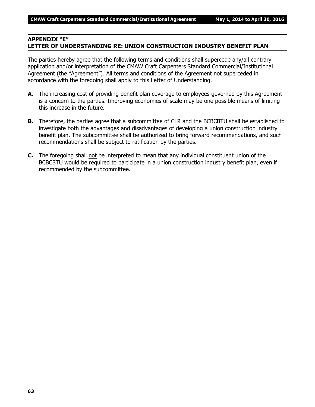### **APPENDIX "E" LETTER OF UNDERSTANDING RE: UNION CONSTRUCTION INDUSTRY BENEFIT PLAN**

The parties hereby agree that the following terms and conditions shall supercede any/all contrary application and/or interpretation of the CMAW Craft Carpenters Standard Commercial/Institutional Agreement (the "Agreement"). All terms and conditions of the Agreement not superceded in accordance with the foregoing shall apply to this Letter of Understanding.

- **A.** The increasing cost of providing benefit plan coverage to employees governed by this Agreement is a concern to the parties. Improving economies of scale may be one possible means of limiting this increase in the future.
- **B.** Therefore, the parties agree that a subcommittee of CLR and the BCBCBTU shall be established to investigate both the advantages and disadvantages of developing a union construction industry benefit plan. The subcommittee shall be authorized to bring forward recommendations, and such recommendations shall be subject to ratification by the parties.
- **C.** The foregoing shall not be interpreted to mean that any individual constituent union of the BCBCBTU would be required to participate in a union construction industry benefit plan, even if recommended by the subcommittee.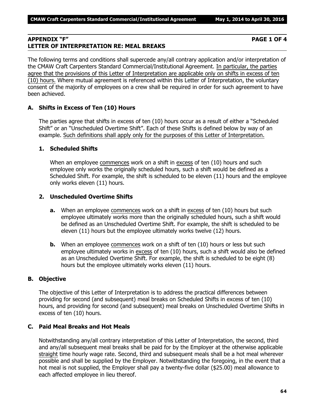### **APPENDIX "F" PAGE 1 OF 4 LETTER OF INTERPRETATION RE: MEAL BREAKS**

The following terms and conditions shall supercede any/all contrary application and/or interpretation of the CMAW Craft Carpenters Standard Commercial/Institutional Agreement. In particular, the parties agree that the provisions of this Letter of Interpretation are applicable only on shifts in excess of ten (10) hours. Where mutual agreement is referenced within this Letter of Interpretation, the voluntary consent of the majority of employees on a crew shall be required in order for such agreement to have been achieved.

# **A. Shifts in Excess of Ten (10) Hours**

The parties agree that shifts in excess of ten (10) hours occur as a result of either a "Scheduled Shift" or an "Unscheduled Overtime Shift". Each of these Shifts is defined below by way of an example. Such definitions shall apply only for the purposes of this Letter of Interpretation.

# **1. Scheduled Shifts**

When an employee commences work on a shift in excess of ten (10) hours and such employee only works the originally scheduled hours, such a shift would be defined as a Scheduled Shift. For example, the shift is scheduled to be eleven (11) hours and the employee only works eleven (11) hours.

# **2. Unscheduled Overtime Shifts**

- **a.** When an employee commences work on a shift in excess of ten (10) hours but such employee ultimately works more than the originally scheduled hours, such a shift would be defined as an Unscheduled Overtime Shift. For example, the shift is scheduled to be eleven (11) hours but the employee ultimately works twelve (12) hours.
- **b.** When an employee commences work on a shift of ten (10) hours or less but such employee ultimately works in excess of ten (10) hours, such a shift would also be defined as an Unscheduled Overtime Shift. For example, the shift is scheduled to be eight (8) hours but the employee ultimately works eleven (11) hours.

# **B. Objective**

The objective of this Letter of Interpretation is to address the practical differences between providing for second (and subsequent) meal breaks on Scheduled Shifts in excess of ten (10) hours, and providing for second (and subsequent) meal breaks on Unscheduled Overtime Shifts in excess of ten (10) hours.

## **C. Paid Meal Breaks and Hot Meals**

Notwithstanding any/all contrary interpretation of this Letter of Interpretation, the second, third and any/all subsequent meal breaks shall be paid for by the Employer at the otherwise applicable straight time hourly wage rate. Second, third and subsequent meals shall be a hot meal wherever possible and shall be supplied by the Employer. Notwithstanding the foregoing, in the event that a hot meal is not supplied, the Employer shall pay a twenty-five dollar (\$25.00) meal allowance to each affected employee in lieu thereof.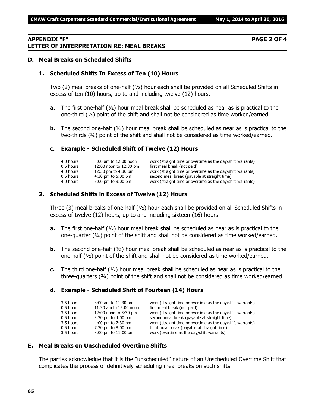### **APPENDIX "F" PAGE 2 OF 4 LETTER OF INTERPRETATION RE: MEAL BREAKS**

### **D. Meal Breaks on Scheduled Shifts**

#### **1. Scheduled Shifts In Excess of Ten (10) Hours**

Two (2) meal breaks of one-half (½) hour each shall be provided on all Scheduled Shifts in excess of ten (10) hours, up to and including twelve (12) hours.

- **a.** The first one-half (½) hour meal break shall be scheduled as near as is practical to the one-third  $(1/3)$  point of the shift and shall not be considered as time worked/earned.
- **b.** The second one-half ( $\frac{1}{2}$ ) hour meal break shall be scheduled as near as is practical to the two-thirds  $(3)$  point of the shift and shall not be considered as time worked/earned.

#### **c. Example - Scheduled Shift of Twelve (12) Hours**

| 8:00 am to 12:00 noon  | work (straight time or overtime as the day/shift warrants) |
|------------------------|------------------------------------------------------------|
| 12:00 noon to 12:30 pm | first meal break (not paid)                                |
| 12:30 pm to 4:30 pm    | work (straight time or overtime as the day/shift warrants) |
| $4:30$ pm to 5:00 pm   | second meal break (payable at straight time)               |
| 5:00 pm to 9:00 pm     | work (straight time or overtime as the day/shift warrants) |
|                        |                                                            |

### **2. Scheduled Shifts in Excess of Twelve (12) Hours**

Three (3) meal breaks of one-half  $(y_2)$  hour each shall be provided on all Scheduled Shifts in excess of twelve (12) hours, up to and including sixteen (16) hours.

- **a.** The first one-half ( $\frac{1}{2}$ ) hour meal break shall be scheduled as near as is practical to the one-quarter  $(4)$  point of the shift and shall not be considered as time worked/earned.
- **b.** The second one-half ( $\frac{1}{2}$ ) hour meal break shall be scheduled as near as is practical to the one-half (½) point of the shift and shall not be considered as time worked/earned.
- **c.** The third one-half (½) hour meal break shall be scheduled as near as is practical to the three-quarters (¾) point of the shift and shall not be considered as time worked/earned.

#### **d. Example - Scheduled Shift of Fourteen (14) Hours**

| 3.5 hours | $8:00$ am to $11:30$ am | work (straight time or overtime as the day/shift warrants) |
|-----------|-------------------------|------------------------------------------------------------|
| 0.5 hours | 11:30 am to 12:00 noon  | first meal break (not paid)                                |
| 3.5 hours | 12:00 noon to 3:30 pm   | work (straight time or overtime as the day/shift warrants) |
| 0.5 hours | 3:30 pm to 4:00 pm      | second meal break (payable at straight time)               |
| 3.5 hours | 4:00 pm to 7:30 pm      | work (straight time or overtime as the day/shift warrants) |
| 0.5 hours | 7:30 pm to 8:00 pm      | third meal break (payable at straight time)                |
| 3.5 hours | 8:00 pm to 11:00 pm     | work (overtime as the day/shift warrants)                  |

### **E. Meal Breaks on Unscheduled Overtime Shifts**

The parties acknowledge that it is the "unscheduled" nature of an Unscheduled Overtime Shift that complicates the process of definitively scheduling meal breaks on such shifts.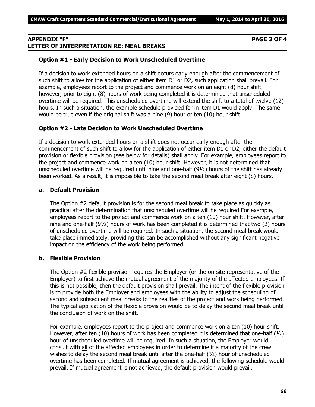### **APPENDIX "F" PAGE 3 OF 4 LETTER OF INTERPRETATION RE: MEAL BREAKS**

### **Option #1 - Early Decision to Work Unscheduled Overtime**

If a decision to work extended hours on a shift occurs early enough after the commencement of such shift to allow for the application of either item D1 or D2, such application shall prevail. For example, employees report to the project and commence work on an eight (8) hour shift, however, prior to eight (8) hours of work being completed it is determined that unscheduled overtime will be required. This unscheduled overtime will extend the shift to a total of twelve (12) hours. In such a situation, the example schedule provided for in item D1 would apply. The same would be true even if the original shift was a nine (9) hour or ten (10) hour shift.

### **Option #2 - Late Decision to Work Unscheduled Overtime**

If a decision to work extended hours on a shift does not occur early enough after the commencement of such shift to allow for the application of either item D1 or D2, either the default provision or flexible provision (see below for details) shall apply. For example, employees report to the project and commence work on a ten (10) hour shift. However, it is not determined that unscheduled overtime will be required until nine and one-half (9½) hours of the shift has already been worked. As a result, it is impossible to take the second meal break after eight (8) hours.

### **a. Default Provision**

The Option #2 default provision is for the second meal break to take place as quickly as practical after the determination that unscheduled overtime will be required For example, employees report to the project and commence work on a ten (10) hour shift. However, after nine and one-half (9½) hours of work has been completed it is determined that two (2) hours of unscheduled overtime will be required. In such a situation, the second meal break would take place immediately, providing this can be accomplished without any significant negative impact on the efficiency of the work being performed.

## **b. Flexible Provision**

The Option #2 flexible provision requires the Employer (or the on-site representative of the Employer) to first achieve the mutual agreement of the majority of the affected employees. If this is not possible, then the default provision shall prevail. The intent of the flexible provision is to provide both the Employer and employees with the ability to adjust the scheduling of second and subsequent meal breaks to the realities of the project and work being performed. The typical application of the flexible provision would be to delay the second meal break until the conclusion of work on the shift.

For example, employees report to the project and commence work on a ten (10) hour shift. However, after ten (10) hours of work has been completed it is determined that one-half (1/2) hour of unscheduled overtime will be required. In such a situation, the Employer would consult with all of the affected employees in order to determine if a majority of the crew wishes to delay the second meal break until after the one-half  $(y_2)$  hour of unscheduled overtime has been completed. If mutual agreement is achieved, the following schedule would prevail. If mutual agreement is not achieved, the default provision would prevail.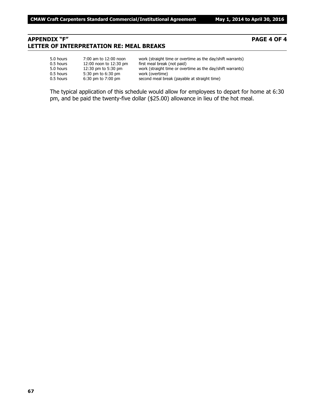## **APPENDIX "F" PAGE 4 OF 4 LETTER OF INTERPRETATION RE: MEAL BREAKS**

| 5.0 hours | 7:00 am to 12:00 noon  | work (straight time or overtime as the day/shift warrants) |
|-----------|------------------------|------------------------------------------------------------|
| 0.5 hours | 12:00 noon to 12:30 pm | first meal break (not paid)                                |
| 5.0 hours | 12:30 pm to 5:30 pm    | work (straight time or overtime as the day/shift warrants) |
| 0.5 hours | 5:30 pm to 6:30 pm     | work (overtime)                                            |
| 0.5 hours | $6:30$ pm to $7:00$ pm | second meal break (payable at straight time)               |

The typical application of this schedule would allow for employees to depart for home at 6:30 pm, and be paid the twenty-five dollar (\$25.00) allowance in lieu of the hot meal.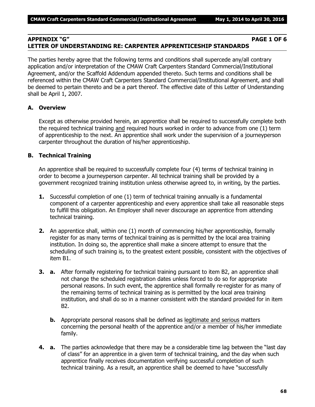### **APPENDIX "G" PAGE 1 OF 6 LETTER OF UNDERSTANDING RE: CARPENTER APPRENTICESHIP STANDARDS**

The parties hereby agree that the following terms and conditions shall supercede any/all contrary application and/or interpretation of the CMAW Craft Carpenters Standard Commercial/Institutional Agreement, and/or the Scaffold Addendum appended thereto. Such terms and conditions shall be referenced within the CMAW Craft Carpenters Standard Commercial/Institutional Agreement, and shall be deemed to pertain thereto and be a part thereof. The effective date of this Letter of Understanding shall be April 1, 2007.

### **A. Overview**

Except as otherwise provided herein, an apprentice shall be required to successfully complete both the required technical training and required hours worked in order to advance from one (1) term of apprenticeship to the next. An apprentice shall work under the supervision of a journeyperson carpenter throughout the duration of his/her apprenticeship.

### **B. Technical Training**

An apprentice shall be required to successfully complete four (4) terms of technical training in order to become a journeyperson carpenter. All technical training shall be provided by a government recognized training institution unless otherwise agreed to, in writing, by the parties.

- **1.** Successful completion of one (1) term of technical training annually is a fundamental component of a carpenter apprenticeship and every apprentice shall take all reasonable steps to fulfill this obligation. An Employer shall never discourage an apprentice from attending technical training.
- **2.** An apprentice shall, within one (1) month of commencing his/her apprenticeship, formally register for as many terms of technical training as is permitted by the local area training institution. In doing so, the apprentice shall make a sincere attempt to ensure that the scheduling of such training is, to the greatest extent possible, consistent with the objectives of item B1.
- **3. a.** After formally registering for technical training pursuant to item B2, an apprentice shall not change the scheduled registration dates unless forced to do so for appropriate personal reasons. In such event, the apprentice shall formally re-register for as many of the remaining terms of technical training as is permitted by the local area training institution, and shall do so in a manner consistent with the standard provided for in item B2.
	- **b.** Appropriate personal reasons shall be defined as legitimate and serious matters concerning the personal health of the apprentice and/or a member of his/her immediate family.
- **4. a.** The parties acknowledge that there may be a considerable time lag between the "last day of class" for an apprentice in a given term of technical training, and the day when such apprentice finally receives documentation verifying successful completion of such technical training. As a result, an apprentice shall be deemed to have "successfully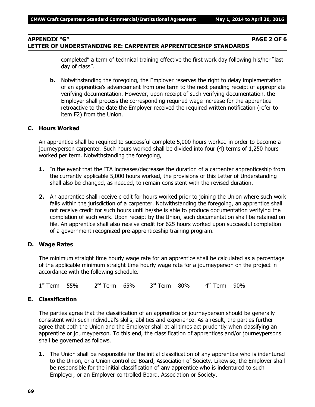## **APPENDIX "G" PAGE 2 OF 6 LETTER OF UNDERSTANDING RE: CARPENTER APPRENTICESHIP STANDARDS**

completed" a term of technical training effective the first work day following his/her "last day of class".

**b.** Notwithstanding the foregoing, the Employer reserves the right to delay implementation of an apprentice's advancement from one term to the next pending receipt of appropriate verifying documentation. However, upon receipt of such verifying documentation, the Employer shall process the corresponding required wage increase for the apprentice retroactive to the date the Employer received the required written notification (refer to item F2) from the Union.

### **C. Hours Worked**

An apprentice shall be required to successful complete 5,000 hours worked in order to become a journeyperson carpenter. Such hours worked shall be divided into four (4) terms of 1,250 hours worked per term. Notwithstanding the foregoing,

- **1.** In the event that the ITA increases/decreases the duration of a carpenter apprenticeship from the currently applicable 5,000 hours worked, the provisions of this Letter of Understanding shall also be changed, as needed, to remain consistent with the revised duration.
- **2.** An apprentice shall receive credit for hours worked prior to joining the Union where such work falls within the jurisdiction of a carpenter. Notwithstanding the foregoing, an apprentice shall not receive credit for such hours until he/she is able to produce documentation verifying the completion of such work. Upon receipt by the Union, such documentation shall be retained on file. An apprentice shall also receive credit for 625 hours worked upon successful completion of a government recognized pre-apprenticeship training program.

## **D. Wage Rates**

The minimum straight time hourly wage rate for an apprentice shall be calculated as a percentage of the applicable minimum straight time hourly wage rate for a journeyperson on the project in accordance with the following schedule.

1 st Term 55% 2 <sup>nd</sup> Term 65% 3 rd Term 80% 4 th Term 90%

## **E. Classification**

The parties agree that the classification of an apprentice or journeyperson should be generally consistent with such individual's skills, abilities and experience. As a result, the parties further agree that both the Union and the Employer shall at all times act prudently when classifying an apprentice or journeyperson. To this end, the classification of apprentices and/or journeypersons shall be governed as follows.

**1.** The Union shall be responsible for the initial classification of any apprentice who is indentured to the Union, or a Union controlled Board, Association of Society. Likewise, the Employer shall be responsible for the initial classification of any apprentice who is indentured to such Employer, or an Employer controlled Board, Association or Society.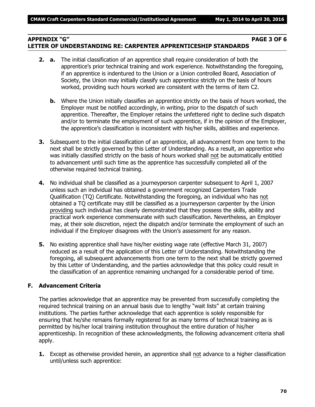# **APPENDIX "G" PAGE 3 OF 6 LETTER OF UNDERSTANDING RE: CARPENTER APPRENTICESHIP STANDARDS**

- **2. a.** The initial classification of an apprentice shall require consideration of both the apprentice's prior technical training and work experience. Notwithstanding the foregoing, if an apprentice is indentured to the Union or a Union controlled Board, Association of Society, the Union may initially classify such apprentice strictly on the basis of hours worked, providing such hours worked are consistent with the terms of item C2.
	- **b.** Where the Union initially classifies an apprentice strictly on the basis of hours worked, the Employer must be notified accordingly, in writing, prior to the dispatch of such apprentice. Thereafter, the Employer retains the unfettered right to decline such dispatch and/or to terminate the employment of such apprentice, if in the opinion of the Employer, the apprentice's classification is inconsistent with his/her skills, abilities and experience.
- **3.** Subsequent to the initial classification of an apprentice, all advancement from one term to the next shall be strictly governed by this Letter of Understanding. As a result, an apprentice who was initially classified strictly on the basis of hours worked shall not be automatically entitled to advancement until such time as the apprentice has successfully completed all of the otherwise required technical training.
- **4.** No individual shall be classified as a journeyperson carpenter subsequent to April 1, 2007 unless such an individual has obtained a government recognized Carpenters Trade Qualification (TQ) Certificate. Notwithstanding the foregoing, an individual who has not obtained a TQ certificate may still be classified as a journeyperson carpenter by the Union providing such individual has clearly demonstrated that they possess the skills, ability and practical work experience commensurate with such classification. Nevertheless, an Employer may, at their sole discretion, reject the dispatch and/or terminate the employment of such an individual if the Employer disagrees with the Union's assessment for any reason.
- **5.** No existing apprentice shall have his/her existing wage rate (effective March 31, 2007) reduced as a result of the application of this Letter of Understanding. Notwithstanding the foregoing, all subsequent advancements from one term to the next shall be strictly governed by this Letter of Understanding, and the parties acknowledge that this policy could result in the classification of an apprentice remaining unchanged for a considerable period of time.

## **F. Advancement Criteria**

The parties acknowledge that an apprentice may be prevented from successfully completing the required technical training on an annual basis due to lengthy "wait lists" at certain training institutions. The parties further acknowledge that each apprentice is solely responsible for ensuring that he/she remains formally registered for as many terms of technical training as is permitted by his/her local training institution throughout the entire duration of his/her apprenticeship. In recognition of these acknowledgments, the following advancement criteria shall apply.

**1.** Except as otherwise provided herein, an apprentice shall not advance to a higher classification until/unless such apprentice: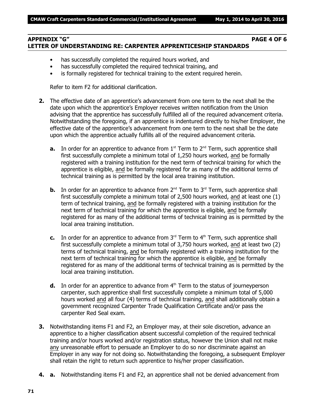## **APPENDIX "G" PAGE 4 OF 6 LETTER OF UNDERSTANDING RE: CARPENTER APPRENTICESHIP STANDARDS**

- has successfully completed the required hours worked, and
- has successfully completed the required technical training, and
- is formally registered for technical training to the extent required herein.

Refer to item F2 for additional clarification.

- **2.** The effective date of an apprentice's advancement from one term to the next shall be the date upon which the apprentice's Employer receives written notification from the Union advising that the apprentice has successfully fulfilled all of the required advancement criteria. Notwithstanding the foregoing, if an apprentice is indentured directly to his/her Employer, the effective date of the apprentice's advancement from one term to the next shall be the date upon which the apprentice actually fulfills all of the required advancement criteria.
	- **a.** In order for an apprentice to advance from  $1<sup>st</sup>$  Term to  $2<sup>nd</sup>$  Term, such apprentice shall first successfully complete a minimum total of 1,250 hours worked, and be formally registered with a training institution for the next term of technical training for which the apprentice is eligible, and be formally registered for as many of the additional terms of technical training as is permitted by the local area training institution.
	- **b.** In order for an apprentice to advance from  $2^{nd}$  Term to  $3^{rd}$  Term, such apprentice shall first successfully complete a minimum total of 2,500 hours worked, and at least one (1) term of technical training, and be formally registered with a training institution for the next term of technical training for which the apprentice is eligible, and be formally registered for as many of the additional terms of technical training as is permitted by the local area training institution.
	- **c.** In order for an apprentice to advance from  $3<sup>rd</sup>$  Term to  $4<sup>th</sup>$  Term, such apprentice shall first successfully complete a minimum total of 3,750 hours worked, and at least two (2) terms of technical training, and be formally registered with a training institution for the next term of technical training for which the apprentice is eligible, and be formally registered for as many of the additional terms of technical training as is permitted by the local area training institution.
	- **d.** In order for an apprentice to advance from 4<sup>th</sup> Term to the status of journeyperson carpenter, such apprentice shall first successfully complete a minimum total of 5,000 hours worked and all four (4) terms of technical training, and shall additionally obtain a government recognized Carpenter Trade Qualification Certificate and/or pass the carpenter Red Seal exam.
- **3.** Notwithstanding items F1 and F2, an Employer may, at their sole discretion, advance an apprentice to a higher classification absent successful completion of the required technical training and/or hours worked and/or registration status, however the Union shall not make any unreasonable effort to persuade an Employer to do so nor discriminate against an Employer in any way for not doing so. Notwithstanding the foregoing, a subsequent Employer shall retain the right to return such apprentice to his/her proper classification.
- **4. a.** Notwithstanding items F1 and F2, an apprentice shall not be denied advancement from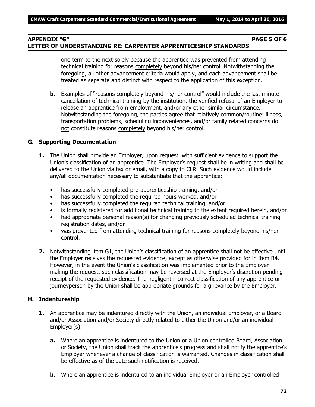## **APPENDIX "G" PAGE 5 OF 6 LETTER OF UNDERSTANDING RE: CARPENTER APPRENTICESHIP STANDARDS**

one term to the next solely because the apprentice was prevented from attending technical training for reasons completely beyond his/her control. Notwithstanding the foregoing, all other advancement criteria would apply, and each advancement shall be treated as separate and distinct with respect to the application of this exception.

**b.** Examples of "reasons completely beyond his/her control" would include the last minute cancellation of technical training by the institution, the verified refusal of an Employer to release an apprentice from employment, and/or any other similar circumstance. Notwithstanding the foregoing, the parties agree that relatively common/routine: illness, transportation problems, scheduling inconveniences, and/or family related concerns do not constitute reasons completely beyond his/her control.

### **G. Supporting Documentation**

- **1.** The Union shall provide an Employer, upon request, with sufficient evidence to support the Union's classification of an apprentice. The Employer's request shall be in writing and shall be delivered to the Union via fax or email, with a copy to CLR. Such evidence would include any/all documentation necessary to substantiate that the apprentice:
	- has successfully completed pre-apprenticeship training, and/or
	- has successfully completed the required hours worked, and/or
	- has successfully completed the required technical training, and/or
	- is formally registered for additional technical training to the extent required herein, and/or
	- had appropriate personal reason(s) for changing previously scheduled technical training registration dates, and/or
	- was prevented from attending technical training for reasons completely beyond his/her control.
- **2.** Notwithstanding item G1, the Union's classification of an apprentice shall not be effective until the Employer receives the requested evidence, except as otherwise provided for in item B4. However, in the event the Union's classification was implemented prior to the Employer making the request, such classification may be reversed at the Employer's discretion pending receipt of the requested evidence. The negligent incorrect classification of any apprentice or journeyperson by the Union shall be appropriate grounds for a grievance by the Employer.

#### **H. Indentureship**

- **1.** An apprentice may be indentured directly with the Union, an individual Employer, or a Board and/or Association and/or Society directly related to either the Union and/or an individual Employer(s).
	- **a.** Where an apprentice is indentured to the Union or a Union controlled Board, Association or Society, the Union shall track the apprentice's progress and shall notify the apprentice's Employer whenever a change of classification is warranted. Changes in classification shall be effective as of the date such notification is received.
	- **b.** Where an apprentice is indentured to an individual Employer or an Employer controlled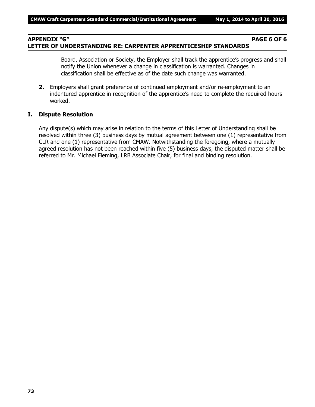## **APPENDIX "G" PAGE 6 OF 6 LETTER OF UNDERSTANDING RE: CARPENTER APPRENTICESHIP STANDARDS**

Board, Association or Society, the Employer shall track the apprentice's progress and shall notify the Union whenever a change in classification is warranted. Changes in classification shall be effective as of the date such change was warranted.

**2.** Employers shall grant preference of continued employment and/or re-employment to an indentured apprentice in recognition of the apprentice's need to complete the required hours worked.

#### **I. Dispute Resolution**

Any dispute(s) which may arise in relation to the terms of this Letter of Understanding shall be resolved within three (3) business days by mutual agreement between one (1) representative from CLR and one (1) representative from CMAW. Notwithstanding the foregoing, where a mutually agreed resolution has not been reached within five (5) business days, the disputed matter shall be referred to Mr. Michael Fleming, LRB Associate Chair, for final and binding resolution.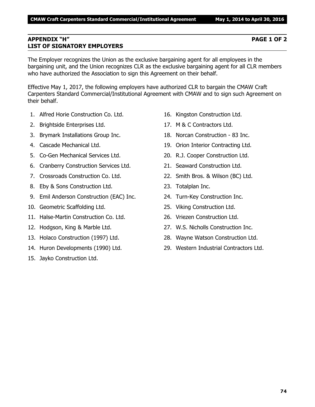#### **APPENDIX "H" PAGE 1 OF 2 LIST OF SIGNATORY EMPLOYERS**

The Employer recognizes the Union as the exclusive bargaining agent for all employees in the bargaining unit, and the Union recognizes CLR as the exclusive bargaining agent for all CLR members who have authorized the Association to sign this Agreement on their behalf.

Effective May 1, 2017, the following employers have authorized CLR to bargain the CMAW Craft Carpenters Standard Commercial/Institutional Agreement with CMAW and to sign such Agreement on their behalf.

- 1. Alfred Horie Construction Co. Ltd.
- 2. Brightside Enterprises Ltd.
- 3. Brymark Installations Group Inc.
- 4. Cascade Mechanical Ltd.
- 5. Co-Gen Mechanical Services Ltd.
- 6. Cranberry Construction Services Ltd.
- 7. Crossroads Construction Co. Ltd.
- 8. Eby & Sons Construction Ltd.
- 9. Emil Anderson Construction (EAC) Inc.
- 10. Geometric Scaffolding Ltd.
- 11. Halse-Martin Construction Co. Ltd.
- 12. Hodgson, King & Marble Ltd.
- 13. Holaco Construction (1997) Ltd.
- 14. Huron Developments (1990) Ltd.
- 15. Jayko Construction Ltd.
- 16. Kingston Construction Ltd.
- 17. M & C Contractors Ltd.
- 18. Norcan Construction 83 Inc.
- 19. Orion Interior Contracting Ltd.
- 20. R.J. Cooper Construction Ltd.
- 21. Seaward Construction Ltd.
- 22. Smith Bros. & Wilson (BC) Ltd.
- 23. Totalplan Inc.
- 24. Turn-Key Construction Inc.
- 25. Viking Construction Ltd.
- 26. Vriezen Construction Ltd.
- 27. W.S. Nicholls Construction Inc.
- 28. Wayne Watson Construction Ltd.
- 29. Western Industrial Contractors Ltd.